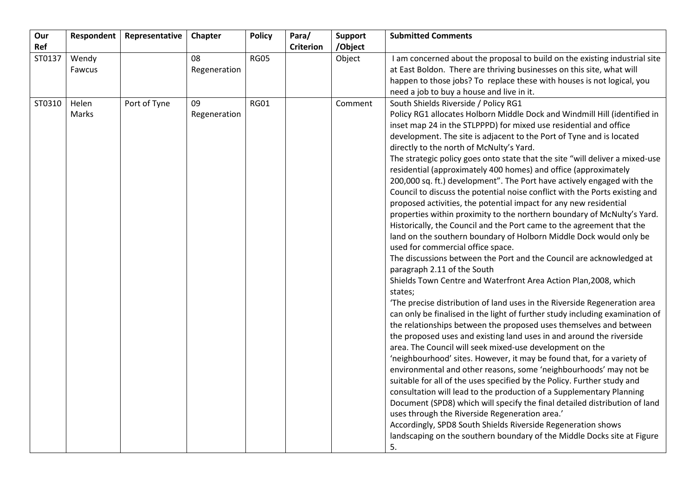| Our<br>Ref | Respondent      | Representative | Chapter            | <b>Policy</b> | Para/            | <b>Support</b>    | <b>Submitted Comments</b>                                                                                                                                                                                                                                                                                                                                                                                                                                                                                                                                                                                                                                                                                                                                                                                                                                                                                                                                                                                                                                                                                                                                                                                                                                                                                                                                                                                                                                                                                                                                                                                                                                                                                                                                                                                                                                                                                                                                                                                                                                                                                  |
|------------|-----------------|----------------|--------------------|---------------|------------------|-------------------|------------------------------------------------------------------------------------------------------------------------------------------------------------------------------------------------------------------------------------------------------------------------------------------------------------------------------------------------------------------------------------------------------------------------------------------------------------------------------------------------------------------------------------------------------------------------------------------------------------------------------------------------------------------------------------------------------------------------------------------------------------------------------------------------------------------------------------------------------------------------------------------------------------------------------------------------------------------------------------------------------------------------------------------------------------------------------------------------------------------------------------------------------------------------------------------------------------------------------------------------------------------------------------------------------------------------------------------------------------------------------------------------------------------------------------------------------------------------------------------------------------------------------------------------------------------------------------------------------------------------------------------------------------------------------------------------------------------------------------------------------------------------------------------------------------------------------------------------------------------------------------------------------------------------------------------------------------------------------------------------------------------------------------------------------------------------------------------------------------|
| ST0137     | Wendy<br>Fawcus |                | 08<br>Regeneration | <b>RG05</b>   | <b>Criterion</b> | /Object<br>Object | I am concerned about the proposal to build on the existing industrial site<br>at East Boldon. There are thriving businesses on this site, what will<br>happen to those jobs? To replace these with houses is not logical, you                                                                                                                                                                                                                                                                                                                                                                                                                                                                                                                                                                                                                                                                                                                                                                                                                                                                                                                                                                                                                                                                                                                                                                                                                                                                                                                                                                                                                                                                                                                                                                                                                                                                                                                                                                                                                                                                              |
|            |                 |                |                    |               |                  |                   | need a job to buy a house and live in it.                                                                                                                                                                                                                                                                                                                                                                                                                                                                                                                                                                                                                                                                                                                                                                                                                                                                                                                                                                                                                                                                                                                                                                                                                                                                                                                                                                                                                                                                                                                                                                                                                                                                                                                                                                                                                                                                                                                                                                                                                                                                  |
| ST0310     | Helen<br>Marks  | Port of Tyne   | 09<br>Regeneration | <b>RG01</b>   |                  | Comment           | South Shields Riverside / Policy RG1<br>Policy RG1 allocates Holborn Middle Dock and Windmill Hill (identified in<br>inset map 24 in the STLPPPD) for mixed use residential and office<br>development. The site is adjacent to the Port of Tyne and is located<br>directly to the north of McNulty's Yard.<br>The strategic policy goes onto state that the site "will deliver a mixed-use<br>residential (approximately 400 homes) and office (approximately<br>200,000 sq. ft.) development". The Port have actively engaged with the<br>Council to discuss the potential noise conflict with the Ports existing and<br>proposed activities, the potential impact for any new residential<br>properties within proximity to the northern boundary of McNulty's Yard.<br>Historically, the Council and the Port came to the agreement that the<br>land on the southern boundary of Holborn Middle Dock would only be<br>used for commercial office space.<br>The discussions between the Port and the Council are acknowledged at<br>paragraph 2.11 of the South<br>Shields Town Centre and Waterfront Area Action Plan, 2008, which<br>states;<br>'The precise distribution of land uses in the Riverside Regeneration area<br>can only be finalised in the light of further study including examination of<br>the relationships between the proposed uses themselves and between<br>the proposed uses and existing land uses in and around the riverside<br>area. The Council will seek mixed-use development on the<br>'neighbourhood' sites. However, it may be found that, for a variety of<br>environmental and other reasons, some 'neighbourhoods' may not be<br>suitable for all of the uses specified by the Policy. Further study and<br>consultation will lead to the production of a Supplementary Planning<br>Document (SPD8) which will specify the final detailed distribution of land<br>uses through the Riverside Regeneration area.'<br>Accordingly, SPD8 South Shields Riverside Regeneration shows<br>landscaping on the southern boundary of the Middle Docks site at Figure<br>5. |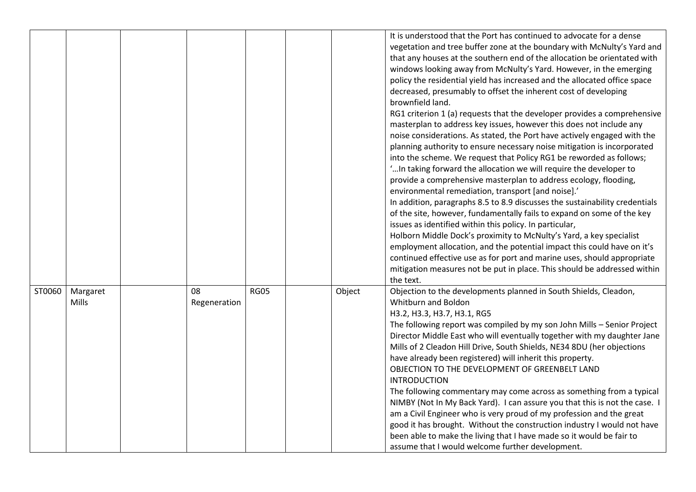|        |                          |                    |             |        | It is understood that the Port has continued to advocate for a dense<br>vegetation and tree buffer zone at the boundary with McNulty's Yard and<br>that any houses at the southern end of the allocation be orientated with<br>windows looking away from McNulty's Yard. However, in the emerging<br>policy the residential yield has increased and the allocated office space<br>decreased, presumably to offset the inherent cost of developing<br>brownfield land.<br>RG1 criterion 1 (a) requests that the developer provides a comprehensive<br>masterplan to address key issues, however this does not include any<br>noise considerations. As stated, the Port have actively engaged with the<br>planning authority to ensure necessary noise mitigation is incorporated<br>into the scheme. We request that Policy RG1 be reworded as follows;<br>" In taking forward the allocation we will require the developer to<br>provide a comprehensive masterplan to address ecology, flooding,<br>environmental remediation, transport [and noise].'<br>In addition, paragraphs 8.5 to 8.9 discusses the sustainability credentials<br>of the site, however, fundamentally fails to expand on some of the key<br>issues as identified within this policy. In particular,<br>Holborn Middle Dock's proximity to McNulty's Yard, a key specialist<br>employment allocation, and the potential impact this could have on it's<br>continued effective use as for port and marine uses, should appropriate<br>mitigation measures not be put in place. This should be addressed within<br>the text. |
|--------|--------------------------|--------------------|-------------|--------|---------------------------------------------------------------------------------------------------------------------------------------------------------------------------------------------------------------------------------------------------------------------------------------------------------------------------------------------------------------------------------------------------------------------------------------------------------------------------------------------------------------------------------------------------------------------------------------------------------------------------------------------------------------------------------------------------------------------------------------------------------------------------------------------------------------------------------------------------------------------------------------------------------------------------------------------------------------------------------------------------------------------------------------------------------------------------------------------------------------------------------------------------------------------------------------------------------------------------------------------------------------------------------------------------------------------------------------------------------------------------------------------------------------------------------------------------------------------------------------------------------------------------------------------------------------------------------------------------|
| ST0060 | Margaret<br><b>Mills</b> | 08<br>Regeneration | <b>RG05</b> | Object | Objection to the developments planned in South Shields, Cleadon,<br>Whitburn and Boldon<br>H3.2, H3.3, H3.7, H3.1, RG5<br>The following report was compiled by my son John Mills - Senior Project<br>Director Middle East who will eventually together with my daughter Jane<br>Mills of 2 Cleadon Hill Drive, South Shields, NE34 8DU (her objections<br>have already been registered) will inherit this property.<br>OBJECTION TO THE DEVELOPMENT OF GREENBELT LAND<br><b>INTRODUCTION</b><br>The following commentary may come across as something from a typical<br>NIMBY (Not In My Back Yard). I can assure you that this is not the case. I<br>am a Civil Engineer who is very proud of my profession and the great<br>good it has brought. Without the construction industry I would not have<br>been able to make the living that I have made so it would be fair to<br>assume that I would welcome further development.                                                                                                                                                                                                                                                                                                                                                                                                                                                                                                                                                                                                                                                                 |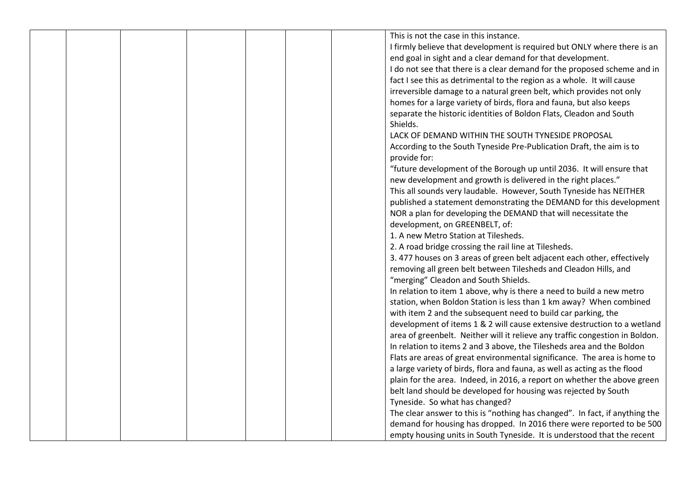|  |  |  | This is not the case in this instance.                                       |
|--|--|--|------------------------------------------------------------------------------|
|  |  |  | I firmly believe that development is required but ONLY where there is an     |
|  |  |  | end goal in sight and a clear demand for that development.                   |
|  |  |  | I do not see that there is a clear demand for the proposed scheme and in     |
|  |  |  |                                                                              |
|  |  |  | fact I see this as detrimental to the region as a whole. It will cause       |
|  |  |  | irreversible damage to a natural green belt, which provides not only         |
|  |  |  | homes for a large variety of birds, flora and fauna, but also keeps          |
|  |  |  | separate the historic identities of Boldon Flats, Cleadon and South          |
|  |  |  | Shields.                                                                     |
|  |  |  | LACK OF DEMAND WITHIN THE SOUTH TYNESIDE PROPOSAL                            |
|  |  |  | According to the South Tyneside Pre-Publication Draft, the aim is to         |
|  |  |  | provide for:                                                                 |
|  |  |  | "future development of the Borough up until 2036. It will ensure that        |
|  |  |  | new development and growth is delivered in the right places."                |
|  |  |  | This all sounds very laudable. However, South Tyneside has NEITHER           |
|  |  |  | published a statement demonstrating the DEMAND for this development          |
|  |  |  | NOR a plan for developing the DEMAND that will necessitate the               |
|  |  |  | development, on GREENBELT, of:                                               |
|  |  |  | 1. A new Metro Station at Tilesheds.                                         |
|  |  |  | 2. A road bridge crossing the rail line at Tilesheds.                        |
|  |  |  | 3.477 houses on 3 areas of green belt adjacent each other, effectively       |
|  |  |  | removing all green belt between Tilesheds and Cleadon Hills, and             |
|  |  |  | "merging" Cleadon and South Shields.                                         |
|  |  |  | In relation to item 1 above, why is there a need to build a new metro        |
|  |  |  | station, when Boldon Station is less than 1 km away? When combined           |
|  |  |  | with item 2 and the subsequent need to build car parking, the                |
|  |  |  | development of items 1 & 2 will cause extensive destruction to a wetland     |
|  |  |  | area of greenbelt. Neither will it relieve any traffic congestion in Boldon. |
|  |  |  | In relation to items 2 and 3 above, the Tilesheds area and the Boldon        |
|  |  |  |                                                                              |
|  |  |  | Flats are areas of great environmental significance. The area is home to     |
|  |  |  | a large variety of birds, flora and fauna, as well as acting as the flood    |
|  |  |  | plain for the area. Indeed, in 2016, a report on whether the above green     |
|  |  |  | belt land should be developed for housing was rejected by South              |
|  |  |  | Tyneside. So what has changed?                                               |
|  |  |  | The clear answer to this is "nothing has changed". In fact, if anything the  |
|  |  |  | demand for housing has dropped. In 2016 there were reported to be 500        |
|  |  |  | empty housing units in South Tyneside. It is understood that the recent      |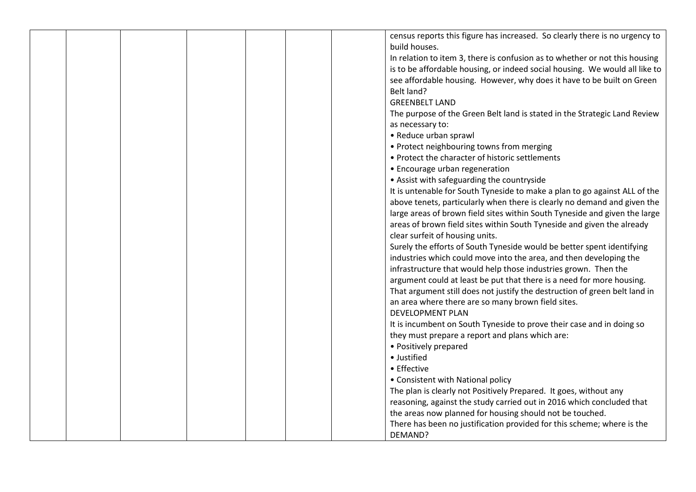|  |  |  | census reports this figure has increased. So clearly there is no urgency to |
|--|--|--|-----------------------------------------------------------------------------|
|  |  |  | build houses.                                                               |
|  |  |  | In relation to item 3, there is confusion as to whether or not this housing |
|  |  |  | is to be affordable housing, or indeed social housing. We would all like to |
|  |  |  | see affordable housing. However, why does it have to be built on Green      |
|  |  |  | Belt land?                                                                  |
|  |  |  | <b>GREENBELT LAND</b>                                                       |
|  |  |  | The purpose of the Green Belt land is stated in the Strategic Land Review   |
|  |  |  | as necessary to:                                                            |
|  |  |  | • Reduce urban sprawl                                                       |
|  |  |  | • Protect neighbouring towns from merging                                   |
|  |  |  | • Protect the character of historic settlements                             |
|  |  |  | • Encourage urban regeneration                                              |
|  |  |  | • Assist with safeguarding the countryside                                  |
|  |  |  | It is untenable for South Tyneside to make a plan to go against ALL of the  |
|  |  |  | above tenets, particularly when there is clearly no demand and given the    |
|  |  |  | large areas of brown field sites within South Tyneside and given the large  |
|  |  |  | areas of brown field sites within South Tyneside and given the already      |
|  |  |  | clear surfeit of housing units.                                             |
|  |  |  | Surely the efforts of South Tyneside would be better spent identifying      |
|  |  |  | industries which could move into the area, and then developing the          |
|  |  |  | infrastructure that would help those industries grown. Then the             |
|  |  |  | argument could at least be put that there is a need for more housing.       |
|  |  |  | That argument still does not justify the destruction of green belt land in  |
|  |  |  | an area where there are so many brown field sites.                          |
|  |  |  | <b>DEVELOPMENT PLAN</b>                                                     |
|  |  |  | It is incumbent on South Tyneside to prove their case and in doing so       |
|  |  |  | they must prepare a report and plans which are:                             |
|  |  |  | • Positively prepared                                                       |
|  |  |  | · Justified                                                                 |
|  |  |  | • Effective                                                                 |
|  |  |  | • Consistent with National policy                                           |
|  |  |  | The plan is clearly not Positively Prepared. It goes, without any           |
|  |  |  | reasoning, against the study carried out in 2016 which concluded that       |
|  |  |  | the areas now planned for housing should not be touched.                    |
|  |  |  | There has been no justification provided for this scheme; where is the      |
|  |  |  | DEMAND?                                                                     |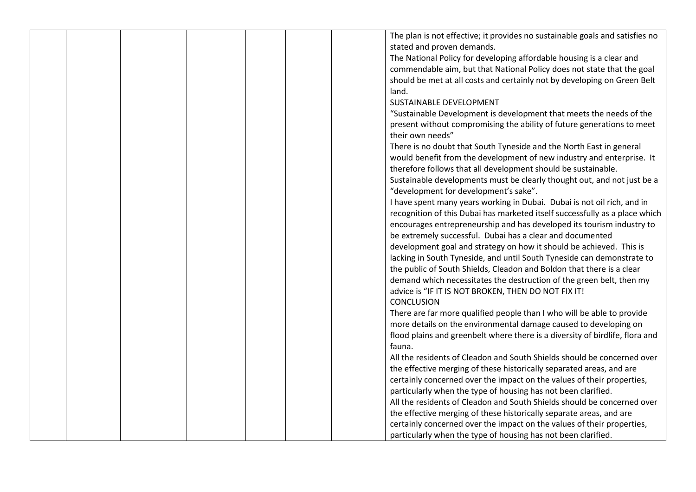|  |  |  | The plan is not effective; it provides no sustainable goals and satisfies no |
|--|--|--|------------------------------------------------------------------------------|
|  |  |  | stated and proven demands.                                                   |
|  |  |  | The National Policy for developing affordable housing is a clear and         |
|  |  |  | commendable aim, but that National Policy does not state that the goal       |
|  |  |  | should be met at all costs and certainly not by developing on Green Belt     |
|  |  |  |                                                                              |
|  |  |  | land.                                                                        |
|  |  |  | <b>SUSTAINABLE DEVELOPMENT</b>                                               |
|  |  |  | "Sustainable Development is development that meets the needs of the          |
|  |  |  | present without compromising the ability of future generations to meet       |
|  |  |  | their own needs"                                                             |
|  |  |  | There is no doubt that South Tyneside and the North East in general          |
|  |  |  | would benefit from the development of new industry and enterprise. It        |
|  |  |  | therefore follows that all development should be sustainable.                |
|  |  |  | Sustainable developments must be clearly thought out, and not just be a      |
|  |  |  | "development for development's sake".                                        |
|  |  |  | I have spent many years working in Dubai. Dubai is not oil rich, and in      |
|  |  |  | recognition of this Dubai has marketed itself successfully as a place which  |
|  |  |  | encourages entrepreneurship and has developed its tourism industry to        |
|  |  |  | be extremely successful. Dubai has a clear and documented                    |
|  |  |  | development goal and strategy on how it should be achieved. This is          |
|  |  |  |                                                                              |
|  |  |  | lacking in South Tyneside, and until South Tyneside can demonstrate to       |
|  |  |  | the public of South Shields, Cleadon and Boldon that there is a clear        |
|  |  |  | demand which necessitates the destruction of the green belt, then my         |
|  |  |  | advice is "IF IT IS NOT BROKEN, THEN DO NOT FIX IT!                          |
|  |  |  | <b>CONCLUSION</b>                                                            |
|  |  |  | There are far more qualified people than I who will be able to provide       |
|  |  |  | more details on the environmental damage caused to developing on             |
|  |  |  | flood plains and greenbelt where there is a diversity of birdlife, flora and |
|  |  |  | fauna.                                                                       |
|  |  |  | All the residents of Cleadon and South Shields should be concerned over      |
|  |  |  | the effective merging of these historically separated areas, and are         |
|  |  |  | certainly concerned over the impact on the values of their properties,       |
|  |  |  | particularly when the type of housing has not been clarified.                |
|  |  |  | All the residents of Cleadon and South Shields should be concerned over      |
|  |  |  | the effective merging of these historically separate areas, and are          |
|  |  |  | certainly concerned over the impact on the values of their properties,       |
|  |  |  |                                                                              |
|  |  |  | particularly when the type of housing has not been clarified.                |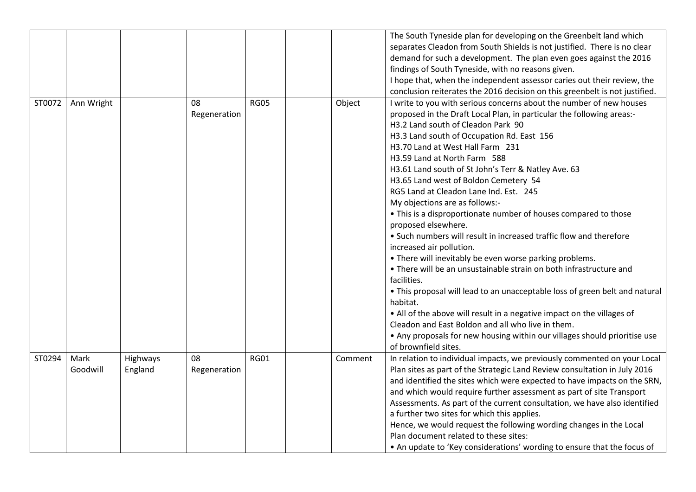|        |                  |                     |                    |             |         | The South Tyneside plan for developing on the Greenbelt land which<br>separates Cleadon from South Shields is not justified. There is no clear<br>demand for such a development. The plan even goes against the 2016<br>findings of South Tyneside, with no reasons given.<br>I hope that, when the independent assessor caries out their review, the<br>conclusion reiterates the 2016 decision on this greenbelt is not justified.                                                                                                                                                                                                                                                                                                                                                                                                                                                                                                                                                                                                                                                                                                                        |
|--------|------------------|---------------------|--------------------|-------------|---------|-------------------------------------------------------------------------------------------------------------------------------------------------------------------------------------------------------------------------------------------------------------------------------------------------------------------------------------------------------------------------------------------------------------------------------------------------------------------------------------------------------------------------------------------------------------------------------------------------------------------------------------------------------------------------------------------------------------------------------------------------------------------------------------------------------------------------------------------------------------------------------------------------------------------------------------------------------------------------------------------------------------------------------------------------------------------------------------------------------------------------------------------------------------|
| ST0072 | Ann Wright       |                     | 08<br>Regeneration | <b>RG05</b> | Object  | I write to you with serious concerns about the number of new houses<br>proposed in the Draft Local Plan, in particular the following areas:-<br>H3.2 Land south of Cleadon Park 90<br>H3.3 Land south of Occupation Rd. East 156<br>H3.70 Land at West Hall Farm 231<br>H3.59 Land at North Farm 588<br>H3.61 Land south of St John's Terr & Natley Ave. 63<br>H3.65 Land west of Boldon Cemetery 54<br>RG5 Land at Cleadon Lane Ind. Est. 245<br>My objections are as follows:-<br>• This is a disproportionate number of houses compared to those<br>proposed elsewhere.<br>• Such numbers will result in increased traffic flow and therefore<br>increased air pollution.<br>• There will inevitably be even worse parking problems.<br>• There will be an unsustainable strain on both infrastructure and<br>facilities.<br>• This proposal will lead to an unacceptable loss of green belt and natural<br>habitat.<br>• All of the above will result in a negative impact on the villages of<br>Cleadon and East Boldon and all who live in them.<br>• Any proposals for new housing within our villages should prioritise use<br>of brownfield sites. |
| ST0294 | Mark<br>Goodwill | Highways<br>England | 08<br>Regeneration | <b>RG01</b> | Comment | In relation to individual impacts, we previously commented on your Local<br>Plan sites as part of the Strategic Land Review consultation in July 2016<br>and identified the sites which were expected to have impacts on the SRN,<br>and which would require further assessment as part of site Transport<br>Assessments. As part of the current consultation, we have also identified<br>a further two sites for which this applies.<br>Hence, we would request the following wording changes in the Local<br>Plan document related to these sites:<br>• An update to 'Key considerations' wording to ensure that the focus of                                                                                                                                                                                                                                                                                                                                                                                                                                                                                                                             |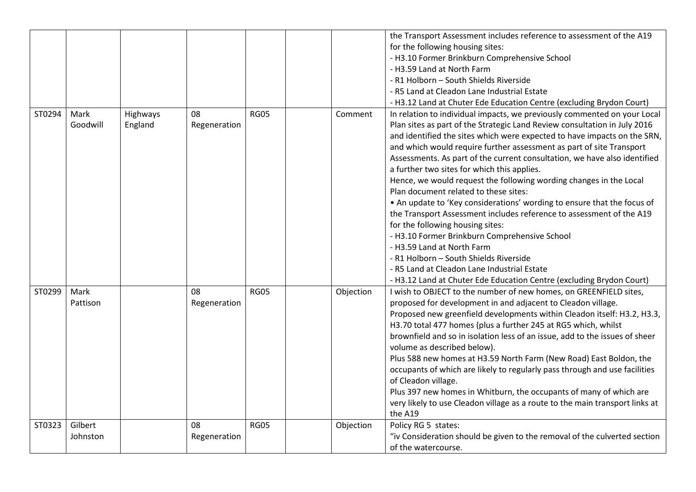|        |          |          |              |             |           | the Transport Assessment includes reference to assessment of the A19         |
|--------|----------|----------|--------------|-------------|-----------|------------------------------------------------------------------------------|
|        |          |          |              |             |           | for the following housing sites:                                             |
|        |          |          |              |             |           | - H3.10 Former Brinkburn Comprehensive School                                |
|        |          |          |              |             |           | - H3.59 Land at North Farm                                                   |
|        |          |          |              |             |           | - R1 Holborn - South Shields Riverside                                       |
|        |          |          |              |             |           | - R5 Land at Cleadon Lane Industrial Estate                                  |
|        |          |          |              |             |           | - H3.12 Land at Chuter Ede Education Centre (excluding Brydon Court)         |
| ST0294 | Mark     | Highways | 08           | <b>RG05</b> | Comment   | In relation to individual impacts, we previously commented on your Local     |
|        | Goodwill | England  | Regeneration |             |           | Plan sites as part of the Strategic Land Review consultation in July 2016    |
|        |          |          |              |             |           | and identified the sites which were expected to have impacts on the SRN,     |
|        |          |          |              |             |           | and which would require further assessment as part of site Transport         |
|        |          |          |              |             |           | Assessments. As part of the current consultation, we have also identified    |
|        |          |          |              |             |           | a further two sites for which this applies.                                  |
|        |          |          |              |             |           | Hence, we would request the following wording changes in the Local           |
|        |          |          |              |             |           | Plan document related to these sites:                                        |
|        |          |          |              |             |           | • An update to 'Key considerations' wording to ensure that the focus of      |
|        |          |          |              |             |           | the Transport Assessment includes reference to assessment of the A19         |
|        |          |          |              |             |           | for the following housing sites:                                             |
|        |          |          |              |             |           | - H3.10 Former Brinkburn Comprehensive School                                |
|        |          |          |              |             |           | - H3.59 Land at North Farm                                                   |
|        |          |          |              |             |           | - R1 Holborn - South Shields Riverside                                       |
|        |          |          |              |             |           | - R5 Land at Cleadon Lane Industrial Estate                                  |
|        |          |          |              |             |           | - H3.12 Land at Chuter Ede Education Centre (excluding Brydon Court)         |
| ST0299 | Mark     |          | 08           | <b>RG05</b> | Objection | I wish to OBJECT to the number of new homes, on GREENFIELD sites,            |
|        | Pattison |          | Regeneration |             |           | proposed for development in and adjacent to Cleadon village.                 |
|        |          |          |              |             |           | Proposed new greenfield developments within Cleadon itself: H3.2, H3.3,      |
|        |          |          |              |             |           | H3.70 total 477 homes (plus a further 245 at RG5 which, whilst               |
|        |          |          |              |             |           | brownfield and so in isolation less of an issue, add to the issues of sheer  |
|        |          |          |              |             |           | volume as described below).                                                  |
|        |          |          |              |             |           | Plus 588 new homes at H3.59 North Farm (New Road) East Boldon, the           |
|        |          |          |              |             |           | occupants of which are likely to regularly pass through and use facilities   |
|        |          |          |              |             |           | of Cleadon village.                                                          |
|        |          |          |              |             |           | Plus 397 new homes in Whitburn, the occupants of many of which are           |
|        |          |          |              |             |           | very likely to use Cleadon village as a route to the main transport links at |
|        |          |          |              |             |           | the A19                                                                      |
| ST0323 | Gilbert  |          | 08           | <b>RG05</b> | Objection | Policy RG 5 states:                                                          |
|        | Johnston |          | Regeneration |             |           | "iv Consideration should be given to the removal of the culverted section    |
|        |          |          |              |             |           | of the watercourse.                                                          |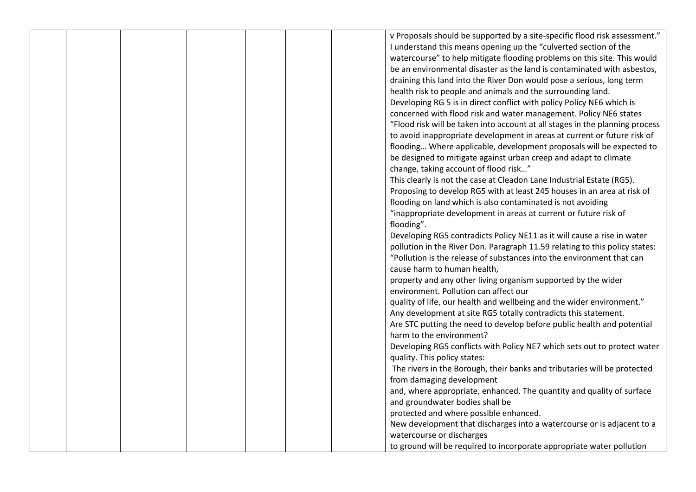| v Proposals should be supported by a site-specific flood risk assessment."<br>I understand this means opening up the "culverted section of the<br>watercourse" to help mitigate flooding problems on this site. This would<br>be an environmental disaster as the land is contaminated with asbestos,<br>draining this land into the River Don would pose a serious, long term<br>health risk to people and animals and the surrounding land.<br>Developing RG 5 is in direct conflict with policy Policy NE6 which is<br>concerned with flood risk and water management. Policy NE6 states<br>"Flood risk will be taken into account at all stages in the planning process<br>to avoid inappropriate development in areas at current or future risk of |
|---------------------------------------------------------------------------------------------------------------------------------------------------------------------------------------------------------------------------------------------------------------------------------------------------------------------------------------------------------------------------------------------------------------------------------------------------------------------------------------------------------------------------------------------------------------------------------------------------------------------------------------------------------------------------------------------------------------------------------------------------------|
|                                                                                                                                                                                                                                                                                                                                                                                                                                                                                                                                                                                                                                                                                                                                                         |
|                                                                                                                                                                                                                                                                                                                                                                                                                                                                                                                                                                                                                                                                                                                                                         |
|                                                                                                                                                                                                                                                                                                                                                                                                                                                                                                                                                                                                                                                                                                                                                         |
|                                                                                                                                                                                                                                                                                                                                                                                                                                                                                                                                                                                                                                                                                                                                                         |
|                                                                                                                                                                                                                                                                                                                                                                                                                                                                                                                                                                                                                                                                                                                                                         |
|                                                                                                                                                                                                                                                                                                                                                                                                                                                                                                                                                                                                                                                                                                                                                         |
|                                                                                                                                                                                                                                                                                                                                                                                                                                                                                                                                                                                                                                                                                                                                                         |
|                                                                                                                                                                                                                                                                                                                                                                                                                                                                                                                                                                                                                                                                                                                                                         |
|                                                                                                                                                                                                                                                                                                                                                                                                                                                                                                                                                                                                                                                                                                                                                         |
|                                                                                                                                                                                                                                                                                                                                                                                                                                                                                                                                                                                                                                                                                                                                                         |
| flooding Where applicable, development proposals will be expected to                                                                                                                                                                                                                                                                                                                                                                                                                                                                                                                                                                                                                                                                                    |
| be designed to mitigate against urban creep and adapt to climate                                                                                                                                                                                                                                                                                                                                                                                                                                                                                                                                                                                                                                                                                        |
| change, taking account of flood risk"                                                                                                                                                                                                                                                                                                                                                                                                                                                                                                                                                                                                                                                                                                                   |
| This clearly is not the case at Cleadon Lane Industrial Estate (RG5).                                                                                                                                                                                                                                                                                                                                                                                                                                                                                                                                                                                                                                                                                   |
| Proposing to develop RG5 with at least 245 houses in an area at risk of                                                                                                                                                                                                                                                                                                                                                                                                                                                                                                                                                                                                                                                                                 |
| flooding on land which is also contaminated is not avoiding                                                                                                                                                                                                                                                                                                                                                                                                                                                                                                                                                                                                                                                                                             |
| "inappropriate development in areas at current or future risk of                                                                                                                                                                                                                                                                                                                                                                                                                                                                                                                                                                                                                                                                                        |
| flooding".                                                                                                                                                                                                                                                                                                                                                                                                                                                                                                                                                                                                                                                                                                                                              |
| Developing RG5 contradicts Policy NE11 as it will cause a rise in water                                                                                                                                                                                                                                                                                                                                                                                                                                                                                                                                                                                                                                                                                 |
| pollution in the River Don. Paragraph 11.59 relating to this policy states:                                                                                                                                                                                                                                                                                                                                                                                                                                                                                                                                                                                                                                                                             |
| "Pollution is the release of substances into the environment that can                                                                                                                                                                                                                                                                                                                                                                                                                                                                                                                                                                                                                                                                                   |
| cause harm to human health,                                                                                                                                                                                                                                                                                                                                                                                                                                                                                                                                                                                                                                                                                                                             |
| property and any other living organism supported by the wider                                                                                                                                                                                                                                                                                                                                                                                                                                                                                                                                                                                                                                                                                           |
| environment. Pollution can affect our                                                                                                                                                                                                                                                                                                                                                                                                                                                                                                                                                                                                                                                                                                                   |
| quality of life, our health and wellbeing and the wider environment."                                                                                                                                                                                                                                                                                                                                                                                                                                                                                                                                                                                                                                                                                   |
| Any development at site RG5 totally contradicts this statement.                                                                                                                                                                                                                                                                                                                                                                                                                                                                                                                                                                                                                                                                                         |
| Are STC putting the need to develop before public health and potential                                                                                                                                                                                                                                                                                                                                                                                                                                                                                                                                                                                                                                                                                  |
| harm to the environment?                                                                                                                                                                                                                                                                                                                                                                                                                                                                                                                                                                                                                                                                                                                                |
| Developing RG5 conflicts with Policy NE7 which sets out to protect water                                                                                                                                                                                                                                                                                                                                                                                                                                                                                                                                                                                                                                                                                |
| quality. This policy states:                                                                                                                                                                                                                                                                                                                                                                                                                                                                                                                                                                                                                                                                                                                            |
| The rivers in the Borough, their banks and tributaries will be protected                                                                                                                                                                                                                                                                                                                                                                                                                                                                                                                                                                                                                                                                                |
| from damaging development                                                                                                                                                                                                                                                                                                                                                                                                                                                                                                                                                                                                                                                                                                                               |
| and, where appropriate, enhanced. The quantity and quality of surface                                                                                                                                                                                                                                                                                                                                                                                                                                                                                                                                                                                                                                                                                   |
| and groundwater bodies shall be                                                                                                                                                                                                                                                                                                                                                                                                                                                                                                                                                                                                                                                                                                                         |
| protected and where possible enhanced.                                                                                                                                                                                                                                                                                                                                                                                                                                                                                                                                                                                                                                                                                                                  |
| New development that discharges into a watercourse or is adjacent to a                                                                                                                                                                                                                                                                                                                                                                                                                                                                                                                                                                                                                                                                                  |
| watercourse or discharges                                                                                                                                                                                                                                                                                                                                                                                                                                                                                                                                                                                                                                                                                                                               |
| to ground will be required to incorporate appropriate water pollution                                                                                                                                                                                                                                                                                                                                                                                                                                                                                                                                                                                                                                                                                   |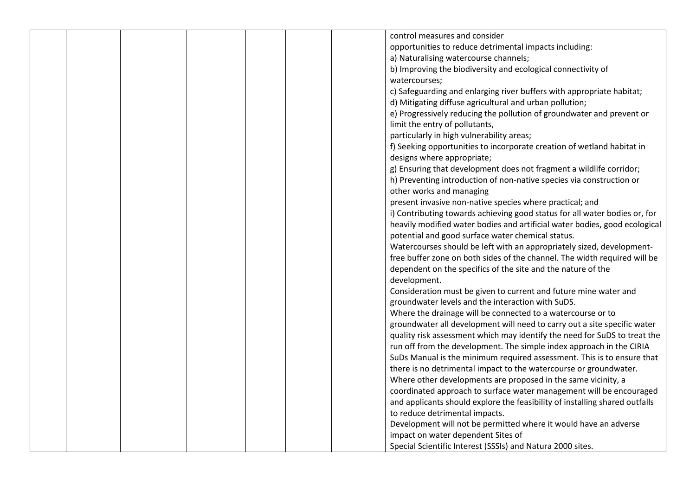|  |  | control measures and consider                                               |  |
|--|--|-----------------------------------------------------------------------------|--|
|  |  | opportunities to reduce detrimental impacts including:                      |  |
|  |  | a) Naturalising watercourse channels;                                       |  |
|  |  | b) Improving the biodiversity and ecological connectivity of                |  |
|  |  | watercourses;                                                               |  |
|  |  | c) Safeguarding and enlarging river buffers with appropriate habitat;       |  |
|  |  | d) Mitigating diffuse agricultural and urban pollution;                     |  |
|  |  | e) Progressively reducing the pollution of groundwater and prevent or       |  |
|  |  |                                                                             |  |
|  |  | limit the entry of pollutants,                                              |  |
|  |  | particularly in high vulnerability areas;                                   |  |
|  |  | f) Seeking opportunities to incorporate creation of wetland habitat in      |  |
|  |  | designs where appropriate;                                                  |  |
|  |  | g) Ensuring that development does not fragment a wildlife corridor;         |  |
|  |  | h) Preventing introduction of non-native species via construction or        |  |
|  |  | other works and managing                                                    |  |
|  |  | present invasive non-native species where practical; and                    |  |
|  |  | i) Contributing towards achieving good status for all water bodies or, for  |  |
|  |  | heavily modified water bodies and artificial water bodies, good ecological  |  |
|  |  | potential and good surface water chemical status.                           |  |
|  |  | Watercourses should be left with an appropriately sized, development-       |  |
|  |  | free buffer zone on both sides of the channel. The width required will be   |  |
|  |  | dependent on the specifics of the site and the nature of the                |  |
|  |  | development.                                                                |  |
|  |  | Consideration must be given to current and future mine water and            |  |
|  |  | groundwater levels and the interaction with SuDS.                           |  |
|  |  | Where the drainage will be connected to a watercourse or to                 |  |
|  |  | groundwater all development will need to carry out a site specific water    |  |
|  |  | quality risk assessment which may identify the need for SuDS to treat the   |  |
|  |  | run off from the development. The simple index approach in the CIRIA        |  |
|  |  | SuDs Manual is the minimum required assessment. This is to ensure that      |  |
|  |  | there is no detrimental impact to the watercourse or groundwater.           |  |
|  |  | Where other developments are proposed in the same vicinity, a               |  |
|  |  | coordinated approach to surface water management will be encouraged         |  |
|  |  | and applicants should explore the feasibility of installing shared outfalls |  |
|  |  | to reduce detrimental impacts.                                              |  |
|  |  | Development will not be permitted where it would have an adverse            |  |
|  |  | impact on water dependent Sites of                                          |  |
|  |  | Special Scientific Interest (SSSIs) and Natura 2000 sites.                  |  |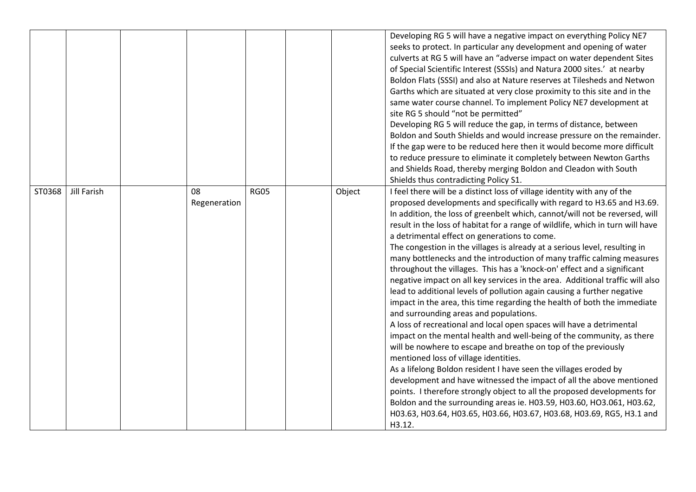|        |             |                    |             |        | Developing RG 5 will have a negative impact on everything Policy NE7<br>seeks to protect. In particular any development and opening of water<br>culverts at RG 5 will have an "adverse impact on water dependent Sites<br>of Special Scientific Interest (SSSIs) and Natura 2000 sites.' at nearby<br>Boldon Flats (SSSI) and also at Nature reserves at Tilesheds and Netwon<br>Garths which are situated at very close proximity to this site and in the<br>same water course channel. To implement Policy NE7 development at<br>site RG 5 should "not be permitted"<br>Developing RG 5 will reduce the gap, in terms of distance, between<br>Boldon and South Shields and would increase pressure on the remainder.<br>If the gap were to be reduced here then it would become more difficult<br>to reduce pressure to eliminate it completely between Newton Garths<br>and Shields Road, thereby merging Boldon and Cleadon with South<br>Shields thus contradicting Policy S1.                                                                                                                                                                                                                                                                                                                                                                                                                                                                                                                                                      |
|--------|-------------|--------------------|-------------|--------|------------------------------------------------------------------------------------------------------------------------------------------------------------------------------------------------------------------------------------------------------------------------------------------------------------------------------------------------------------------------------------------------------------------------------------------------------------------------------------------------------------------------------------------------------------------------------------------------------------------------------------------------------------------------------------------------------------------------------------------------------------------------------------------------------------------------------------------------------------------------------------------------------------------------------------------------------------------------------------------------------------------------------------------------------------------------------------------------------------------------------------------------------------------------------------------------------------------------------------------------------------------------------------------------------------------------------------------------------------------------------------------------------------------------------------------------------------------------------------------------------------------------------------------|
| ST0368 | Jill Farish | 08<br>Regeneration | <b>RG05</b> | Object | I feel there will be a distinct loss of village identity with any of the<br>proposed developments and specifically with regard to H3.65 and H3.69.<br>In addition, the loss of greenbelt which, cannot/will not be reversed, will<br>result in the loss of habitat for a range of wildlife, which in turn will have<br>a detrimental effect on generations to come.<br>The congestion in the villages is already at a serious level, resulting in<br>many bottlenecks and the introduction of many traffic calming measures<br>throughout the villages. This has a 'knock-on' effect and a significant<br>negative impact on all key services in the area. Additional traffic will also<br>lead to additional levels of pollution again causing a further negative<br>impact in the area, this time regarding the health of both the immediate<br>and surrounding areas and populations.<br>A loss of recreational and local open spaces will have a detrimental<br>impact on the mental health and well-being of the community, as there<br>will be nowhere to escape and breathe on top of the previously<br>mentioned loss of village identities.<br>As a lifelong Boldon resident I have seen the villages eroded by<br>development and have witnessed the impact of all the above mentioned<br>points. I therefore strongly object to all the proposed developments for<br>Boldon and the surrounding areas ie. H03.59, H03.60, HO3.061, H03.62,<br>H03.63, H03.64, H03.65, H03.66, H03.67, H03.68, H03.69, RG5, H3.1 and<br>H3.12. |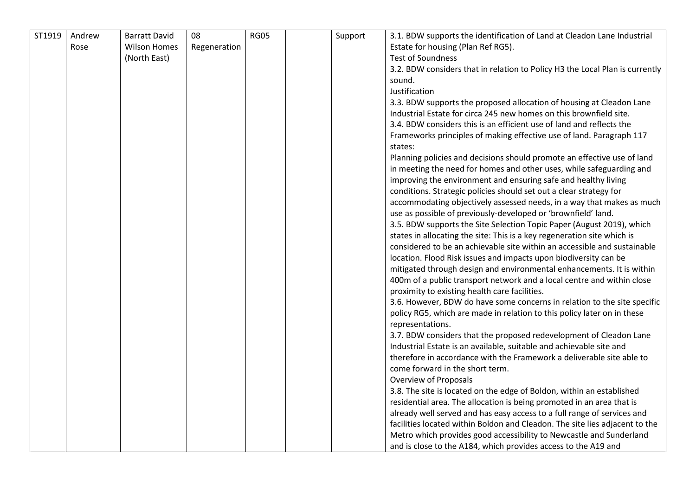| ST1919 | Andrew | <b>Barratt David</b> | 08           | <b>RG05</b> | Support | 3.1. BDW supports the identification of Land at Cleadon Lane Industrial         |
|--------|--------|----------------------|--------------|-------------|---------|---------------------------------------------------------------------------------|
|        | Rose   | <b>Wilson Homes</b>  | Regeneration |             |         | Estate for housing (Plan Ref RG5).                                              |
|        |        | (North East)         |              |             |         | <b>Test of Soundness</b>                                                        |
|        |        |                      |              |             |         | 3.2. BDW considers that in relation to Policy H3 the Local Plan is currently    |
|        |        |                      |              |             |         | sound.                                                                          |
|        |        |                      |              |             |         | Justification                                                                   |
|        |        |                      |              |             |         | 3.3. BDW supports the proposed allocation of housing at Cleadon Lane            |
|        |        |                      |              |             |         | Industrial Estate for circa 245 new homes on this brownfield site.              |
|        |        |                      |              |             |         | 3.4. BDW considers this is an efficient use of land and reflects the            |
|        |        |                      |              |             |         |                                                                                 |
|        |        |                      |              |             |         | Frameworks principles of making effective use of land. Paragraph 117<br>states: |
|        |        |                      |              |             |         | Planning policies and decisions should promote an effective use of land         |
|        |        |                      |              |             |         | in meeting the need for homes and other uses, while safeguarding and            |
|        |        |                      |              |             |         | improving the environment and ensuring safe and healthy living                  |
|        |        |                      |              |             |         | conditions. Strategic policies should set out a clear strategy for              |
|        |        |                      |              |             |         | accommodating objectively assessed needs, in a way that makes as much           |
|        |        |                      |              |             |         | use as possible of previously-developed or 'brownfield' land.                   |
|        |        |                      |              |             |         | 3.5. BDW supports the Site Selection Topic Paper (August 2019), which           |
|        |        |                      |              |             |         | states in allocating the site: This is a key regeneration site which is         |
|        |        |                      |              |             |         | considered to be an achievable site within an accessible and sustainable        |
|        |        |                      |              |             |         | location. Flood Risk issues and impacts upon biodiversity can be                |
|        |        |                      |              |             |         | mitigated through design and environmental enhancements. It is within           |
|        |        |                      |              |             |         | 400m of a public transport network and a local centre and within close          |
|        |        |                      |              |             |         | proximity to existing health care facilities.                                   |
|        |        |                      |              |             |         | 3.6. However, BDW do have some concerns in relation to the site specific        |
|        |        |                      |              |             |         | policy RG5, which are made in relation to this policy later on in these         |
|        |        |                      |              |             |         | representations.                                                                |
|        |        |                      |              |             |         | 3.7. BDW considers that the proposed redevelopment of Cleadon Lane              |
|        |        |                      |              |             |         | Industrial Estate is an available, suitable and achievable site and             |
|        |        |                      |              |             |         | therefore in accordance with the Framework a deliverable site able to           |
|        |        |                      |              |             |         | come forward in the short term.                                                 |
|        |        |                      |              |             |         | <b>Overview of Proposals</b>                                                    |
|        |        |                      |              |             |         | 3.8. The site is located on the edge of Boldon, within an established           |
|        |        |                      |              |             |         | residential area. The allocation is being promoted in an area that is           |
|        |        |                      |              |             |         | already well served and has easy access to a full range of services and         |
|        |        |                      |              |             |         | facilities located within Boldon and Cleadon. The site lies adjacent to the     |
|        |        |                      |              |             |         | Metro which provides good accessibility to Newcastle and Sunderland             |
|        |        |                      |              |             |         | and is close to the A184, which provides access to the A19 and                  |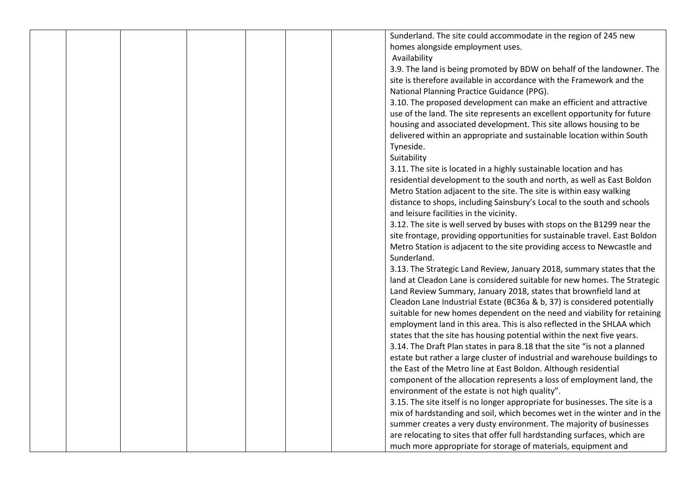|  |  |  | Sunderland. The site could accommodate in the region of 245 new              |
|--|--|--|------------------------------------------------------------------------------|
|  |  |  |                                                                              |
|  |  |  | homes alongside employment uses.                                             |
|  |  |  | Availability                                                                 |
|  |  |  | 3.9. The land is being promoted by BDW on behalf of the landowner. The       |
|  |  |  | site is therefore available in accordance with the Framework and the         |
|  |  |  | National Planning Practice Guidance (PPG).                                   |
|  |  |  | 3.10. The proposed development can make an efficient and attractive          |
|  |  |  | use of the land. The site represents an excellent opportunity for future     |
|  |  |  | housing and associated development. This site allows housing to be           |
|  |  |  | delivered within an appropriate and sustainable location within South        |
|  |  |  | Tyneside.                                                                    |
|  |  |  | Suitability                                                                  |
|  |  |  |                                                                              |
|  |  |  | 3.11. The site is located in a highly sustainable location and has           |
|  |  |  | residential development to the south and north, as well as East Boldon       |
|  |  |  | Metro Station adjacent to the site. The site is within easy walking          |
|  |  |  | distance to shops, including Sainsbury's Local to the south and schools      |
|  |  |  | and leisure facilities in the vicinity.                                      |
|  |  |  | 3.12. The site is well served by buses with stops on the B1299 near the      |
|  |  |  | site frontage, providing opportunities for sustainable travel. East Boldon   |
|  |  |  | Metro Station is adjacent to the site providing access to Newcastle and      |
|  |  |  | Sunderland.                                                                  |
|  |  |  | 3.13. The Strategic Land Review, January 2018, summary states that the       |
|  |  |  | land at Cleadon Lane is considered suitable for new homes. The Strategic     |
|  |  |  | Land Review Summary, January 2018, states that brownfield land at            |
|  |  |  | Cleadon Lane Industrial Estate (BC36a & b, 37) is considered potentially     |
|  |  |  | suitable for new homes dependent on the need and viability for retaining     |
|  |  |  | employment land in this area. This is also reflected in the SHLAA which      |
|  |  |  |                                                                              |
|  |  |  | states that the site has housing potential within the next five years.       |
|  |  |  | 3.14. The Draft Plan states in para 8.18 that the site "is not a planned     |
|  |  |  | estate but rather a large cluster of industrial and warehouse buildings to   |
|  |  |  | the East of the Metro line at East Boldon. Although residential              |
|  |  |  | component of the allocation represents a loss of employment land, the        |
|  |  |  | environment of the estate is not high quality".                              |
|  |  |  | 3.15. The site itself is no longer appropriate for businesses. The site is a |
|  |  |  | mix of hardstanding and soil, which becomes wet in the winter and in the     |
|  |  |  | summer creates a very dusty environment. The majority of businesses          |
|  |  |  | are relocating to sites that offer full hardstanding surfaces, which are     |
|  |  |  | much more appropriate for storage of materials, equipment and                |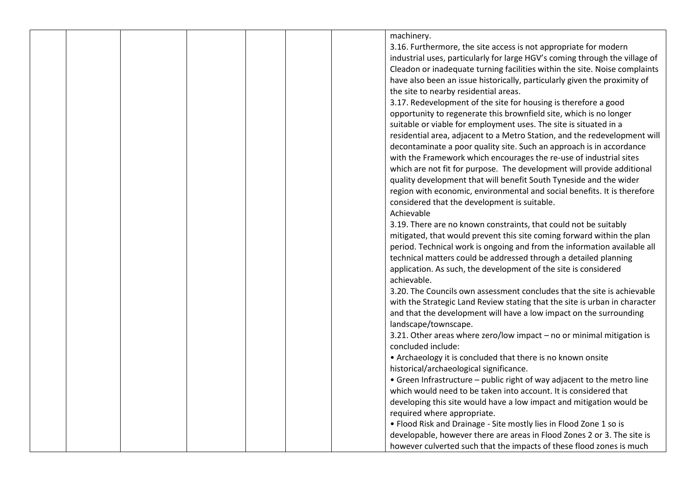|  |  |  | machinery.                                                                  |
|--|--|--|-----------------------------------------------------------------------------|
|  |  |  | 3.16. Furthermore, the site access is not appropriate for modern            |
|  |  |  | industrial uses, particularly for large HGV's coming through the village of |
|  |  |  | Cleadon or inadequate turning facilities within the site. Noise complaints  |
|  |  |  | have also been an issue historically, particularly given the proximity of   |
|  |  |  | the site to nearby residential areas.                                       |
|  |  |  | 3.17. Redevelopment of the site for housing is therefore a good             |
|  |  |  | opportunity to regenerate this brownfield site, which is no longer          |
|  |  |  | suitable or viable for employment uses. The site is situated in a           |
|  |  |  |                                                                             |
|  |  |  | residential area, adjacent to a Metro Station, and the redevelopment will   |
|  |  |  | decontaminate a poor quality site. Such an approach is in accordance        |
|  |  |  | with the Framework which encourages the re-use of industrial sites          |
|  |  |  | which are not fit for purpose. The development will provide additional      |
|  |  |  | quality development that will benefit South Tyneside and the wider          |
|  |  |  | region with economic, environmental and social benefits. It is therefore    |
|  |  |  | considered that the development is suitable.                                |
|  |  |  | Achievable                                                                  |
|  |  |  | 3.19. There are no known constraints, that could not be suitably            |
|  |  |  | mitigated, that would prevent this site coming forward within the plan      |
|  |  |  | period. Technical work is ongoing and from the information available all    |
|  |  |  | technical matters could be addressed through a detailed planning            |
|  |  |  | application. As such, the development of the site is considered             |
|  |  |  | achievable.                                                                 |
|  |  |  | 3.20. The Councils own assessment concludes that the site is achievable     |
|  |  |  | with the Strategic Land Review stating that the site is urban in character  |
|  |  |  | and that the development will have a low impact on the surrounding          |
|  |  |  | landscape/townscape.                                                        |
|  |  |  | 3.21. Other areas where zero/low impact - no or minimal mitigation is       |
|  |  |  | concluded include:                                                          |
|  |  |  | • Archaeology it is concluded that there is no known onsite                 |
|  |  |  | historical/archaeological significance.                                     |
|  |  |  | • Green Infrastructure - public right of way adjacent to the metro line     |
|  |  |  | which would need to be taken into account. It is considered that            |
|  |  |  | developing this site would have a low impact and mitigation would be        |
|  |  |  | required where appropriate.                                                 |
|  |  |  | . Flood Risk and Drainage - Site mostly lies in Flood Zone 1 so is          |
|  |  |  | developable, however there are areas in Flood Zones 2 or 3. The site is     |
|  |  |  |                                                                             |
|  |  |  | however culverted such that the impacts of these flood zones is much        |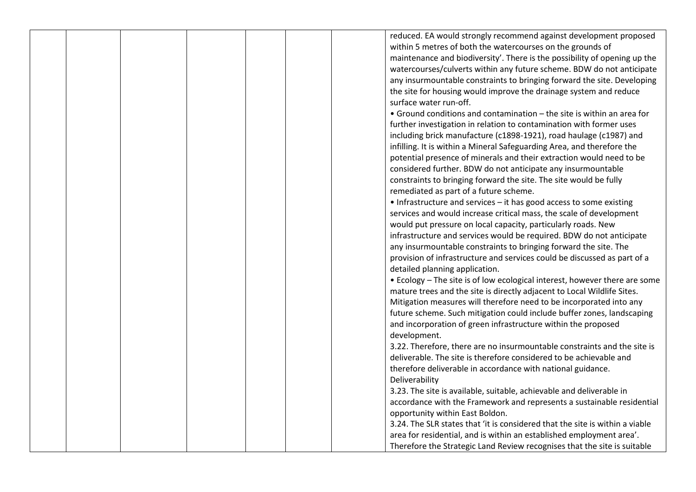|  |  |  | reduced. EA would strongly recommend against development proposed            |
|--|--|--|------------------------------------------------------------------------------|
|  |  |  | within 5 metres of both the watercourses on the grounds of                   |
|  |  |  |                                                                              |
|  |  |  | maintenance and biodiversity'. There is the possibility of opening up the    |
|  |  |  | watercourses/culverts within any future scheme. BDW do not anticipate        |
|  |  |  | any insurmountable constraints to bringing forward the site. Developing      |
|  |  |  | the site for housing would improve the drainage system and reduce            |
|  |  |  | surface water run-off.                                                       |
|  |  |  | • Ground conditions and contamination - the site is within an area for       |
|  |  |  | further investigation in relation to contamination with former uses          |
|  |  |  | including brick manufacture (c1898-1921), road haulage (c1987) and           |
|  |  |  | infilling. It is within a Mineral Safeguarding Area, and therefore the       |
|  |  |  | potential presence of minerals and their extraction would need to be         |
|  |  |  | considered further. BDW do not anticipate any insurmountable                 |
|  |  |  | constraints to bringing forward the site. The site would be fully            |
|  |  |  | remediated as part of a future scheme.                                       |
|  |  |  | • Infrastructure and services - it has good access to some existing          |
|  |  |  | services and would increase critical mass, the scale of development          |
|  |  |  |                                                                              |
|  |  |  | would put pressure on local capacity, particularly roads. New                |
|  |  |  | infrastructure and services would be required. BDW do not anticipate         |
|  |  |  | any insurmountable constraints to bringing forward the site. The             |
|  |  |  | provision of infrastructure and services could be discussed as part of a     |
|  |  |  | detailed planning application.                                               |
|  |  |  | • Ecology - The site is of low ecological interest, however there are some   |
|  |  |  | mature trees and the site is directly adjacent to Local Wildlife Sites.      |
|  |  |  | Mitigation measures will therefore need to be incorporated into any          |
|  |  |  | future scheme. Such mitigation could include buffer zones, landscaping       |
|  |  |  | and incorporation of green infrastructure within the proposed                |
|  |  |  | development.                                                                 |
|  |  |  | 3.22. Therefore, there are no insurmountable constraints and the site is     |
|  |  |  | deliverable. The site is therefore considered to be achievable and           |
|  |  |  | therefore deliverable in accordance with national guidance.                  |
|  |  |  | Deliverability                                                               |
|  |  |  | 3.23. The site is available, suitable, achievable and deliverable in         |
|  |  |  | accordance with the Framework and represents a sustainable residential       |
|  |  |  | opportunity within East Boldon.                                              |
|  |  |  | 3.24. The SLR states that 'it is considered that the site is within a viable |
|  |  |  |                                                                              |
|  |  |  | area for residential, and is within an established employment area'.         |
|  |  |  | Therefore the Strategic Land Review recognises that the site is suitable     |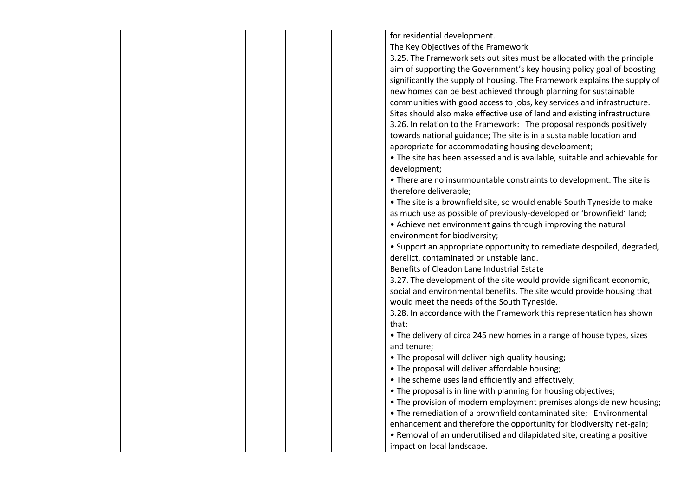|  |  |  | for residential development.                                                               |  |
|--|--|--|--------------------------------------------------------------------------------------------|--|
|  |  |  | The Key Objectives of the Framework                                                        |  |
|  |  |  | 3.25. The Framework sets out sites must be allocated with the principle                    |  |
|  |  |  | aim of supporting the Government's key housing policy goal of boosting                     |  |
|  |  |  | significantly the supply of housing. The Framework explains the supply of                  |  |
|  |  |  | new homes can be best achieved through planning for sustainable                            |  |
|  |  |  | communities with good access to jobs, key services and infrastructure.                     |  |
|  |  |  | Sites should also make effective use of land and existing infrastructure.                  |  |
|  |  |  |                                                                                            |  |
|  |  |  | 3.26. In relation to the Framework: The proposal responds positively                       |  |
|  |  |  | towards national guidance; The site is in a sustainable location and                       |  |
|  |  |  | appropriate for accommodating housing development;                                         |  |
|  |  |  | . The site has been assessed and is available, suitable and achievable for<br>development; |  |
|  |  |  | • There are no insurmountable constraints to development. The site is                      |  |
|  |  |  | therefore deliverable;                                                                     |  |
|  |  |  | • The site is a brownfield site, so would enable South Tyneside to make                    |  |
|  |  |  | as much use as possible of previously-developed or 'brownfield' land;                      |  |
|  |  |  | • Achieve net environment gains through improving the natural                              |  |
|  |  |  | environment for biodiversity;                                                              |  |
|  |  |  | • Support an appropriate opportunity to remediate despoiled, degraded,                     |  |
|  |  |  | derelict, contaminated or unstable land.                                                   |  |
|  |  |  | Benefits of Cleadon Lane Industrial Estate                                                 |  |
|  |  |  | 3.27. The development of the site would provide significant economic,                      |  |
|  |  |  | social and environmental benefits. The site would provide housing that                     |  |
|  |  |  | would meet the needs of the South Tyneside.                                                |  |
|  |  |  | 3.28. In accordance with the Framework this representation has shown                       |  |
|  |  |  | that:                                                                                      |  |
|  |  |  | • The delivery of circa 245 new homes in a range of house types, sizes                     |  |
|  |  |  | and tenure;                                                                                |  |
|  |  |  | . The proposal will deliver high quality housing;                                          |  |
|  |  |  | . The proposal will deliver affordable housing;                                            |  |
|  |  |  | • The scheme uses land efficiently and effectively;                                        |  |
|  |  |  | . The proposal is in line with planning for housing objectives;                            |  |
|  |  |  | • The provision of modern employment premises alongside new housing;                       |  |
|  |  |  | • The remediation of a brownfield contaminated site; Environmental                         |  |
|  |  |  | enhancement and therefore the opportunity for biodiversity net-gain;                       |  |
|  |  |  | • Removal of an underutilised and dilapidated site, creating a positive                    |  |
|  |  |  | impact on local landscape.                                                                 |  |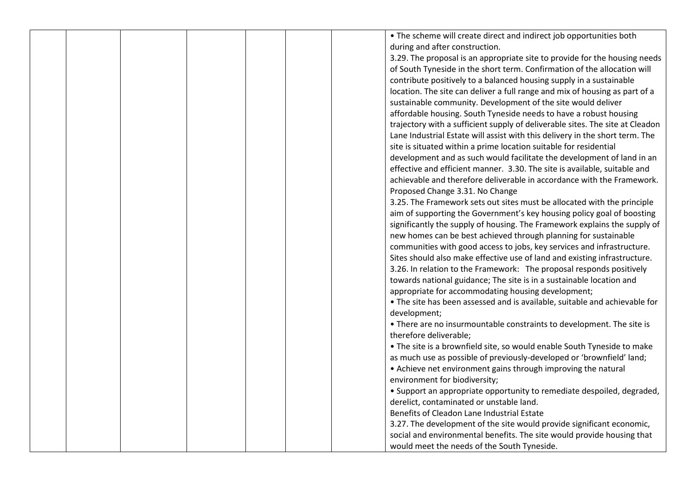|  |  |  | • The scheme will create direct and indirect job opportunities both           |
|--|--|--|-------------------------------------------------------------------------------|
|  |  |  | during and after construction.                                                |
|  |  |  | 3.29. The proposal is an appropriate site to provide for the housing needs    |
|  |  |  | of South Tyneside in the short term. Confirmation of the allocation will      |
|  |  |  |                                                                               |
|  |  |  | contribute positively to a balanced housing supply in a sustainable           |
|  |  |  | location. The site can deliver a full range and mix of housing as part of a   |
|  |  |  | sustainable community. Development of the site would deliver                  |
|  |  |  | affordable housing. South Tyneside needs to have a robust housing             |
|  |  |  | trajectory with a sufficient supply of deliverable sites. The site at Cleadon |
|  |  |  | Lane Industrial Estate will assist with this delivery in the short term. The  |
|  |  |  | site is situated within a prime location suitable for residential             |
|  |  |  | development and as such would facilitate the development of land in an        |
|  |  |  | effective and efficient manner. 3.30. The site is available, suitable and     |
|  |  |  | achievable and therefore deliverable in accordance with the Framework.        |
|  |  |  | Proposed Change 3.31. No Change                                               |
|  |  |  | 3.25. The Framework sets out sites must be allocated with the principle       |
|  |  |  | aim of supporting the Government's key housing policy goal of boosting        |
|  |  |  | significantly the supply of housing. The Framework explains the supply of     |
|  |  |  | new homes can be best achieved through planning for sustainable               |
|  |  |  | communities with good access to jobs, key services and infrastructure.        |
|  |  |  | Sites should also make effective use of land and existing infrastructure.     |
|  |  |  | 3.26. In relation to the Framework: The proposal responds positively          |
|  |  |  | towards national guidance; The site is in a sustainable location and          |
|  |  |  | appropriate for accommodating housing development;                            |
|  |  |  | . The site has been assessed and is available, suitable and achievable for    |
|  |  |  | development;                                                                  |
|  |  |  | • There are no insurmountable constraints to development. The site is         |
|  |  |  | therefore deliverable;                                                        |
|  |  |  | • The site is a brownfield site, so would enable South Tyneside to make       |
|  |  |  | as much use as possible of previously-developed or 'brownfield' land;         |
|  |  |  | • Achieve net environment gains through improving the natural                 |
|  |  |  | environment for biodiversity;                                                 |
|  |  |  | • Support an appropriate opportunity to remediate despoiled, degraded,        |
|  |  |  | derelict, contaminated or unstable land.                                      |
|  |  |  | Benefits of Cleadon Lane Industrial Estate                                    |
|  |  |  |                                                                               |
|  |  |  | 3.27. The development of the site would provide significant economic,         |
|  |  |  | social and environmental benefits. The site would provide housing that        |
|  |  |  | would meet the needs of the South Tyneside.                                   |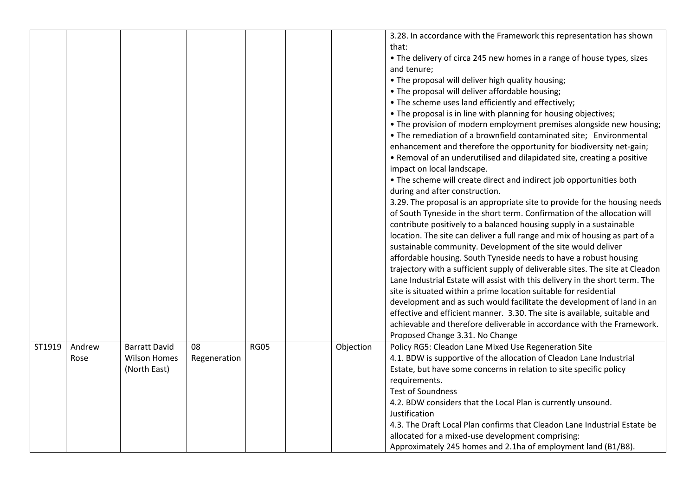|        |                |                                                             |                    |             |           | 3.28. In accordance with the Framework this representation has shown<br>that:<br>• The delivery of circa 245 new homes in a range of house types, sizes<br>and tenure;<br>. The proposal will deliver high quality housing;<br>. The proposal will deliver affordable housing;<br>• The scheme uses land efficiently and effectively;<br>. The proposal is in line with planning for housing objectives;<br>• The provision of modern employment premises alongside new housing;<br>• The remediation of a brownfield contaminated site; Environmental<br>enhancement and therefore the opportunity for biodiversity net-gain;<br>• Removal of an underutilised and dilapidated site, creating a positive<br>impact on local landscape.<br>. The scheme will create direct and indirect job opportunities both<br>during and after construction.<br>3.29. The proposal is an appropriate site to provide for the housing needs<br>of South Tyneside in the short term. Confirmation of the allocation will<br>contribute positively to a balanced housing supply in a sustainable<br>location. The site can deliver a full range and mix of housing as part of a<br>sustainable community. Development of the site would deliver<br>affordable housing. South Tyneside needs to have a robust housing<br>trajectory with a sufficient supply of deliverable sites. The site at Cleadon<br>Lane Industrial Estate will assist with this delivery in the short term. The<br>site is situated within a prime location suitable for residential<br>development and as such would facilitate the development of land in an<br>effective and efficient manner. 3.30. The site is available, suitable and<br>achievable and therefore deliverable in accordance with the Framework.<br>Proposed Change 3.31. No Change |
|--------|----------------|-------------------------------------------------------------|--------------------|-------------|-----------|-----------------------------------------------------------------------------------------------------------------------------------------------------------------------------------------------------------------------------------------------------------------------------------------------------------------------------------------------------------------------------------------------------------------------------------------------------------------------------------------------------------------------------------------------------------------------------------------------------------------------------------------------------------------------------------------------------------------------------------------------------------------------------------------------------------------------------------------------------------------------------------------------------------------------------------------------------------------------------------------------------------------------------------------------------------------------------------------------------------------------------------------------------------------------------------------------------------------------------------------------------------------------------------------------------------------------------------------------------------------------------------------------------------------------------------------------------------------------------------------------------------------------------------------------------------------------------------------------------------------------------------------------------------------------------------------------------------------------------------------------------------------------------------------------------------------|
| ST1919 | Andrew<br>Rose | <b>Barratt David</b><br><b>Wilson Homes</b><br>(North East) | 08<br>Regeneration | <b>RG05</b> | Objection | Policy RG5: Cleadon Lane Mixed Use Regeneration Site<br>4.1. BDW is supportive of the allocation of Cleadon Lane Industrial<br>Estate, but have some concerns in relation to site specific policy<br>requirements.<br><b>Test of Soundness</b><br>4.2. BDW considers that the Local Plan is currently unsound.<br>Justification<br>4.3. The Draft Local Plan confirms that Cleadon Lane Industrial Estate be<br>allocated for a mixed-use development comprising:<br>Approximately 245 homes and 2.1ha of employment land (B1/B8).                                                                                                                                                                                                                                                                                                                                                                                                                                                                                                                                                                                                                                                                                                                                                                                                                                                                                                                                                                                                                                                                                                                                                                                                                                                                              |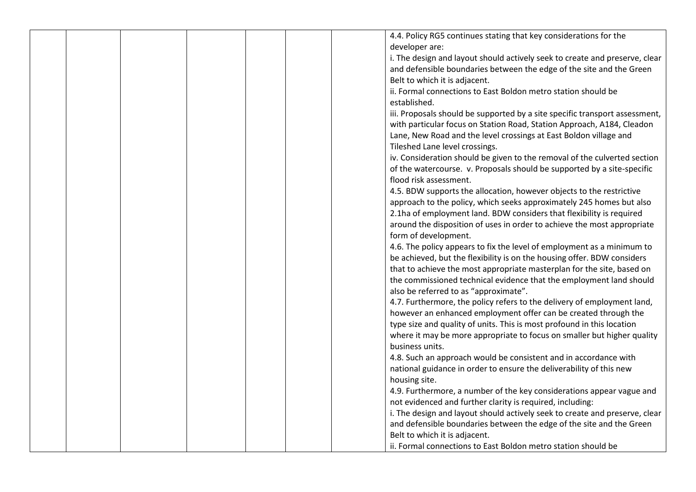|  |  |  | 4.4. Policy RG5 continues stating that key considerations for the           |
|--|--|--|-----------------------------------------------------------------------------|
|  |  |  | developer are:                                                              |
|  |  |  | i. The design and layout should actively seek to create and preserve, clear |
|  |  |  | and defensible boundaries between the edge of the site and the Green        |
|  |  |  | Belt to which it is adjacent.                                               |
|  |  |  | ii. Formal connections to East Boldon metro station should be               |
|  |  |  | established.                                                                |
|  |  |  | iii. Proposals should be supported by a site specific transport assessment, |
|  |  |  | with particular focus on Station Road, Station Approach, A184, Cleadon      |
|  |  |  | Lane, New Road and the level crossings at East Boldon village and           |
|  |  |  | Tileshed Lane level crossings.                                              |
|  |  |  | iv. Consideration should be given to the removal of the culverted section   |
|  |  |  | of the watercourse. v. Proposals should be supported by a site-specific     |
|  |  |  | flood risk assessment.                                                      |
|  |  |  | 4.5. BDW supports the allocation, however objects to the restrictive        |
|  |  |  | approach to the policy, which seeks approximately 245 homes but also        |
|  |  |  | 2.1ha of employment land. BDW considers that flexibility is required        |
|  |  |  | around the disposition of uses in order to achieve the most appropriate     |
|  |  |  | form of development.                                                        |
|  |  |  |                                                                             |
|  |  |  | 4.6. The policy appears to fix the level of employment as a minimum to      |
|  |  |  | be achieved, but the flexibility is on the housing offer. BDW considers     |
|  |  |  | that to achieve the most appropriate masterplan for the site, based on      |
|  |  |  | the commissioned technical evidence that the employment land should         |
|  |  |  | also be referred to as "approximate".                                       |
|  |  |  | 4.7. Furthermore, the policy refers to the delivery of employment land,     |
|  |  |  | however an enhanced employment offer can be created through the             |
|  |  |  | type size and quality of units. This is most profound in this location      |
|  |  |  | where it may be more appropriate to focus on smaller but higher quality     |
|  |  |  | business units.                                                             |
|  |  |  | 4.8. Such an approach would be consistent and in accordance with            |
|  |  |  | national guidance in order to ensure the deliverability of this new         |
|  |  |  | housing site.                                                               |
|  |  |  | 4.9. Furthermore, a number of the key considerations appear vague and       |
|  |  |  | not evidenced and further clarity is required, including:                   |
|  |  |  | i. The design and layout should actively seek to create and preserve, clear |
|  |  |  | and defensible boundaries between the edge of the site and the Green        |
|  |  |  | Belt to which it is adjacent.                                               |
|  |  |  | ii. Formal connections to East Boldon metro station should be               |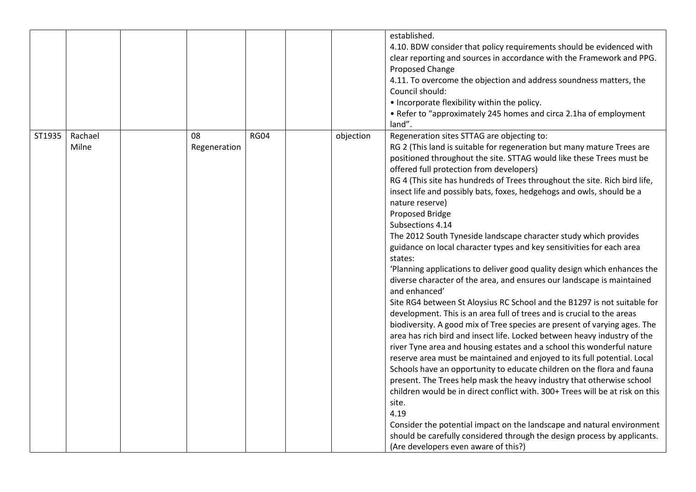|        |                  |                    |             |           | established.<br>4.10. BDW consider that policy requirements should be evidenced with<br>clear reporting and sources in accordance with the Framework and PPG.<br>Proposed Change<br>4.11. To overcome the objection and address soundness matters, the<br>Council should:<br>• Incorporate flexibility within the policy.<br>• Refer to "approximately 245 homes and circa 2.1ha of employment<br>land".                                                                                                                                                                                                                                                                                                                                                                                                                                                                                                                                                                                                                                                                                                                                                                                                                                                                                                                                                                                                                                                                                                                                                                                                                                                                                                         |
|--------|------------------|--------------------|-------------|-----------|------------------------------------------------------------------------------------------------------------------------------------------------------------------------------------------------------------------------------------------------------------------------------------------------------------------------------------------------------------------------------------------------------------------------------------------------------------------------------------------------------------------------------------------------------------------------------------------------------------------------------------------------------------------------------------------------------------------------------------------------------------------------------------------------------------------------------------------------------------------------------------------------------------------------------------------------------------------------------------------------------------------------------------------------------------------------------------------------------------------------------------------------------------------------------------------------------------------------------------------------------------------------------------------------------------------------------------------------------------------------------------------------------------------------------------------------------------------------------------------------------------------------------------------------------------------------------------------------------------------------------------------------------------------------------------------------------------------|
| ST1935 | Rachael<br>Milne | 08<br>Regeneration | <b>RG04</b> | objection | Regeneration sites STTAG are objecting to:<br>RG 2 (This land is suitable for regeneration but many mature Trees are<br>positioned throughout the site. STTAG would like these Trees must be<br>offered full protection from developers)<br>RG 4 (This site has hundreds of Trees throughout the site. Rich bird life,<br>insect life and possibly bats, foxes, hedgehogs and owls, should be a<br>nature reserve)<br>Proposed Bridge<br>Subsections 4.14<br>The 2012 South Tyneside landscape character study which provides<br>guidance on local character types and key sensitivities for each area<br>states:<br>'Planning applications to deliver good quality design which enhances the<br>diverse character of the area, and ensures our landscape is maintained<br>and enhanced'<br>Site RG4 between St Aloysius RC School and the B1297 is not suitable for<br>development. This is an area full of trees and is crucial to the areas<br>biodiversity. A good mix of Tree species are present of varying ages. The<br>area has rich bird and insect life. Locked between heavy industry of the<br>river Tyne area and housing estates and a school this wonderful nature<br>reserve area must be maintained and enjoyed to its full potential. Local<br>Schools have an opportunity to educate children on the flora and fauna<br>present. The Trees help mask the heavy industry that otherwise school<br>children would be in direct conflict with. 300+ Trees will be at risk on this<br>site.<br>4.19<br>Consider the potential impact on the landscape and natural environment<br>should be carefully considered through the design process by applicants.<br>(Are developers even aware of this?) |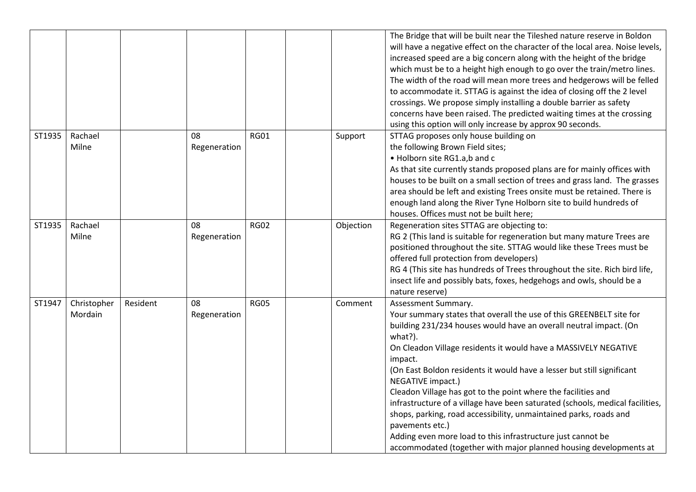|        |                        |          |                    |             |           | The Bridge that will be built near the Tileshed nature reserve in Boldon<br>will have a negative effect on the character of the local area. Noise levels,<br>increased speed are a big concern along with the height of the bridge<br>which must be to a height high enough to go over the train/metro lines.<br>The width of the road will mean more trees and hedgerows will be felled<br>to accommodate it. STTAG is against the idea of closing off the 2 level<br>crossings. We propose simply installing a double barrier as safety<br>concerns have been raised. The predicted waiting times at the crossing<br>using this option will only increase by approx 90 seconds.                                                     |
|--------|------------------------|----------|--------------------|-------------|-----------|---------------------------------------------------------------------------------------------------------------------------------------------------------------------------------------------------------------------------------------------------------------------------------------------------------------------------------------------------------------------------------------------------------------------------------------------------------------------------------------------------------------------------------------------------------------------------------------------------------------------------------------------------------------------------------------------------------------------------------------|
| ST1935 | Rachael<br>Milne       |          | 08<br>Regeneration | <b>RG01</b> | Support   | STTAG proposes only house building on<br>the following Brown Field sites;<br>• Holborn site RG1.a,b and c<br>As that site currently stands proposed plans are for mainly offices with<br>houses to be built on a small section of trees and grass land. The grasses<br>area should be left and existing Trees onsite must be retained. There is<br>enough land along the River Tyne Holborn site to build hundreds of<br>houses. Offices must not be built here;                                                                                                                                                                                                                                                                      |
| ST1935 | Rachael<br>Milne       |          | 08<br>Regeneration | <b>RG02</b> | Objection | Regeneration sites STTAG are objecting to:<br>RG 2 (This land is suitable for regeneration but many mature Trees are<br>positioned throughout the site. STTAG would like these Trees must be<br>offered full protection from developers)<br>RG 4 (This site has hundreds of Trees throughout the site. Rich bird life,<br>insect life and possibly bats, foxes, hedgehogs and owls, should be a<br>nature reserve)                                                                                                                                                                                                                                                                                                                    |
| ST1947 | Christopher<br>Mordain | Resident | 08<br>Regeneration | <b>RG05</b> | Comment   | Assessment Summary.<br>Your summary states that overall the use of this GREENBELT site for<br>building 231/234 houses would have an overall neutral impact. (On<br>what?).<br>On Cleadon Village residents it would have a MASSIVELY NEGATIVE<br>impact.<br>(On East Boldon residents it would have a lesser but still significant<br>NEGATIVE impact.)<br>Cleadon Village has got to the point where the facilities and<br>infrastructure of a village have been saturated (schools, medical facilities,<br>shops, parking, road accessibility, unmaintained parks, roads and<br>pavements etc.)<br>Adding even more load to this infrastructure just cannot be<br>accommodated (together with major planned housing developments at |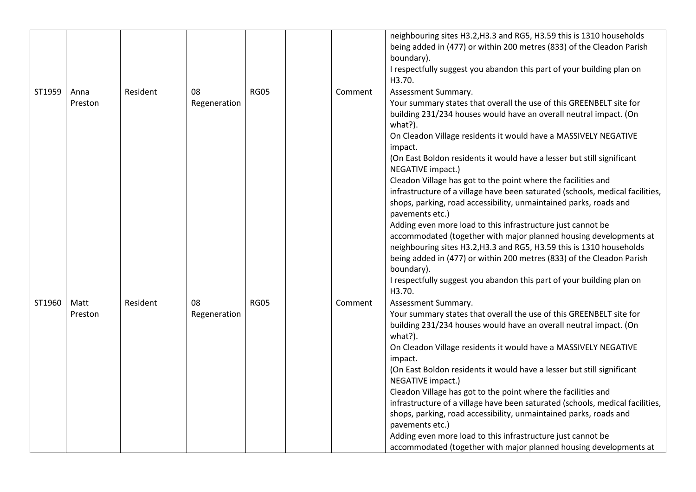|        |                 |          |                    |             |         | neighbouring sites H3.2, H3.3 and RG5, H3.59 this is 1310 households<br>being added in (477) or within 200 metres (833) of the Cleadon Parish<br>boundary).<br>I respectfully suggest you abandon this part of your building plan on<br>H3.70.                                                                                                                                                                                                                                                                                                                                                                                                                                                                                                                                                                                                                                                                                                                                          |
|--------|-----------------|----------|--------------------|-------------|---------|-----------------------------------------------------------------------------------------------------------------------------------------------------------------------------------------------------------------------------------------------------------------------------------------------------------------------------------------------------------------------------------------------------------------------------------------------------------------------------------------------------------------------------------------------------------------------------------------------------------------------------------------------------------------------------------------------------------------------------------------------------------------------------------------------------------------------------------------------------------------------------------------------------------------------------------------------------------------------------------------|
| ST1959 | Anna<br>Preston | Resident | 08<br>Regeneration | <b>RG05</b> | Comment | Assessment Summary.<br>Your summary states that overall the use of this GREENBELT site for<br>building 231/234 houses would have an overall neutral impact. (On<br>what?).<br>On Cleadon Village residents it would have a MASSIVELY NEGATIVE<br>impact.<br>(On East Boldon residents it would have a lesser but still significant<br>NEGATIVE impact.)<br>Cleadon Village has got to the point where the facilities and<br>infrastructure of a village have been saturated (schools, medical facilities,<br>shops, parking, road accessibility, unmaintained parks, roads and<br>pavements etc.)<br>Adding even more load to this infrastructure just cannot be<br>accommodated (together with major planned housing developments at<br>neighbouring sites H3.2, H3.3 and RG5, H3.59 this is 1310 households<br>being added in (477) or within 200 metres (833) of the Cleadon Parish<br>boundary).<br>I respectfully suggest you abandon this part of your building plan on<br>H3.70. |
| ST1960 | Matt<br>Preston | Resident | 08<br>Regeneration | <b>RG05</b> | Comment | Assessment Summary.<br>Your summary states that overall the use of this GREENBELT site for<br>building 231/234 houses would have an overall neutral impact. (On<br>what?).<br>On Cleadon Village residents it would have a MASSIVELY NEGATIVE<br>impact.<br>(On East Boldon residents it would have a lesser but still significant<br>NEGATIVE impact.)<br>Cleadon Village has got to the point where the facilities and<br>infrastructure of a village have been saturated (schools, medical facilities,<br>shops, parking, road accessibility, unmaintained parks, roads and<br>pavements etc.)<br>Adding even more load to this infrastructure just cannot be<br>accommodated (together with major planned housing developments at                                                                                                                                                                                                                                                   |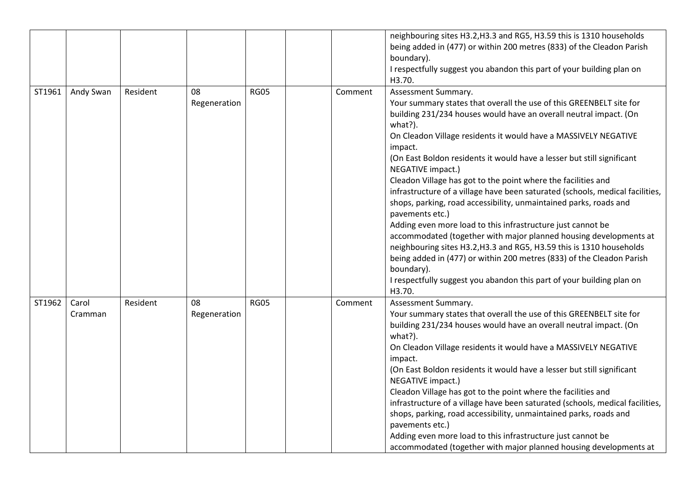|        |                  |          |                    |             |         | neighbouring sites H3.2, H3.3 and RG5, H3.59 this is 1310 households<br>being added in (477) or within 200 metres (833) of the Cleadon Parish<br>boundary).<br>I respectfully suggest you abandon this part of your building plan on<br>H3.70.                                                                                                                                                                                                                                                                                                                                                                                                                                                                                                                                                                                                                                                                                                                                          |
|--------|------------------|----------|--------------------|-------------|---------|-----------------------------------------------------------------------------------------------------------------------------------------------------------------------------------------------------------------------------------------------------------------------------------------------------------------------------------------------------------------------------------------------------------------------------------------------------------------------------------------------------------------------------------------------------------------------------------------------------------------------------------------------------------------------------------------------------------------------------------------------------------------------------------------------------------------------------------------------------------------------------------------------------------------------------------------------------------------------------------------|
| ST1961 | Andy Swan        | Resident | 08<br>Regeneration | <b>RG05</b> | Comment | Assessment Summary.<br>Your summary states that overall the use of this GREENBELT site for<br>building 231/234 houses would have an overall neutral impact. (On<br>what?).<br>On Cleadon Village residents it would have a MASSIVELY NEGATIVE<br>impact.<br>(On East Boldon residents it would have a lesser but still significant<br>NEGATIVE impact.)<br>Cleadon Village has got to the point where the facilities and<br>infrastructure of a village have been saturated (schools, medical facilities,<br>shops, parking, road accessibility, unmaintained parks, roads and<br>pavements etc.)<br>Adding even more load to this infrastructure just cannot be<br>accommodated (together with major planned housing developments at<br>neighbouring sites H3.2, H3.3 and RG5, H3.59 this is 1310 households<br>being added in (477) or within 200 metres (833) of the Cleadon Parish<br>boundary).<br>I respectfully suggest you abandon this part of your building plan on<br>H3.70. |
| ST1962 | Carol<br>Cramman | Resident | 08<br>Regeneration | <b>RG05</b> | Comment | Assessment Summary.<br>Your summary states that overall the use of this GREENBELT site for<br>building 231/234 houses would have an overall neutral impact. (On<br>what?).<br>On Cleadon Village residents it would have a MASSIVELY NEGATIVE<br>impact.<br>(On East Boldon residents it would have a lesser but still significant<br>NEGATIVE impact.)<br>Cleadon Village has got to the point where the facilities and<br>infrastructure of a village have been saturated (schools, medical facilities,<br>shops, parking, road accessibility, unmaintained parks, roads and<br>pavements etc.)<br>Adding even more load to this infrastructure just cannot be<br>accommodated (together with major planned housing developments at                                                                                                                                                                                                                                                   |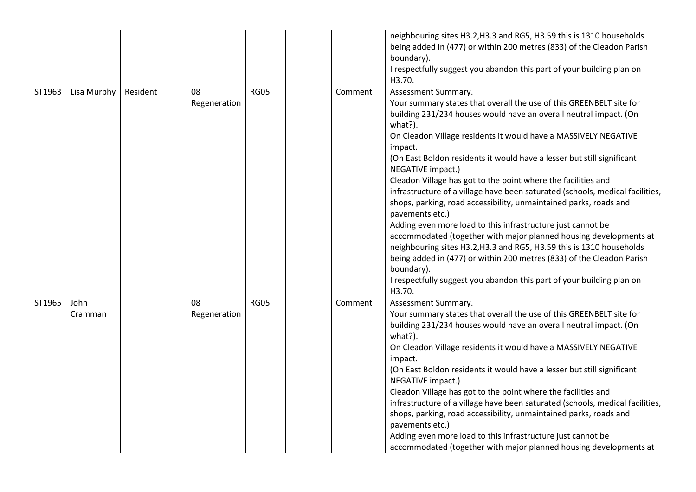|        |                 |          |                    |             |         | neighbouring sites H3.2, H3.3 and RG5, H3.59 this is 1310 households<br>being added in (477) or within 200 metres (833) of the Cleadon Parish<br>boundary).<br>I respectfully suggest you abandon this part of your building plan on<br>H3.70.                                                                                                                                                                                                                                                                                                                                                                                                                                                                                                                                                                                                                                                                                                                                          |
|--------|-----------------|----------|--------------------|-------------|---------|-----------------------------------------------------------------------------------------------------------------------------------------------------------------------------------------------------------------------------------------------------------------------------------------------------------------------------------------------------------------------------------------------------------------------------------------------------------------------------------------------------------------------------------------------------------------------------------------------------------------------------------------------------------------------------------------------------------------------------------------------------------------------------------------------------------------------------------------------------------------------------------------------------------------------------------------------------------------------------------------|
| ST1963 | Lisa Murphy     | Resident | 08<br>Regeneration | <b>RG05</b> | Comment | Assessment Summary.<br>Your summary states that overall the use of this GREENBELT site for<br>building 231/234 houses would have an overall neutral impact. (On<br>what?).<br>On Cleadon Village residents it would have a MASSIVELY NEGATIVE<br>impact.<br>(On East Boldon residents it would have a lesser but still significant<br>NEGATIVE impact.)<br>Cleadon Village has got to the point where the facilities and<br>infrastructure of a village have been saturated (schools, medical facilities,<br>shops, parking, road accessibility, unmaintained parks, roads and<br>pavements etc.)<br>Adding even more load to this infrastructure just cannot be<br>accommodated (together with major planned housing developments at<br>neighbouring sites H3.2, H3.3 and RG5, H3.59 this is 1310 households<br>being added in (477) or within 200 metres (833) of the Cleadon Parish<br>boundary).<br>I respectfully suggest you abandon this part of your building plan on<br>H3.70. |
| ST1965 | John<br>Cramman |          | 08<br>Regeneration | <b>RG05</b> | Comment | Assessment Summary.<br>Your summary states that overall the use of this GREENBELT site for<br>building 231/234 houses would have an overall neutral impact. (On<br>what?).<br>On Cleadon Village residents it would have a MASSIVELY NEGATIVE<br>impact.<br>(On East Boldon residents it would have a lesser but still significant<br>NEGATIVE impact.)<br>Cleadon Village has got to the point where the facilities and<br>infrastructure of a village have been saturated (schools, medical facilities,<br>shops, parking, road accessibility, unmaintained parks, roads and<br>pavements etc.)<br>Adding even more load to this infrastructure just cannot be<br>accommodated (together with major planned housing developments at                                                                                                                                                                                                                                                   |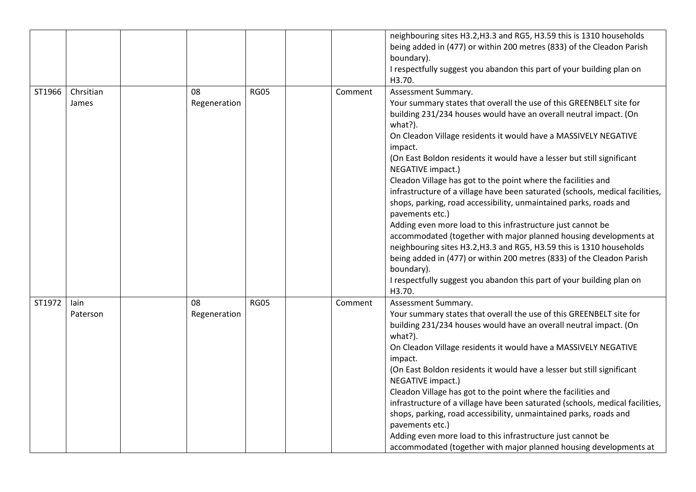|        |                    |                    |             |         | neighbouring sites H3.2, H3.3 and RG5, H3.59 this is 1310 households<br>being added in (477) or within 200 metres (833) of the Cleadon Parish<br>boundary).<br>I respectfully suggest you abandon this part of your building plan on<br>H3.70.                                                                                                                                                                                                                                                                                                                                                                                                                                                                                                                                                                                                                                                                                                                                          |
|--------|--------------------|--------------------|-------------|---------|-----------------------------------------------------------------------------------------------------------------------------------------------------------------------------------------------------------------------------------------------------------------------------------------------------------------------------------------------------------------------------------------------------------------------------------------------------------------------------------------------------------------------------------------------------------------------------------------------------------------------------------------------------------------------------------------------------------------------------------------------------------------------------------------------------------------------------------------------------------------------------------------------------------------------------------------------------------------------------------------|
| ST1966 | Chrsitian<br>James | 08<br>Regeneration | <b>RG05</b> | Comment | Assessment Summary.<br>Your summary states that overall the use of this GREENBELT site for<br>building 231/234 houses would have an overall neutral impact. (On<br>what?).<br>On Cleadon Village residents it would have a MASSIVELY NEGATIVE<br>impact.<br>(On East Boldon residents it would have a lesser but still significant<br>NEGATIVE impact.)<br>Cleadon Village has got to the point where the facilities and<br>infrastructure of a village have been saturated (schools, medical facilities,<br>shops, parking, road accessibility, unmaintained parks, roads and<br>pavements etc.)<br>Adding even more load to this infrastructure just cannot be<br>accommodated (together with major planned housing developments at<br>neighbouring sites H3.2, H3.3 and RG5, H3.59 this is 1310 households<br>being added in (477) or within 200 metres (833) of the Cleadon Parish<br>boundary).<br>I respectfully suggest you abandon this part of your building plan on<br>H3.70. |
| ST1972 | lain<br>Paterson   | 08<br>Regeneration | <b>RG05</b> | Comment | Assessment Summary.<br>Your summary states that overall the use of this GREENBELT site for<br>building 231/234 houses would have an overall neutral impact. (On<br>what?).<br>On Cleadon Village residents it would have a MASSIVELY NEGATIVE<br>impact.<br>(On East Boldon residents it would have a lesser but still significant<br>NEGATIVE impact.)<br>Cleadon Village has got to the point where the facilities and<br>infrastructure of a village have been saturated (schools, medical facilities,<br>shops, parking, road accessibility, unmaintained parks, roads and<br>pavements etc.)<br>Adding even more load to this infrastructure just cannot be<br>accommodated (together with major planned housing developments at                                                                                                                                                                                                                                                   |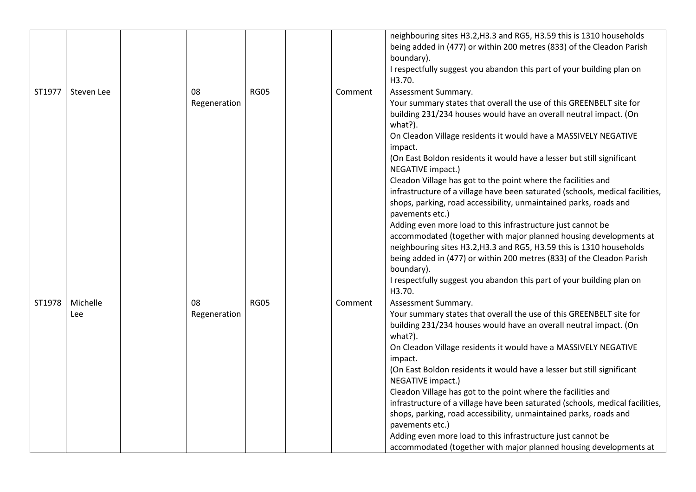|        |                 |                    |             |         | neighbouring sites H3.2, H3.3 and RG5, H3.59 this is 1310 households<br>being added in (477) or within 200 metres (833) of the Cleadon Parish<br>boundary).<br>I respectfully suggest you abandon this part of your building plan on<br>H3.70.                                                                                                                                                                                                                                                                                                                                                                                                                                                                                                                                                                                                                                                                                                                                          |
|--------|-----------------|--------------------|-------------|---------|-----------------------------------------------------------------------------------------------------------------------------------------------------------------------------------------------------------------------------------------------------------------------------------------------------------------------------------------------------------------------------------------------------------------------------------------------------------------------------------------------------------------------------------------------------------------------------------------------------------------------------------------------------------------------------------------------------------------------------------------------------------------------------------------------------------------------------------------------------------------------------------------------------------------------------------------------------------------------------------------|
| ST1977 | Steven Lee      | 08<br>Regeneration | <b>RG05</b> | Comment | Assessment Summary.<br>Your summary states that overall the use of this GREENBELT site for<br>building 231/234 houses would have an overall neutral impact. (On<br>what?).<br>On Cleadon Village residents it would have a MASSIVELY NEGATIVE<br>impact.<br>(On East Boldon residents it would have a lesser but still significant<br>NEGATIVE impact.)<br>Cleadon Village has got to the point where the facilities and<br>infrastructure of a village have been saturated (schools, medical facilities,<br>shops, parking, road accessibility, unmaintained parks, roads and<br>pavements etc.)<br>Adding even more load to this infrastructure just cannot be<br>accommodated (together with major planned housing developments at<br>neighbouring sites H3.2, H3.3 and RG5, H3.59 this is 1310 households<br>being added in (477) or within 200 metres (833) of the Cleadon Parish<br>boundary).<br>I respectfully suggest you abandon this part of your building plan on<br>H3.70. |
| ST1978 | Michelle<br>Lee | 08<br>Regeneration | <b>RG05</b> | Comment | Assessment Summary.<br>Your summary states that overall the use of this GREENBELT site for<br>building 231/234 houses would have an overall neutral impact. (On<br>what?).<br>On Cleadon Village residents it would have a MASSIVELY NEGATIVE<br>impact.<br>(On East Boldon residents it would have a lesser but still significant<br>NEGATIVE impact.)<br>Cleadon Village has got to the point where the facilities and<br>infrastructure of a village have been saturated (schools, medical facilities,<br>shops, parking, road accessibility, unmaintained parks, roads and<br>pavements etc.)<br>Adding even more load to this infrastructure just cannot be<br>accommodated (together with major planned housing developments at                                                                                                                                                                                                                                                   |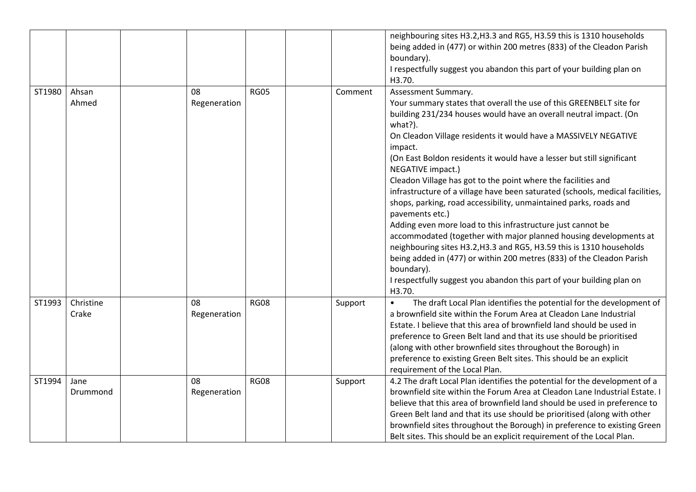|        |                    |                    |             |         | neighbouring sites H3.2, H3.3 and RG5, H3.59 this is 1310 households<br>being added in (477) or within 200 metres (833) of the Cleadon Parish<br>boundary).<br>I respectfully suggest you abandon this part of your building plan on<br>H3.70.                                                                                                                                                                                                                                                                                                                                                                                                                                                                                                                                                                                                                                                                                                                                          |
|--------|--------------------|--------------------|-------------|---------|-----------------------------------------------------------------------------------------------------------------------------------------------------------------------------------------------------------------------------------------------------------------------------------------------------------------------------------------------------------------------------------------------------------------------------------------------------------------------------------------------------------------------------------------------------------------------------------------------------------------------------------------------------------------------------------------------------------------------------------------------------------------------------------------------------------------------------------------------------------------------------------------------------------------------------------------------------------------------------------------|
| ST1980 | Ahsan<br>Ahmed     | 08<br>Regeneration | <b>RG05</b> | Comment | Assessment Summary.<br>Your summary states that overall the use of this GREENBELT site for<br>building 231/234 houses would have an overall neutral impact. (On<br>what?).<br>On Cleadon Village residents it would have a MASSIVELY NEGATIVE<br>impact.<br>(On East Boldon residents it would have a lesser but still significant<br>NEGATIVE impact.)<br>Cleadon Village has got to the point where the facilities and<br>infrastructure of a village have been saturated (schools, medical facilities,<br>shops, parking, road accessibility, unmaintained parks, roads and<br>pavements etc.)<br>Adding even more load to this infrastructure just cannot be<br>accommodated (together with major planned housing developments at<br>neighbouring sites H3.2, H3.3 and RG5, H3.59 this is 1310 households<br>being added in (477) or within 200 metres (833) of the Cleadon Parish<br>boundary).<br>I respectfully suggest you abandon this part of your building plan on<br>H3.70. |
| ST1993 | Christine<br>Crake | 08<br>Regeneration | <b>RG08</b> | Support | The draft Local Plan identifies the potential for the development of<br>$\bullet$<br>a brownfield site within the Forum Area at Cleadon Lane Industrial<br>Estate. I believe that this area of brownfield land should be used in<br>preference to Green Belt land and that its use should be prioritised<br>(along with other brownfield sites throughout the Borough) in<br>preference to existing Green Belt sites. This should be an explicit<br>requirement of the Local Plan.                                                                                                                                                                                                                                                                                                                                                                                                                                                                                                      |
| ST1994 | Jane<br>Drummond   | 08<br>Regeneration | <b>RG08</b> | Support | 4.2 The draft Local Plan identifies the potential for the development of a<br>brownfield site within the Forum Area at Cleadon Lane Industrial Estate. I<br>believe that this area of brownfield land should be used in preference to<br>Green Belt land and that its use should be prioritised (along with other<br>brownfield sites throughout the Borough) in preference to existing Green<br>Belt sites. This should be an explicit requirement of the Local Plan.                                                                                                                                                                                                                                                                                                                                                                                                                                                                                                                  |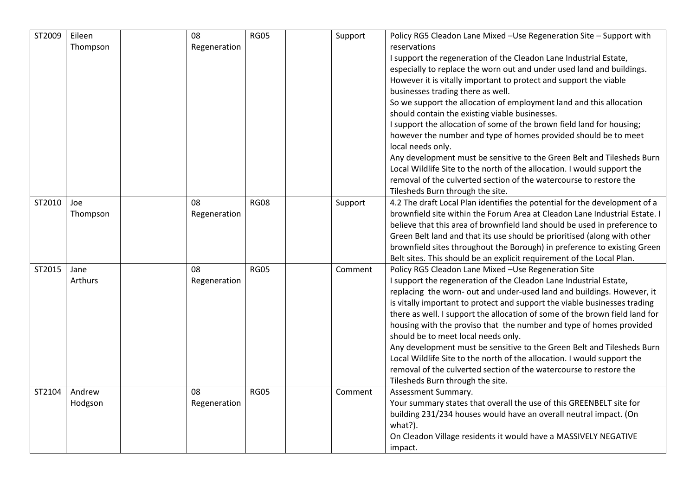| ST2009 | Eileen   | 08           | <b>RG05</b> | Support | Policy RG5 Cleadon Lane Mixed -Use Regeneration Site - Support with         |
|--------|----------|--------------|-------------|---------|-----------------------------------------------------------------------------|
|        | Thompson | Regeneration |             |         | reservations                                                                |
|        |          |              |             |         | I support the regeneration of the Cleadon Lane Industrial Estate,           |
|        |          |              |             |         | especially to replace the worn out and under used land and buildings.       |
|        |          |              |             |         | However it is vitally important to protect and support the viable           |
|        |          |              |             |         | businesses trading there as well.                                           |
|        |          |              |             |         | So we support the allocation of employment land and this allocation         |
|        |          |              |             |         | should contain the existing viable businesses.                              |
|        |          |              |             |         | I support the allocation of some of the brown field land for housing;       |
|        |          |              |             |         | however the number and type of homes provided should be to meet             |
|        |          |              |             |         | local needs only.                                                           |
|        |          |              |             |         | Any development must be sensitive to the Green Belt and Tilesheds Burn      |
|        |          |              |             |         | Local Wildlife Site to the north of the allocation. I would support the     |
|        |          |              |             |         | removal of the culverted section of the watercourse to restore the          |
|        |          |              |             |         | Tilesheds Burn through the site.                                            |
| ST2010 | Joe      | 08           | <b>RG08</b> | Support | 4.2 The draft Local Plan identifies the potential for the development of a  |
|        | Thompson | Regeneration |             |         | brownfield site within the Forum Area at Cleadon Lane Industrial Estate. I  |
|        |          |              |             |         | believe that this area of brownfield land should be used in preference to   |
|        |          |              |             |         | Green Belt land and that its use should be prioritised (along with other    |
|        |          |              |             |         | brownfield sites throughout the Borough) in preference to existing Green    |
|        |          |              |             |         | Belt sites. This should be an explicit requirement of the Local Plan.       |
| ST2015 | Jane     | 08           | <b>RG05</b> | Comment | Policy RG5 Cleadon Lane Mixed -Use Regeneration Site                        |
|        | Arthurs  | Regeneration |             |         | I support the regeneration of the Cleadon Lane Industrial Estate,           |
|        |          |              |             |         | replacing the worn- out and under-used land and buildings. However, it      |
|        |          |              |             |         | is vitally important to protect and support the viable businesses trading   |
|        |          |              |             |         | there as well. I support the allocation of some of the brown field land for |
|        |          |              |             |         | housing with the proviso that the number and type of homes provided         |
|        |          |              |             |         | should be to meet local needs only.                                         |
|        |          |              |             |         | Any development must be sensitive to the Green Belt and Tilesheds Burn      |
|        |          |              |             |         | Local Wildlife Site to the north of the allocation. I would support the     |
|        |          |              |             |         | removal of the culverted section of the watercourse to restore the          |
|        |          |              |             |         | Tilesheds Burn through the site.                                            |
| ST2104 | Andrew   | 08           | <b>RG05</b> | Comment | Assessment Summary.                                                         |
|        | Hodgson  | Regeneration |             |         | Your summary states that overall the use of this GREENBELT site for         |
|        |          |              |             |         | building 231/234 houses would have an overall neutral impact. (On           |
|        |          |              |             |         | what?).                                                                     |
|        |          |              |             |         | On Cleadon Village residents it would have a MASSIVELY NEGATIVE             |
|        |          |              |             |         | impact.                                                                     |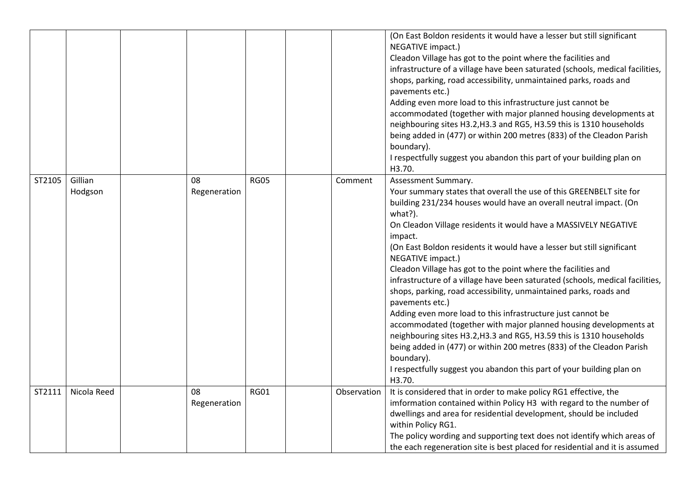|        |                    |                    |             |             | (On East Boldon residents it would have a lesser but still significant<br>NEGATIVE impact.)<br>Cleadon Village has got to the point where the facilities and<br>infrastructure of a village have been saturated (schools, medical facilities,<br>shops, parking, road accessibility, unmaintained parks, roads and<br>pavements etc.)<br>Adding even more load to this infrastructure just cannot be<br>accommodated (together with major planned housing developments at<br>neighbouring sites H3.2, H3.3 and RG5, H3.59 this is 1310 households<br>being added in (477) or within 200 metres (833) of the Cleadon Parish<br>boundary).<br>I respectfully suggest you abandon this part of your building plan on<br>H3.70.                                                                                                                                                                                                                                                             |
|--------|--------------------|--------------------|-------------|-------------|-----------------------------------------------------------------------------------------------------------------------------------------------------------------------------------------------------------------------------------------------------------------------------------------------------------------------------------------------------------------------------------------------------------------------------------------------------------------------------------------------------------------------------------------------------------------------------------------------------------------------------------------------------------------------------------------------------------------------------------------------------------------------------------------------------------------------------------------------------------------------------------------------------------------------------------------------------------------------------------------|
| ST2105 | Gillian<br>Hodgson | 08<br>Regeneration | <b>RG05</b> | Comment     | Assessment Summary.<br>Your summary states that overall the use of this GREENBELT site for<br>building 231/234 houses would have an overall neutral impact. (On<br>what?).<br>On Cleadon Village residents it would have a MASSIVELY NEGATIVE<br>impact.<br>(On East Boldon residents it would have a lesser but still significant<br>NEGATIVE impact.)<br>Cleadon Village has got to the point where the facilities and<br>infrastructure of a village have been saturated (schools, medical facilities,<br>shops, parking, road accessibility, unmaintained parks, roads and<br>pavements etc.)<br>Adding even more load to this infrastructure just cannot be<br>accommodated (together with major planned housing developments at<br>neighbouring sites H3.2, H3.3 and RG5, H3.59 this is 1310 households<br>being added in (477) or within 200 metres (833) of the Cleadon Parish<br>boundary).<br>I respectfully suggest you abandon this part of your building plan on<br>H3.70. |
| ST2111 | Nicola Reed        | 08<br>Regeneration | <b>RG01</b> | Observation | It is considered that in order to make policy RG1 effective, the<br>imformation contained within Policy H3 with regard to the number of<br>dwellings and area for residential development, should be included<br>within Policy RG1.<br>The policy wording and supporting text does not identify which areas of<br>the each regeneration site is best placed for residential and it is assumed                                                                                                                                                                                                                                                                                                                                                                                                                                                                                                                                                                                           |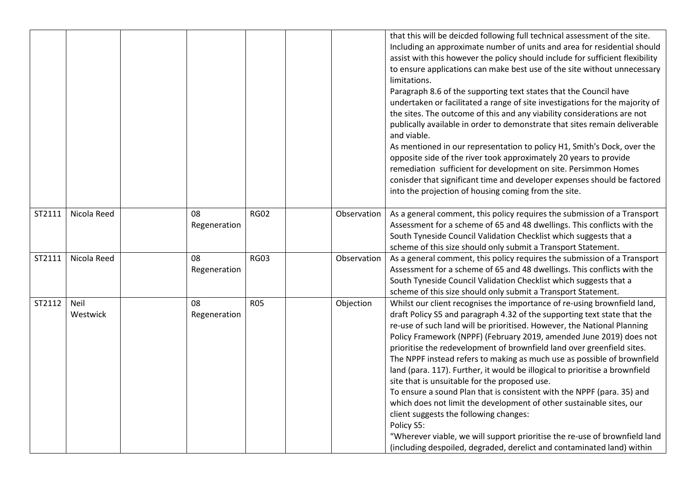|        |                  |                    |             |             | that this will be deicded following full technical assessment of the site.<br>Including an approximate number of units and area for residential should<br>assist with this however the policy should include for sufficient flexibility<br>to ensure applications can make best use of the site without unnecessary<br>limitations.<br>Paragraph 8.6 of the supporting text states that the Council have<br>undertaken or facilitated a range of site investigations for the majority of<br>the sites. The outcome of this and any viability considerations are not<br>publically available in order to demonstrate that sites remain deliverable<br>and viable.<br>As mentioned in our representation to policy H1, Smith's Dock, over the<br>opposite side of the river took approximately 20 years to provide<br>remediation sufficient for development on site. Persimmon Homes<br>conisder that significant time and developer expenses should be factored<br>into the projection of housing coming from the site. |
|--------|------------------|--------------------|-------------|-------------|-------------------------------------------------------------------------------------------------------------------------------------------------------------------------------------------------------------------------------------------------------------------------------------------------------------------------------------------------------------------------------------------------------------------------------------------------------------------------------------------------------------------------------------------------------------------------------------------------------------------------------------------------------------------------------------------------------------------------------------------------------------------------------------------------------------------------------------------------------------------------------------------------------------------------------------------------------------------------------------------------------------------------|
| ST2111 | Nicola Reed      | 08<br>Regeneration | <b>RG02</b> | Observation | As a general comment, this policy requires the submission of a Transport<br>Assessment for a scheme of 65 and 48 dwellings. This conflicts with the<br>South Tyneside Council Validation Checklist which suggests that a<br>scheme of this size should only submit a Transport Statement.                                                                                                                                                                                                                                                                                                                                                                                                                                                                                                                                                                                                                                                                                                                               |
| ST2111 | Nicola Reed      | 08<br>Regeneration | <b>RG03</b> | Observation | As a general comment, this policy requires the submission of a Transport<br>Assessment for a scheme of 65 and 48 dwellings. This conflicts with the<br>South Tyneside Council Validation Checklist which suggests that a<br>scheme of this size should only submit a Transport Statement.                                                                                                                                                                                                                                                                                                                                                                                                                                                                                                                                                                                                                                                                                                                               |
| ST2112 | Neil<br>Westwick | 08<br>Regeneration | <b>R05</b>  | Objection   | Whilst our client recognises the importance of re-using brownfield land,<br>draft Policy S5 and paragraph 4.32 of the supporting text state that the<br>re-use of such land will be prioritised. However, the National Planning<br>Policy Framework (NPPF) (February 2019, amended June 2019) does not<br>prioritise the redevelopment of brownfield land over greenfield sites.<br>The NPPF instead refers to making as much use as possible of brownfield<br>land (para. 117). Further, it would be illogical to prioritise a brownfield<br>site that is unsuitable for the proposed use.<br>To ensure a sound Plan that is consistent with the NPPF (para. 35) and<br>which does not limit the development of other sustainable sites, our<br>client suggests the following changes:<br>Policy S5:<br>"Wherever viable, we will support prioritise the re-use of brownfield land<br>(including despoiled, degraded, derelict and contaminated land) within                                                           |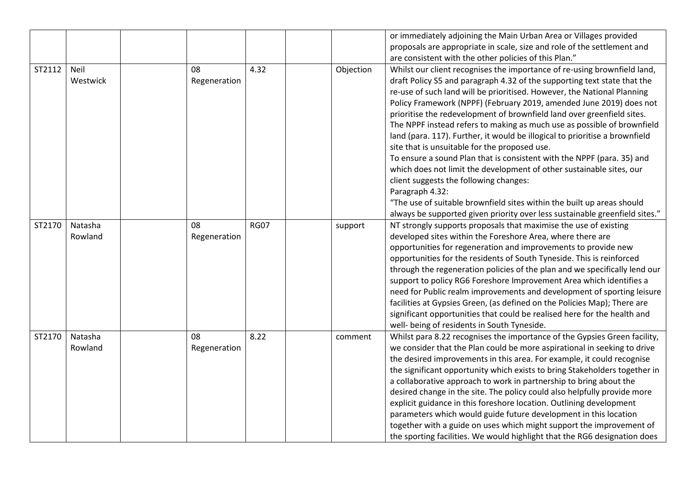|        |          |              |             |           | or immediately adjoining the Main Urban Area or Villages provided           |
|--------|----------|--------------|-------------|-----------|-----------------------------------------------------------------------------|
|        |          |              |             |           | proposals are appropriate in scale, size and role of the settlement and     |
|        |          |              |             |           | are consistent with the other policies of this Plan."                       |
| ST2112 | Neil     | 08           | 4.32        | Objection | Whilst our client recognises the importance of re-using brownfield land,    |
|        | Westwick | Regeneration |             |           | draft Policy S5 and paragraph 4.32 of the supporting text state that the    |
|        |          |              |             |           | re-use of such land will be prioritised. However, the National Planning     |
|        |          |              |             |           | Policy Framework (NPPF) (February 2019, amended June 2019) does not         |
|        |          |              |             |           | prioritise the redevelopment of brownfield land over greenfield sites.      |
|        |          |              |             |           | The NPPF instead refers to making as much use as possible of brownfield     |
|        |          |              |             |           | land (para. 117). Further, it would be illogical to prioritise a brownfield |
|        |          |              |             |           | site that is unsuitable for the proposed use.                               |
|        |          |              |             |           | To ensure a sound Plan that is consistent with the NPPF (para. 35) and      |
|        |          |              |             |           | which does not limit the development of other sustainable sites, our        |
|        |          |              |             |           | client suggests the following changes:                                      |
|        |          |              |             |           | Paragraph 4.32:                                                             |
|        |          |              |             |           | "The use of suitable brownfield sites within the built up areas should      |
|        |          |              |             |           | always be supported given priority over less sustainable greenfield sites." |
| ST2170 | Natasha  | 08           | <b>RG07</b> | support   | NT strongly supports proposals that maximise the use of existing            |
|        | Rowland  | Regeneration |             |           | developed sites within the Foreshore Area, where there are                  |
|        |          |              |             |           | opportunities for regeneration and improvements to provide new              |
|        |          |              |             |           | opportunities for the residents of South Tyneside. This is reinforced       |
|        |          |              |             |           | through the regeneration policies of the plan and we specifically lend our  |
|        |          |              |             |           | support to policy RG6 Foreshore Improvement Area which identifies a         |
|        |          |              |             |           | need for Public realm improvements and development of sporting leisure      |
|        |          |              |             |           | facilities at Gypsies Green, (as defined on the Policies Map); There are    |
|        |          |              |             |           | significant opportunities that could be realised here for the health and    |
|        |          |              |             |           | well- being of residents in South Tyneside.                                 |
| ST2170 | Natasha  | 08           | 8.22        | comment   | Whilst para 8.22 recognises the importance of the Gypsies Green facility,   |
|        | Rowland  | Regeneration |             |           | we consider that the Plan could be more aspirational in seeking to drive    |
|        |          |              |             |           | the desired improvements in this area. For example, it could recognise      |
|        |          |              |             |           | the significant opportunity which exists to bring Stakeholders together in  |
|        |          |              |             |           | a collaborative approach to work in partnership to bring about the          |
|        |          |              |             |           | desired change in the site. The policy could also helpfully provide more    |
|        |          |              |             |           | explicit guidance in this foreshore location. Outlining development         |
|        |          |              |             |           | parameters which would guide future development in this location            |
|        |          |              |             |           | together with a guide on uses which might support the improvement of        |
|        |          |              |             |           | the sporting facilities. We would highlight that the RG6 designation does   |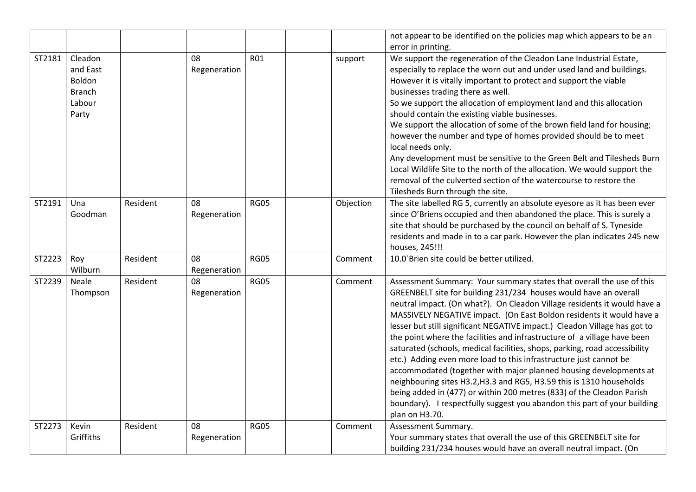|        |                                                                   |          |                    |             |           | not appear to be identified on the policies map which appears to be an                                                                                                                                                                                                                                                                                                                                                                                                                                                                                                                                                                                                                                                                                                                                                                                                                                                       |
|--------|-------------------------------------------------------------------|----------|--------------------|-------------|-----------|------------------------------------------------------------------------------------------------------------------------------------------------------------------------------------------------------------------------------------------------------------------------------------------------------------------------------------------------------------------------------------------------------------------------------------------------------------------------------------------------------------------------------------------------------------------------------------------------------------------------------------------------------------------------------------------------------------------------------------------------------------------------------------------------------------------------------------------------------------------------------------------------------------------------------|
|        |                                                                   |          |                    |             |           | error in printing.                                                                                                                                                                                                                                                                                                                                                                                                                                                                                                                                                                                                                                                                                                                                                                                                                                                                                                           |
| ST2181 | Cleadon<br>and East<br>Boldon<br><b>Branch</b><br>Labour<br>Party |          | 08<br>Regeneration | <b>RO1</b>  | support   | We support the regeneration of the Cleadon Lane Industrial Estate,<br>especially to replace the worn out and under used land and buildings.<br>However it is vitally important to protect and support the viable<br>businesses trading there as well.<br>So we support the allocation of employment land and this allocation<br>should contain the existing viable businesses.<br>We support the allocation of some of the brown field land for housing;<br>however the number and type of homes provided should be to meet<br>local needs only.<br>Any development must be sensitive to the Green Belt and Tilesheds Burn<br>Local Wildlife Site to the north of the allocation. We would support the<br>removal of the culverted section of the watercourse to restore the<br>Tilesheds Burn through the site.                                                                                                             |
| ST2191 | Una<br>Goodman                                                    | Resident | 08<br>Regeneration | <b>RG05</b> | Objection | The site labelled RG 5, currently an absolute eyesore as it has been ever<br>since O'Briens occupied and then abandoned the place. This is surely a<br>site that should be purchased by the council on behalf of S. Tyneside<br>residents and made in to a car park. However the plan indicates 245 new<br>houses, 245!!!                                                                                                                                                                                                                                                                                                                                                                                                                                                                                                                                                                                                    |
| ST2223 | Roy<br>Wilburn                                                    | Resident | 08<br>Regeneration | <b>RG05</b> | Comment   | 10.0'Brien site could be better utilized.                                                                                                                                                                                                                                                                                                                                                                                                                                                                                                                                                                                                                                                                                                                                                                                                                                                                                    |
| ST2239 | <b>Neale</b><br>Thompson                                          | Resident | 08<br>Regeneration | <b>RG05</b> | Comment   | Assessment Summary: Your summary states that overall the use of this<br>GREENBELT site for building 231/234 houses would have an overall<br>neutral impact. (On what?). On Cleadon Village residents it would have a<br>MASSIVELY NEGATIVE impact. (On East Boldon residents it would have a<br>lesser but still significant NEGATIVE impact.) Cleadon Village has got to<br>the point where the facilities and infrastructure of a village have been<br>saturated (schools, medical facilities, shops, parking, road accessibility<br>etc.) Adding even more load to this infrastructure just cannot be<br>accommodated (together with major planned housing developments at<br>neighbouring sites H3.2, H3.3 and RG5, H3.59 this is 1310 households<br>being added in (477) or within 200 metres (833) of the Cleadon Parish<br>boundary). I respectfully suggest you abandon this part of your building<br>plan on H3.70. |
| ST2273 | Kevin<br>Griffiths                                                | Resident | 08<br>Regeneration | <b>RG05</b> | Comment   | Assessment Summary.<br>Your summary states that overall the use of this GREENBELT site for<br>building 231/234 houses would have an overall neutral impact. (On                                                                                                                                                                                                                                                                                                                                                                                                                                                                                                                                                                                                                                                                                                                                                              |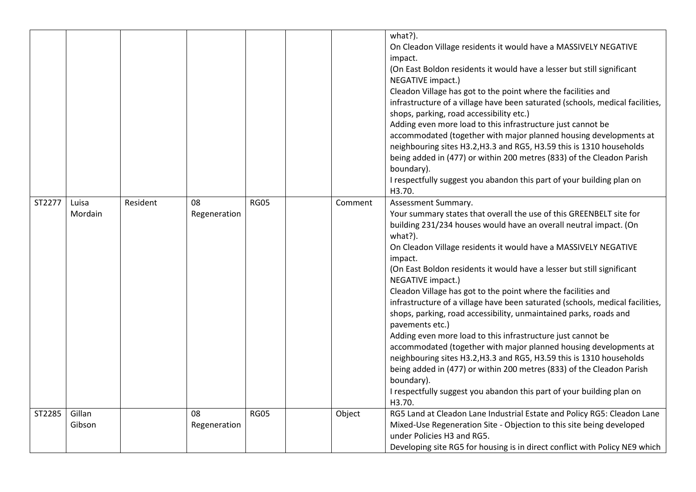|        |                  |          |                    |             |         | what?).<br>On Cleadon Village residents it would have a MASSIVELY NEGATIVE<br>impact.<br>(On East Boldon residents it would have a lesser but still significant<br>NEGATIVE impact.)<br>Cleadon Village has got to the point where the facilities and<br>infrastructure of a village have been saturated (schools, medical facilities,<br>shops, parking, road accessibility etc.)<br>Adding even more load to this infrastructure just cannot be<br>accommodated (together with major planned housing developments at<br>neighbouring sites H3.2, H3.3 and RG5, H3.59 this is 1310 households<br>being added in (477) or within 200 metres (833) of the Cleadon Parish<br>boundary).<br>I respectfully suggest you abandon this part of your building plan on<br>H3.70.                                                                                                                                                                                                                |
|--------|------------------|----------|--------------------|-------------|---------|-----------------------------------------------------------------------------------------------------------------------------------------------------------------------------------------------------------------------------------------------------------------------------------------------------------------------------------------------------------------------------------------------------------------------------------------------------------------------------------------------------------------------------------------------------------------------------------------------------------------------------------------------------------------------------------------------------------------------------------------------------------------------------------------------------------------------------------------------------------------------------------------------------------------------------------------------------------------------------------------|
| ST2277 | Luisa<br>Mordain | Resident | 08<br>Regeneration | <b>RG05</b> | Comment | Assessment Summary.<br>Your summary states that overall the use of this GREENBELT site for<br>building 231/234 houses would have an overall neutral impact. (On<br>what?).<br>On Cleadon Village residents it would have a MASSIVELY NEGATIVE<br>impact.<br>(On East Boldon residents it would have a lesser but still significant<br>NEGATIVE impact.)<br>Cleadon Village has got to the point where the facilities and<br>infrastructure of a village have been saturated (schools, medical facilities,<br>shops, parking, road accessibility, unmaintained parks, roads and<br>pavements etc.)<br>Adding even more load to this infrastructure just cannot be<br>accommodated (together with major planned housing developments at<br>neighbouring sites H3.2, H3.3 and RG5, H3.59 this is 1310 households<br>being added in (477) or within 200 metres (833) of the Cleadon Parish<br>boundary).<br>I respectfully suggest you abandon this part of your building plan on<br>H3.70. |
| ST2285 | Gillan<br>Gibson |          | 08<br>Regeneration | <b>RG05</b> | Object  | RG5 Land at Cleadon Lane Industrial Estate and Policy RG5: Cleadon Lane<br>Mixed-Use Regeneration Site - Objection to this site being developed<br>under Policies H3 and RG5.<br>Developing site RG5 for housing is in direct conflict with Policy NE9 which                                                                                                                                                                                                                                                                                                                                                                                                                                                                                                                                                                                                                                                                                                                            |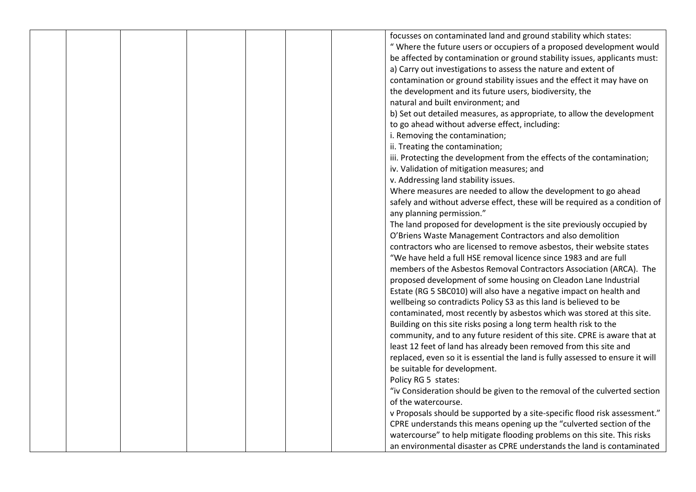| focusses on contaminated land and ground stability which states:<br>" Where the future users or occupiers of a proposed development would<br>be affected by contamination or ground stability issues, applicants must:<br>a) Carry out investigations to assess the nature and extent of<br>contamination or ground stability issues and the effect it may have on<br>the development and its future users, biodiversity, the<br>natural and built environment; and<br>b) Set out detailed measures, as appropriate, to allow the development<br>to go ahead without adverse effect, including:<br>i. Removing the contamination;<br>ii. Treating the contamination;<br>iii. Protecting the development from the effects of the contamination;<br>iv. Validation of mitigation measures; and<br>v. Addressing land stability issues.<br>Where measures are needed to allow the development to go ahead<br>safely and without adverse effect, these will be required as a condition of<br>any planning permission."<br>The land proposed for development is the site previously occupied by<br>O'Briens Waste Management Contractors and also demolition<br>contractors who are licensed to remove asbestos, their website states<br>"We have held a full HSE removal licence since 1983 and are full<br>members of the Asbestos Removal Contractors Association (ARCA). The<br>proposed development of some housing on Cleadon Lane Industrial<br>Estate (RG 5 SBC010) will also have a negative impact on health and<br>wellbeing so contradicts Policy S3 as this land is believed to be<br>contaminated, most recently by asbestos which was stored at this site.<br>Building on this site risks posing a long term health risk to the<br>community, and to any future resident of this site. CPRE is aware that at<br>least 12 feet of land has already been removed from this site and<br>replaced, even so it is essential the land is fully assessed to ensure it will<br>be suitable for development.<br>Policy RG 5 states:<br>"iv Consideration should be given to the removal of the culverted section<br>of the watercourse.<br>v Proposals should be supported by a site-specific flood risk assessment." |  |  |  |                                                                        |
|------------------------------------------------------------------------------------------------------------------------------------------------------------------------------------------------------------------------------------------------------------------------------------------------------------------------------------------------------------------------------------------------------------------------------------------------------------------------------------------------------------------------------------------------------------------------------------------------------------------------------------------------------------------------------------------------------------------------------------------------------------------------------------------------------------------------------------------------------------------------------------------------------------------------------------------------------------------------------------------------------------------------------------------------------------------------------------------------------------------------------------------------------------------------------------------------------------------------------------------------------------------------------------------------------------------------------------------------------------------------------------------------------------------------------------------------------------------------------------------------------------------------------------------------------------------------------------------------------------------------------------------------------------------------------------------------------------------------------------------------------------------------------------------------------------------------------------------------------------------------------------------------------------------------------------------------------------------------------------------------------------------------------------------------------------------------------------------------------------------------------------------------------------------------------------------------------------------------|--|--|--|------------------------------------------------------------------------|
|                                                                                                                                                                                                                                                                                                                                                                                                                                                                                                                                                                                                                                                                                                                                                                                                                                                                                                                                                                                                                                                                                                                                                                                                                                                                                                                                                                                                                                                                                                                                                                                                                                                                                                                                                                                                                                                                                                                                                                                                                                                                                                                                                                                                                        |  |  |  |                                                                        |
|                                                                                                                                                                                                                                                                                                                                                                                                                                                                                                                                                                                                                                                                                                                                                                                                                                                                                                                                                                                                                                                                                                                                                                                                                                                                                                                                                                                                                                                                                                                                                                                                                                                                                                                                                                                                                                                                                                                                                                                                                                                                                                                                                                                                                        |  |  |  |                                                                        |
|                                                                                                                                                                                                                                                                                                                                                                                                                                                                                                                                                                                                                                                                                                                                                                                                                                                                                                                                                                                                                                                                                                                                                                                                                                                                                                                                                                                                                                                                                                                                                                                                                                                                                                                                                                                                                                                                                                                                                                                                                                                                                                                                                                                                                        |  |  |  |                                                                        |
|                                                                                                                                                                                                                                                                                                                                                                                                                                                                                                                                                                                                                                                                                                                                                                                                                                                                                                                                                                                                                                                                                                                                                                                                                                                                                                                                                                                                                                                                                                                                                                                                                                                                                                                                                                                                                                                                                                                                                                                                                                                                                                                                                                                                                        |  |  |  |                                                                        |
|                                                                                                                                                                                                                                                                                                                                                                                                                                                                                                                                                                                                                                                                                                                                                                                                                                                                                                                                                                                                                                                                                                                                                                                                                                                                                                                                                                                                                                                                                                                                                                                                                                                                                                                                                                                                                                                                                                                                                                                                                                                                                                                                                                                                                        |  |  |  |                                                                        |
|                                                                                                                                                                                                                                                                                                                                                                                                                                                                                                                                                                                                                                                                                                                                                                                                                                                                                                                                                                                                                                                                                                                                                                                                                                                                                                                                                                                                                                                                                                                                                                                                                                                                                                                                                                                                                                                                                                                                                                                                                                                                                                                                                                                                                        |  |  |  |                                                                        |
|                                                                                                                                                                                                                                                                                                                                                                                                                                                                                                                                                                                                                                                                                                                                                                                                                                                                                                                                                                                                                                                                                                                                                                                                                                                                                                                                                                                                                                                                                                                                                                                                                                                                                                                                                                                                                                                                                                                                                                                                                                                                                                                                                                                                                        |  |  |  |                                                                        |
|                                                                                                                                                                                                                                                                                                                                                                                                                                                                                                                                                                                                                                                                                                                                                                                                                                                                                                                                                                                                                                                                                                                                                                                                                                                                                                                                                                                                                                                                                                                                                                                                                                                                                                                                                                                                                                                                                                                                                                                                                                                                                                                                                                                                                        |  |  |  |                                                                        |
|                                                                                                                                                                                                                                                                                                                                                                                                                                                                                                                                                                                                                                                                                                                                                                                                                                                                                                                                                                                                                                                                                                                                                                                                                                                                                                                                                                                                                                                                                                                                                                                                                                                                                                                                                                                                                                                                                                                                                                                                                                                                                                                                                                                                                        |  |  |  |                                                                        |
|                                                                                                                                                                                                                                                                                                                                                                                                                                                                                                                                                                                                                                                                                                                                                                                                                                                                                                                                                                                                                                                                                                                                                                                                                                                                                                                                                                                                                                                                                                                                                                                                                                                                                                                                                                                                                                                                                                                                                                                                                                                                                                                                                                                                                        |  |  |  |                                                                        |
|                                                                                                                                                                                                                                                                                                                                                                                                                                                                                                                                                                                                                                                                                                                                                                                                                                                                                                                                                                                                                                                                                                                                                                                                                                                                                                                                                                                                                                                                                                                                                                                                                                                                                                                                                                                                                                                                                                                                                                                                                                                                                                                                                                                                                        |  |  |  |                                                                        |
|                                                                                                                                                                                                                                                                                                                                                                                                                                                                                                                                                                                                                                                                                                                                                                                                                                                                                                                                                                                                                                                                                                                                                                                                                                                                                                                                                                                                                                                                                                                                                                                                                                                                                                                                                                                                                                                                                                                                                                                                                                                                                                                                                                                                                        |  |  |  |                                                                        |
|                                                                                                                                                                                                                                                                                                                                                                                                                                                                                                                                                                                                                                                                                                                                                                                                                                                                                                                                                                                                                                                                                                                                                                                                                                                                                                                                                                                                                                                                                                                                                                                                                                                                                                                                                                                                                                                                                                                                                                                                                                                                                                                                                                                                                        |  |  |  |                                                                        |
|                                                                                                                                                                                                                                                                                                                                                                                                                                                                                                                                                                                                                                                                                                                                                                                                                                                                                                                                                                                                                                                                                                                                                                                                                                                                                                                                                                                                                                                                                                                                                                                                                                                                                                                                                                                                                                                                                                                                                                                                                                                                                                                                                                                                                        |  |  |  |                                                                        |
|                                                                                                                                                                                                                                                                                                                                                                                                                                                                                                                                                                                                                                                                                                                                                                                                                                                                                                                                                                                                                                                                                                                                                                                                                                                                                                                                                                                                                                                                                                                                                                                                                                                                                                                                                                                                                                                                                                                                                                                                                                                                                                                                                                                                                        |  |  |  |                                                                        |
|                                                                                                                                                                                                                                                                                                                                                                                                                                                                                                                                                                                                                                                                                                                                                                                                                                                                                                                                                                                                                                                                                                                                                                                                                                                                                                                                                                                                                                                                                                                                                                                                                                                                                                                                                                                                                                                                                                                                                                                                                                                                                                                                                                                                                        |  |  |  |                                                                        |
|                                                                                                                                                                                                                                                                                                                                                                                                                                                                                                                                                                                                                                                                                                                                                                                                                                                                                                                                                                                                                                                                                                                                                                                                                                                                                                                                                                                                                                                                                                                                                                                                                                                                                                                                                                                                                                                                                                                                                                                                                                                                                                                                                                                                                        |  |  |  |                                                                        |
|                                                                                                                                                                                                                                                                                                                                                                                                                                                                                                                                                                                                                                                                                                                                                                                                                                                                                                                                                                                                                                                                                                                                                                                                                                                                                                                                                                                                                                                                                                                                                                                                                                                                                                                                                                                                                                                                                                                                                                                                                                                                                                                                                                                                                        |  |  |  |                                                                        |
|                                                                                                                                                                                                                                                                                                                                                                                                                                                                                                                                                                                                                                                                                                                                                                                                                                                                                                                                                                                                                                                                                                                                                                                                                                                                                                                                                                                                                                                                                                                                                                                                                                                                                                                                                                                                                                                                                                                                                                                                                                                                                                                                                                                                                        |  |  |  |                                                                        |
|                                                                                                                                                                                                                                                                                                                                                                                                                                                                                                                                                                                                                                                                                                                                                                                                                                                                                                                                                                                                                                                                                                                                                                                                                                                                                                                                                                                                                                                                                                                                                                                                                                                                                                                                                                                                                                                                                                                                                                                                                                                                                                                                                                                                                        |  |  |  |                                                                        |
|                                                                                                                                                                                                                                                                                                                                                                                                                                                                                                                                                                                                                                                                                                                                                                                                                                                                                                                                                                                                                                                                                                                                                                                                                                                                                                                                                                                                                                                                                                                                                                                                                                                                                                                                                                                                                                                                                                                                                                                                                                                                                                                                                                                                                        |  |  |  |                                                                        |
|                                                                                                                                                                                                                                                                                                                                                                                                                                                                                                                                                                                                                                                                                                                                                                                                                                                                                                                                                                                                                                                                                                                                                                                                                                                                                                                                                                                                                                                                                                                                                                                                                                                                                                                                                                                                                                                                                                                                                                                                                                                                                                                                                                                                                        |  |  |  |                                                                        |
|                                                                                                                                                                                                                                                                                                                                                                                                                                                                                                                                                                                                                                                                                                                                                                                                                                                                                                                                                                                                                                                                                                                                                                                                                                                                                                                                                                                                                                                                                                                                                                                                                                                                                                                                                                                                                                                                                                                                                                                                                                                                                                                                                                                                                        |  |  |  |                                                                        |
|                                                                                                                                                                                                                                                                                                                                                                                                                                                                                                                                                                                                                                                                                                                                                                                                                                                                                                                                                                                                                                                                                                                                                                                                                                                                                                                                                                                                                                                                                                                                                                                                                                                                                                                                                                                                                                                                                                                                                                                                                                                                                                                                                                                                                        |  |  |  |                                                                        |
|                                                                                                                                                                                                                                                                                                                                                                                                                                                                                                                                                                                                                                                                                                                                                                                                                                                                                                                                                                                                                                                                                                                                                                                                                                                                                                                                                                                                                                                                                                                                                                                                                                                                                                                                                                                                                                                                                                                                                                                                                                                                                                                                                                                                                        |  |  |  |                                                                        |
|                                                                                                                                                                                                                                                                                                                                                                                                                                                                                                                                                                                                                                                                                                                                                                                                                                                                                                                                                                                                                                                                                                                                                                                                                                                                                                                                                                                                                                                                                                                                                                                                                                                                                                                                                                                                                                                                                                                                                                                                                                                                                                                                                                                                                        |  |  |  |                                                                        |
|                                                                                                                                                                                                                                                                                                                                                                                                                                                                                                                                                                                                                                                                                                                                                                                                                                                                                                                                                                                                                                                                                                                                                                                                                                                                                                                                                                                                                                                                                                                                                                                                                                                                                                                                                                                                                                                                                                                                                                                                                                                                                                                                                                                                                        |  |  |  |                                                                        |
|                                                                                                                                                                                                                                                                                                                                                                                                                                                                                                                                                                                                                                                                                                                                                                                                                                                                                                                                                                                                                                                                                                                                                                                                                                                                                                                                                                                                                                                                                                                                                                                                                                                                                                                                                                                                                                                                                                                                                                                                                                                                                                                                                                                                                        |  |  |  |                                                                        |
|                                                                                                                                                                                                                                                                                                                                                                                                                                                                                                                                                                                                                                                                                                                                                                                                                                                                                                                                                                                                                                                                                                                                                                                                                                                                                                                                                                                                                                                                                                                                                                                                                                                                                                                                                                                                                                                                                                                                                                                                                                                                                                                                                                                                                        |  |  |  |                                                                        |
|                                                                                                                                                                                                                                                                                                                                                                                                                                                                                                                                                                                                                                                                                                                                                                                                                                                                                                                                                                                                                                                                                                                                                                                                                                                                                                                                                                                                                                                                                                                                                                                                                                                                                                                                                                                                                                                                                                                                                                                                                                                                                                                                                                                                                        |  |  |  |                                                                        |
|                                                                                                                                                                                                                                                                                                                                                                                                                                                                                                                                                                                                                                                                                                                                                                                                                                                                                                                                                                                                                                                                                                                                                                                                                                                                                                                                                                                                                                                                                                                                                                                                                                                                                                                                                                                                                                                                                                                                                                                                                                                                                                                                                                                                                        |  |  |  |                                                                        |
|                                                                                                                                                                                                                                                                                                                                                                                                                                                                                                                                                                                                                                                                                                                                                                                                                                                                                                                                                                                                                                                                                                                                                                                                                                                                                                                                                                                                                                                                                                                                                                                                                                                                                                                                                                                                                                                                                                                                                                                                                                                                                                                                                                                                                        |  |  |  |                                                                        |
|                                                                                                                                                                                                                                                                                                                                                                                                                                                                                                                                                                                                                                                                                                                                                                                                                                                                                                                                                                                                                                                                                                                                                                                                                                                                                                                                                                                                                                                                                                                                                                                                                                                                                                                                                                                                                                                                                                                                                                                                                                                                                                                                                                                                                        |  |  |  |                                                                        |
|                                                                                                                                                                                                                                                                                                                                                                                                                                                                                                                                                                                                                                                                                                                                                                                                                                                                                                                                                                                                                                                                                                                                                                                                                                                                                                                                                                                                                                                                                                                                                                                                                                                                                                                                                                                                                                                                                                                                                                                                                                                                                                                                                                                                                        |  |  |  |                                                                        |
|                                                                                                                                                                                                                                                                                                                                                                                                                                                                                                                                                                                                                                                                                                                                                                                                                                                                                                                                                                                                                                                                                                                                                                                                                                                                                                                                                                                                                                                                                                                                                                                                                                                                                                                                                                                                                                                                                                                                                                                                                                                                                                                                                                                                                        |  |  |  |                                                                        |
|                                                                                                                                                                                                                                                                                                                                                                                                                                                                                                                                                                                                                                                                                                                                                                                                                                                                                                                                                                                                                                                                                                                                                                                                                                                                                                                                                                                                                                                                                                                                                                                                                                                                                                                                                                                                                                                                                                                                                                                                                                                                                                                                                                                                                        |  |  |  |                                                                        |
|                                                                                                                                                                                                                                                                                                                                                                                                                                                                                                                                                                                                                                                                                                                                                                                                                                                                                                                                                                                                                                                                                                                                                                                                                                                                                                                                                                                                                                                                                                                                                                                                                                                                                                                                                                                                                                                                                                                                                                                                                                                                                                                                                                                                                        |  |  |  | CPRE understands this means opening up the "culverted section of the   |
| watercourse" to help mitigate flooding problems on this site. This risks                                                                                                                                                                                                                                                                                                                                                                                                                                                                                                                                                                                                                                                                                                                                                                                                                                                                                                                                                                                                                                                                                                                                                                                                                                                                                                                                                                                                                                                                                                                                                                                                                                                                                                                                                                                                                                                                                                                                                                                                                                                                                                                                               |  |  |  |                                                                        |
|                                                                                                                                                                                                                                                                                                                                                                                                                                                                                                                                                                                                                                                                                                                                                                                                                                                                                                                                                                                                                                                                                                                                                                                                                                                                                                                                                                                                                                                                                                                                                                                                                                                                                                                                                                                                                                                                                                                                                                                                                                                                                                                                                                                                                        |  |  |  | an environmental disaster as CPRE understands the land is contaminated |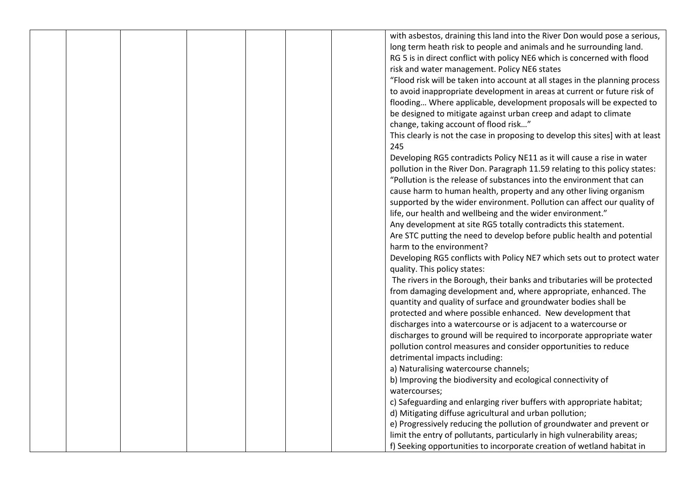|  |  |  | with asbestos, draining this land into the River Don would pose a serious,            |
|--|--|--|---------------------------------------------------------------------------------------|
|  |  |  | long term heath risk to people and animals and he surrounding land.                   |
|  |  |  | RG 5 is in direct conflict with policy NE6 which is concerned with flood              |
|  |  |  | risk and water management. Policy NE6 states                                          |
|  |  |  | "Flood risk will be taken into account at all stages in the planning process          |
|  |  |  | to avoid inappropriate development in areas at current or future risk of              |
|  |  |  | flooding Where applicable, development proposals will be expected to                  |
|  |  |  | be designed to mitigate against urban creep and adapt to climate                      |
|  |  |  | change, taking account of flood risk"                                                 |
|  |  |  |                                                                                       |
|  |  |  | This clearly is not the case in proposing to develop this sites] with at least<br>245 |
|  |  |  | Developing RG5 contradicts Policy NE11 as it will cause a rise in water               |
|  |  |  | pollution in the River Don. Paragraph 11.59 relating to this policy states:           |
|  |  |  | "Pollution is the release of substances into the environment that can                 |
|  |  |  | cause harm to human health, property and any other living organism                    |
|  |  |  | supported by the wider environment. Pollution can affect our quality of               |
|  |  |  | life, our health and wellbeing and the wider environment."                            |
|  |  |  | Any development at site RG5 totally contradicts this statement.                       |
|  |  |  | Are STC putting the need to develop before public health and potential                |
|  |  |  | harm to the environment?                                                              |
|  |  |  | Developing RG5 conflicts with Policy NE7 which sets out to protect water              |
|  |  |  | quality. This policy states:                                                          |
|  |  |  | The rivers in the Borough, their banks and tributaries will be protected              |
|  |  |  | from damaging development and, where appropriate, enhanced. The                       |
|  |  |  | quantity and quality of surface and groundwater bodies shall be                       |
|  |  |  | protected and where possible enhanced. New development that                           |
|  |  |  | discharges into a watercourse or is adjacent to a watercourse or                      |
|  |  |  | discharges to ground will be required to incorporate appropriate water                |
|  |  |  | pollution control measures and consider opportunities to reduce                       |
|  |  |  | detrimental impacts including:                                                        |
|  |  |  | a) Naturalising watercourse channels;                                                 |
|  |  |  | b) Improving the biodiversity and ecological connectivity of                          |
|  |  |  | watercourses;                                                                         |
|  |  |  | c) Safeguarding and enlarging river buffers with appropriate habitat;                 |
|  |  |  | d) Mitigating diffuse agricultural and urban pollution;                               |
|  |  |  | e) Progressively reducing the pollution of groundwater and prevent or                 |
|  |  |  | limit the entry of pollutants, particularly in high vulnerability areas;              |
|  |  |  | f) Seeking opportunities to incorporate creation of wetland habitat in                |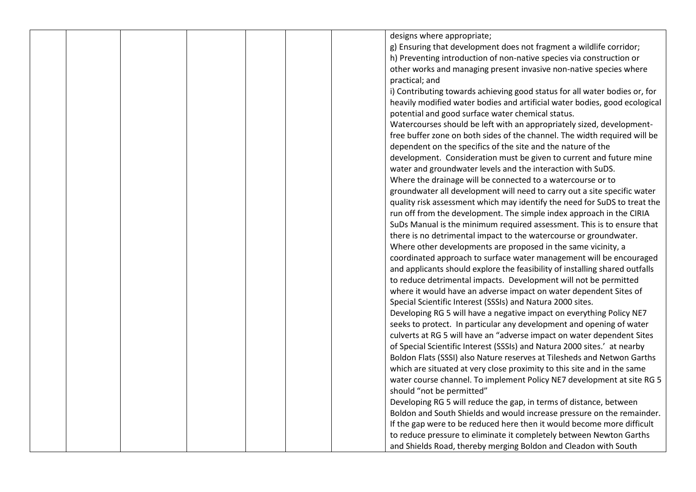|  |  |  | designs where appropriate;                                                  |
|--|--|--|-----------------------------------------------------------------------------|
|  |  |  | g) Ensuring that development does not fragment a wildlife corridor;         |
|  |  |  | h) Preventing introduction of non-native species via construction or        |
|  |  |  | other works and managing present invasive non-native species where          |
|  |  |  | practical; and                                                              |
|  |  |  | i) Contributing towards achieving good status for all water bodies or, for  |
|  |  |  | heavily modified water bodies and artificial water bodies, good ecological  |
|  |  |  | potential and good surface water chemical status.                           |
|  |  |  | Watercourses should be left with an appropriately sized, development-       |
|  |  |  | free buffer zone on both sides of the channel. The width required will be   |
|  |  |  | dependent on the specifics of the site and the nature of the                |
|  |  |  | development. Consideration must be given to current and future mine         |
|  |  |  | water and groundwater levels and the interaction with SuDS.                 |
|  |  |  |                                                                             |
|  |  |  | Where the drainage will be connected to a watercourse or to                 |
|  |  |  | groundwater all development will need to carry out a site specific water    |
|  |  |  | quality risk assessment which may identify the need for SuDS to treat the   |
|  |  |  | run off from the development. The simple index approach in the CIRIA        |
|  |  |  | SuDs Manual is the minimum required assessment. This is to ensure that      |
|  |  |  | there is no detrimental impact to the watercourse or groundwater.           |
|  |  |  | Where other developments are proposed in the same vicinity, a               |
|  |  |  | coordinated approach to surface water management will be encouraged         |
|  |  |  | and applicants should explore the feasibility of installing shared outfalls |
|  |  |  | to reduce detrimental impacts. Development will not be permitted            |
|  |  |  | where it would have an adverse impact on water dependent Sites of           |
|  |  |  | Special Scientific Interest (SSSIs) and Natura 2000 sites.                  |
|  |  |  | Developing RG 5 will have a negative impact on everything Policy NE7        |
|  |  |  | seeks to protect. In particular any development and opening of water        |
|  |  |  | culverts at RG 5 will have an "adverse impact on water dependent Sites      |
|  |  |  | of Special Scientific Interest (SSSIs) and Natura 2000 sites.' at nearby    |
|  |  |  | Boldon Flats (SSSI) also Nature reserves at Tilesheds and Netwon Garths     |
|  |  |  | which are situated at very close proximity to this site and in the same     |
|  |  |  | water course channel. To implement Policy NE7 development at site RG 5      |
|  |  |  | should "not be permitted"                                                   |
|  |  |  | Developing RG 5 will reduce the gap, in terms of distance, between          |
|  |  |  | Boldon and South Shields and would increase pressure on the remainder.      |
|  |  |  | If the gap were to be reduced here then it would become more difficult      |
|  |  |  | to reduce pressure to eliminate it completely between Newton Garths         |
|  |  |  |                                                                             |
|  |  |  | and Shields Road, thereby merging Boldon and Cleadon with South             |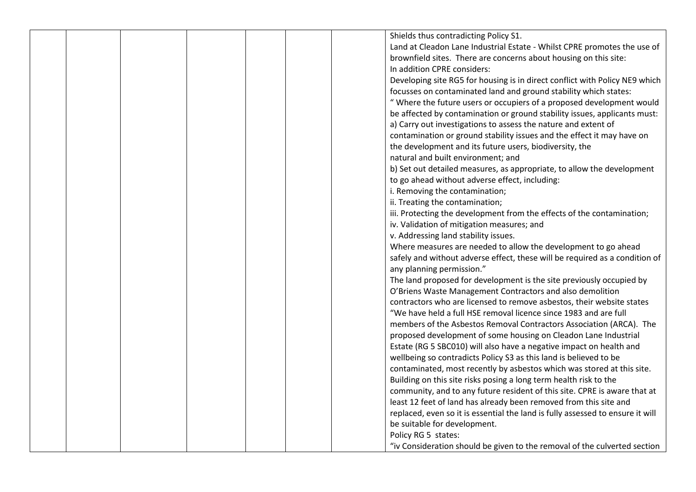|  |  |  | Shields thus contradicting Policy S1.                                          |
|--|--|--|--------------------------------------------------------------------------------|
|  |  |  | Land at Cleadon Lane Industrial Estate - Whilst CPRE promotes the use of       |
|  |  |  | brownfield sites. There are concerns about housing on this site:               |
|  |  |  | In addition CPRE considers:                                                    |
|  |  |  |                                                                                |
|  |  |  | Developing site RG5 for housing is in direct conflict with Policy NE9 which    |
|  |  |  | focusses on contaminated land and ground stability which states:               |
|  |  |  | " Where the future users or occupiers of a proposed development would          |
|  |  |  | be affected by contamination or ground stability issues, applicants must:      |
|  |  |  | a) Carry out investigations to assess the nature and extent of                 |
|  |  |  | contamination or ground stability issues and the effect it may have on         |
|  |  |  | the development and its future users, biodiversity, the                        |
|  |  |  | natural and built environment; and                                             |
|  |  |  | b) Set out detailed measures, as appropriate, to allow the development         |
|  |  |  | to go ahead without adverse effect, including:                                 |
|  |  |  | i. Removing the contamination;                                                 |
|  |  |  | ii. Treating the contamination;                                                |
|  |  |  | iii. Protecting the development from the effects of the contamination;         |
|  |  |  | iv. Validation of mitigation measures; and                                     |
|  |  |  | v. Addressing land stability issues.                                           |
|  |  |  | Where measures are needed to allow the development to go ahead                 |
|  |  |  | safely and without adverse effect, these will be required as a condition of    |
|  |  |  | any planning permission."                                                      |
|  |  |  | The land proposed for development is the site previously occupied by           |
|  |  |  | O'Briens Waste Management Contractors and also demolition                      |
|  |  |  | contractors who are licensed to remove asbestos, their website states          |
|  |  |  | "We have held a full HSE removal licence since 1983 and are full               |
|  |  |  | members of the Asbestos Removal Contractors Association (ARCA). The            |
|  |  |  | proposed development of some housing on Cleadon Lane Industrial                |
|  |  |  | Estate (RG 5 SBC010) will also have a negative impact on health and            |
|  |  |  | wellbeing so contradicts Policy S3 as this land is believed to be              |
|  |  |  | contaminated, most recently by asbestos which was stored at this site.         |
|  |  |  | Building on this site risks posing a long term health risk to the              |
|  |  |  |                                                                                |
|  |  |  | community, and to any future resident of this site. CPRE is aware that at      |
|  |  |  | least 12 feet of land has already been removed from this site and              |
|  |  |  | replaced, even so it is essential the land is fully assessed to ensure it will |
|  |  |  | be suitable for development.                                                   |
|  |  |  | Policy RG 5 states:                                                            |
|  |  |  | "iv Consideration should be given to the removal of the culverted section      |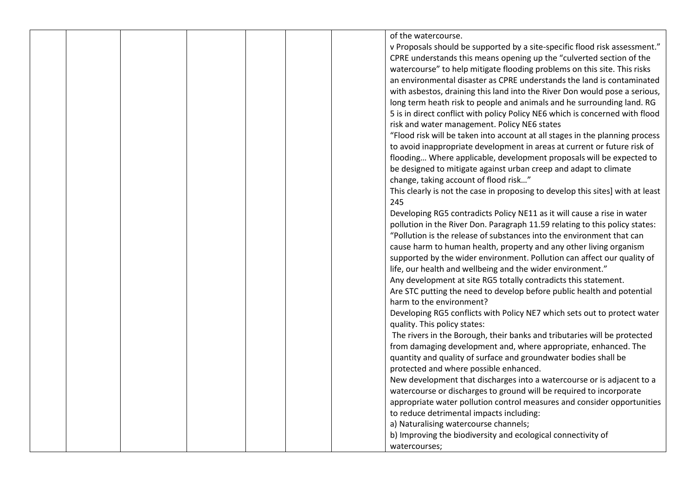|  |  |  | of the watercourse.                                                            |
|--|--|--|--------------------------------------------------------------------------------|
|  |  |  | v Proposals should be supported by a site-specific flood risk assessment."     |
|  |  |  |                                                                                |
|  |  |  | CPRE understands this means opening up the "culverted section of the           |
|  |  |  | watercourse" to help mitigate flooding problems on this site. This risks       |
|  |  |  | an environmental disaster as CPRE understands the land is contaminated         |
|  |  |  | with asbestos, draining this land into the River Don would pose a serious,     |
|  |  |  | long term heath risk to people and animals and he surrounding land. RG         |
|  |  |  | 5 is in direct conflict with policy Policy NE6 which is concerned with flood   |
|  |  |  | risk and water management. Policy NE6 states                                   |
|  |  |  | "Flood risk will be taken into account at all stages in the planning process   |
|  |  |  | to avoid inappropriate development in areas at current or future risk of       |
|  |  |  | flooding Where applicable, development proposals will be expected to           |
|  |  |  | be designed to mitigate against urban creep and adapt to climate               |
|  |  |  | change, taking account of flood risk"                                          |
|  |  |  | This clearly is not the case in proposing to develop this sites] with at least |
|  |  |  | 245                                                                            |
|  |  |  | Developing RG5 contradicts Policy NE11 as it will cause a rise in water        |
|  |  |  | pollution in the River Don. Paragraph 11.59 relating to this policy states:    |
|  |  |  | "Pollution is the release of substances into the environment that can          |
|  |  |  | cause harm to human health, property and any other living organism             |
|  |  |  | supported by the wider environment. Pollution can affect our quality of        |
|  |  |  |                                                                                |
|  |  |  | life, our health and wellbeing and the wider environment."                     |
|  |  |  | Any development at site RG5 totally contradicts this statement.                |
|  |  |  | Are STC putting the need to develop before public health and potential         |
|  |  |  | harm to the environment?                                                       |
|  |  |  | Developing RG5 conflicts with Policy NE7 which sets out to protect water       |
|  |  |  | quality. This policy states:                                                   |
|  |  |  | The rivers in the Borough, their banks and tributaries will be protected       |
|  |  |  | from damaging development and, where appropriate, enhanced. The                |
|  |  |  | quantity and quality of surface and groundwater bodies shall be                |
|  |  |  | protected and where possible enhanced.                                         |
|  |  |  | New development that discharges into a watercourse or is adjacent to a         |
|  |  |  | watercourse or discharges to ground will be required to incorporate            |
|  |  |  | appropriate water pollution control measures and consider opportunities        |
|  |  |  | to reduce detrimental impacts including:                                       |
|  |  |  | a) Naturalising watercourse channels;                                          |
|  |  |  | b) Improving the biodiversity and ecological connectivity of                   |
|  |  |  | watercourses:                                                                  |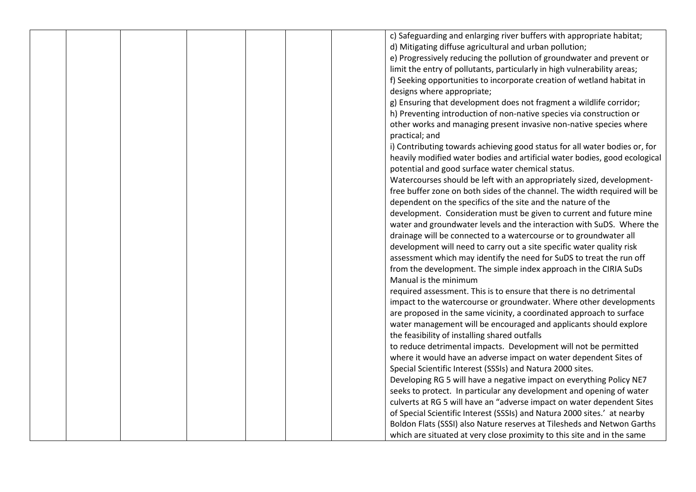|  |  |  | c) Safeguarding and enlarging river buffers with appropriate habitat;      |
|--|--|--|----------------------------------------------------------------------------|
|  |  |  | d) Mitigating diffuse agricultural and urban pollution;                    |
|  |  |  | e) Progressively reducing the pollution of groundwater and prevent or      |
|  |  |  | limit the entry of pollutants, particularly in high vulnerability areas;   |
|  |  |  | f) Seeking opportunities to incorporate creation of wetland habitat in     |
|  |  |  | designs where appropriate;                                                 |
|  |  |  | g) Ensuring that development does not fragment a wildlife corridor;        |
|  |  |  | h) Preventing introduction of non-native species via construction or       |
|  |  |  |                                                                            |
|  |  |  | other works and managing present invasive non-native species where         |
|  |  |  | practical; and                                                             |
|  |  |  | i) Contributing towards achieving good status for all water bodies or, for |
|  |  |  | heavily modified water bodies and artificial water bodies, good ecological |
|  |  |  | potential and good surface water chemical status.                          |
|  |  |  | Watercourses should be left with an appropriately sized, development-      |
|  |  |  | free buffer zone on both sides of the channel. The width required will be  |
|  |  |  | dependent on the specifics of the site and the nature of the               |
|  |  |  | development. Consideration must be given to current and future mine        |
|  |  |  | water and groundwater levels and the interaction with SuDS. Where the      |
|  |  |  | drainage will be connected to a watercourse or to groundwater all          |
|  |  |  | development will need to carry out a site specific water quality risk      |
|  |  |  | assessment which may identify the need for SuDS to treat the run off       |
|  |  |  | from the development. The simple index approach in the CIRIA SuDs          |
|  |  |  | Manual is the minimum                                                      |
|  |  |  | required assessment. This is to ensure that there is no detrimental        |
|  |  |  | impact to the watercourse or groundwater. Where other developments         |
|  |  |  | are proposed in the same vicinity, a coordinated approach to surface       |
|  |  |  | water management will be encouraged and applicants should explore          |
|  |  |  | the feasibility of installing shared outfalls                              |
|  |  |  | to reduce detrimental impacts. Development will not be permitted           |
|  |  |  | where it would have an adverse impact on water dependent Sites of          |
|  |  |  | Special Scientific Interest (SSSIs) and Natura 2000 sites.                 |
|  |  |  | Developing RG 5 will have a negative impact on everything Policy NE7       |
|  |  |  | seeks to protect. In particular any development and opening of water       |
|  |  |  | culverts at RG 5 will have an "adverse impact on water dependent Sites     |
|  |  |  | of Special Scientific Interest (SSSIs) and Natura 2000 sites.' at nearby   |
|  |  |  | Boldon Flats (SSSI) also Nature reserves at Tilesheds and Netwon Garths    |
|  |  |  | which are situated at very close proximity to this site and in the same    |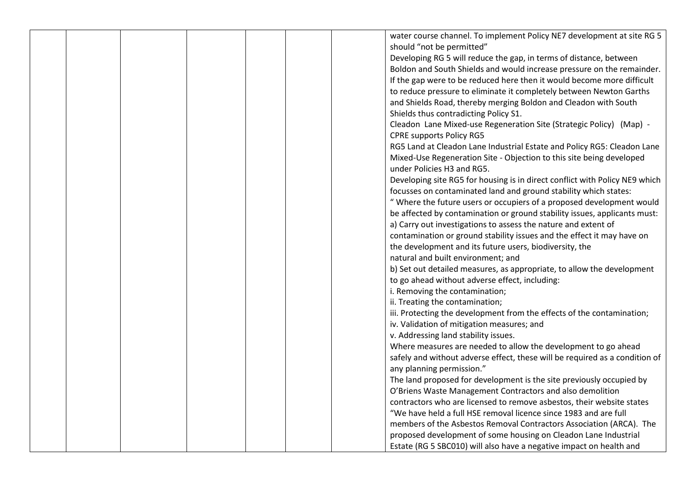|  |  |  | water course channel. To implement Policy NE7 development at site RG 5      |
|--|--|--|-----------------------------------------------------------------------------|
|  |  |  | should "not be permitted"                                                   |
|  |  |  | Developing RG 5 will reduce the gap, in terms of distance, between          |
|  |  |  | Boldon and South Shields and would increase pressure on the remainder.      |
|  |  |  | If the gap were to be reduced here then it would become more difficult      |
|  |  |  |                                                                             |
|  |  |  | to reduce pressure to eliminate it completely between Newton Garths         |
|  |  |  | and Shields Road, thereby merging Boldon and Cleadon with South             |
|  |  |  | Shields thus contradicting Policy S1.                                       |
|  |  |  | Cleadon Lane Mixed-use Regeneration Site (Strategic Policy) (Map) -         |
|  |  |  | <b>CPRE supports Policy RG5</b>                                             |
|  |  |  | RG5 Land at Cleadon Lane Industrial Estate and Policy RG5: Cleadon Lane     |
|  |  |  | Mixed-Use Regeneration Site - Objection to this site being developed        |
|  |  |  | under Policies H3 and RG5.                                                  |
|  |  |  | Developing site RG5 for housing is in direct conflict with Policy NE9 which |
|  |  |  | focusses on contaminated land and ground stability which states:            |
|  |  |  | " Where the future users or occupiers of a proposed development would       |
|  |  |  | be affected by contamination or ground stability issues, applicants must:   |
|  |  |  | a) Carry out investigations to assess the nature and extent of              |
|  |  |  | contamination or ground stability issues and the effect it may have on      |
|  |  |  | the development and its future users, biodiversity, the                     |
|  |  |  | natural and built environment; and                                          |
|  |  |  | b) Set out detailed measures, as appropriate, to allow the development      |
|  |  |  | to go ahead without adverse effect, including:                              |
|  |  |  | i. Removing the contamination;                                              |
|  |  |  | ii. Treating the contamination;                                             |
|  |  |  | iii. Protecting the development from the effects of the contamination;      |
|  |  |  | iv. Validation of mitigation measures; and                                  |
|  |  |  | v. Addressing land stability issues.                                        |
|  |  |  | Where measures are needed to allow the development to go ahead              |
|  |  |  | safely and without adverse effect, these will be required as a condition of |
|  |  |  | any planning permission."                                                   |
|  |  |  | The land proposed for development is the site previously occupied by        |
|  |  |  | O'Briens Waste Management Contractors and also demolition                   |
|  |  |  | contractors who are licensed to remove asbestos, their website states       |
|  |  |  | "We have held a full HSE removal licence since 1983 and are full            |
|  |  |  | members of the Asbestos Removal Contractors Association (ARCA). The         |
|  |  |  | proposed development of some housing on Cleadon Lane Industrial             |
|  |  |  | Estate (RG 5 SBC010) will also have a negative impact on health and         |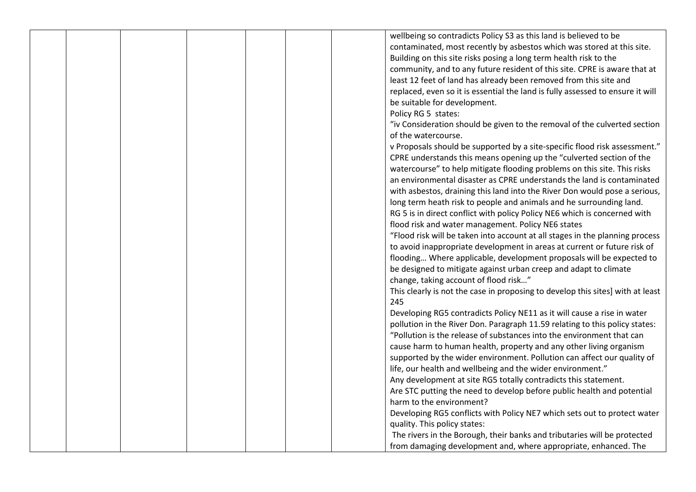|  |  |  | wellbeing so contradicts Policy S3 as this land is believed to be              |
|--|--|--|--------------------------------------------------------------------------------|
|  |  |  | contaminated, most recently by asbestos which was stored at this site.         |
|  |  |  | Building on this site risks posing a long term health risk to the              |
|  |  |  | community, and to any future resident of this site. CPRE is aware that at      |
|  |  |  | least 12 feet of land has already been removed from this site and              |
|  |  |  | replaced, even so it is essential the land is fully assessed to ensure it will |
|  |  |  | be suitable for development.                                                   |
|  |  |  | Policy RG 5 states:                                                            |
|  |  |  | "iv Consideration should be given to the removal of the culverted section      |
|  |  |  | of the watercourse.                                                            |
|  |  |  | v Proposals should be supported by a site-specific flood risk assessment."     |
|  |  |  |                                                                                |
|  |  |  | CPRE understands this means opening up the "culverted section of the           |
|  |  |  | watercourse" to help mitigate flooding problems on this site. This risks       |
|  |  |  | an environmental disaster as CPRE understands the land is contaminated         |
|  |  |  | with asbestos, draining this land into the River Don would pose a serious,     |
|  |  |  | long term heath risk to people and animals and he surrounding land.            |
|  |  |  | RG 5 is in direct conflict with policy Policy NE6 which is concerned with      |
|  |  |  | flood risk and water management. Policy NE6 states                             |
|  |  |  | "Flood risk will be taken into account at all stages in the planning process   |
|  |  |  | to avoid inappropriate development in areas at current or future risk of       |
|  |  |  | flooding Where applicable, development proposals will be expected to           |
|  |  |  | be designed to mitigate against urban creep and adapt to climate               |
|  |  |  | change, taking account of flood risk"                                          |
|  |  |  | This clearly is not the case in proposing to develop this sites] with at least |
|  |  |  | 245                                                                            |
|  |  |  | Developing RG5 contradicts Policy NE11 as it will cause a rise in water        |
|  |  |  | pollution in the River Don. Paragraph 11.59 relating to this policy states:    |
|  |  |  | "Pollution is the release of substances into the environment that can          |
|  |  |  | cause harm to human health, property and any other living organism             |
|  |  |  | supported by the wider environment. Pollution can affect our quality of        |
|  |  |  | life, our health and wellbeing and the wider environment."                     |
|  |  |  | Any development at site RG5 totally contradicts this statement.                |
|  |  |  | Are STC putting the need to develop before public health and potential         |
|  |  |  | harm to the environment?                                                       |
|  |  |  | Developing RG5 conflicts with Policy NE7 which sets out to protect water       |
|  |  |  | quality. This policy states:                                                   |
|  |  |  | The rivers in the Borough, their banks and tributaries will be protected       |
|  |  |  | from damaging development and, where appropriate, enhanced. The                |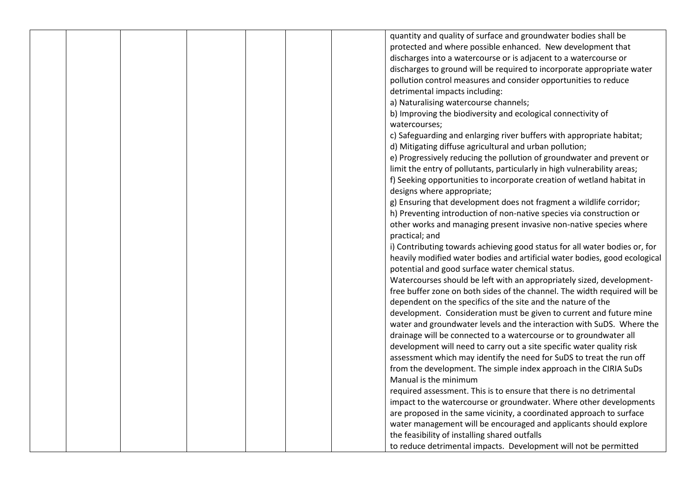|  |  |  | quantity and quality of surface and groundwater bodies shall be            |
|--|--|--|----------------------------------------------------------------------------|
|  |  |  |                                                                            |
|  |  |  | protected and where possible enhanced. New development that                |
|  |  |  | discharges into a watercourse or is adjacent to a watercourse or           |
|  |  |  | discharges to ground will be required to incorporate appropriate water     |
|  |  |  | pollution control measures and consider opportunities to reduce            |
|  |  |  | detrimental impacts including:                                             |
|  |  |  | a) Naturalising watercourse channels;                                      |
|  |  |  | b) Improving the biodiversity and ecological connectivity of               |
|  |  |  | watercourses;                                                              |
|  |  |  | c) Safeguarding and enlarging river buffers with appropriate habitat;      |
|  |  |  | d) Mitigating diffuse agricultural and urban pollution;                    |
|  |  |  | e) Progressively reducing the pollution of groundwater and prevent or      |
|  |  |  | limit the entry of pollutants, particularly in high vulnerability areas;   |
|  |  |  | f) Seeking opportunities to incorporate creation of wetland habitat in     |
|  |  |  | designs where appropriate;                                                 |
|  |  |  | g) Ensuring that development does not fragment a wildlife corridor;        |
|  |  |  | h) Preventing introduction of non-native species via construction or       |
|  |  |  | other works and managing present invasive non-native species where         |
|  |  |  | practical; and                                                             |
|  |  |  | i) Contributing towards achieving good status for all water bodies or, for |
|  |  |  |                                                                            |
|  |  |  | heavily modified water bodies and artificial water bodies, good ecological |
|  |  |  | potential and good surface water chemical status.                          |
|  |  |  | Watercourses should be left with an appropriately sized, development-      |
|  |  |  | free buffer zone on both sides of the channel. The width required will be  |
|  |  |  | dependent on the specifics of the site and the nature of the               |
|  |  |  | development. Consideration must be given to current and future mine        |
|  |  |  | water and groundwater levels and the interaction with SuDS. Where the      |
|  |  |  | drainage will be connected to a watercourse or to groundwater all          |
|  |  |  | development will need to carry out a site specific water quality risk      |
|  |  |  | assessment which may identify the need for SuDS to treat the run off       |
|  |  |  | from the development. The simple index approach in the CIRIA SuDs          |
|  |  |  | Manual is the minimum                                                      |
|  |  |  | required assessment. This is to ensure that there is no detrimental        |
|  |  |  | impact to the watercourse or groundwater. Where other developments         |
|  |  |  | are proposed in the same vicinity, a coordinated approach to surface       |
|  |  |  | water management will be encouraged and applicants should explore          |
|  |  |  | the feasibility of installing shared outfalls                              |
|  |  |  | to reduce detrimental impacts. Development will not be permitted           |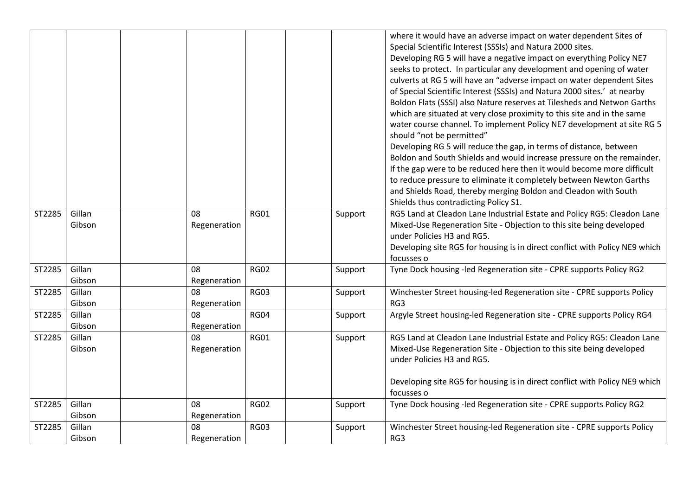|        |                  |                    |             |         | where it would have an adverse impact on water dependent Sites of<br>Special Scientific Interest (SSSIs) and Natura 2000 sites.<br>Developing RG 5 will have a negative impact on everything Policy NE7<br>seeks to protect. In particular any development and opening of water<br>culverts at RG 5 will have an "adverse impact on water dependent Sites<br>of Special Scientific Interest (SSSIs) and Natura 2000 sites.' at nearby<br>Boldon Flats (SSSI) also Nature reserves at Tilesheds and Netwon Garths<br>which are situated at very close proximity to this site and in the same<br>water course channel. To implement Policy NE7 development at site RG 5<br>should "not be permitted"<br>Developing RG 5 will reduce the gap, in terms of distance, between<br>Boldon and South Shields and would increase pressure on the remainder.<br>If the gap were to be reduced here then it would become more difficult<br>to reduce pressure to eliminate it completely between Newton Garths<br>and Shields Road, thereby merging Boldon and Cleadon with South<br>Shields thus contradicting Policy S1. |
|--------|------------------|--------------------|-------------|---------|-----------------------------------------------------------------------------------------------------------------------------------------------------------------------------------------------------------------------------------------------------------------------------------------------------------------------------------------------------------------------------------------------------------------------------------------------------------------------------------------------------------------------------------------------------------------------------------------------------------------------------------------------------------------------------------------------------------------------------------------------------------------------------------------------------------------------------------------------------------------------------------------------------------------------------------------------------------------------------------------------------------------------------------------------------------------------------------------------------------------|
| ST2285 | Gillan<br>Gibson | 08<br>Regeneration | <b>RG01</b> | Support | RG5 Land at Cleadon Lane Industrial Estate and Policy RG5: Cleadon Lane<br>Mixed-Use Regeneration Site - Objection to this site being developed<br>under Policies H3 and RG5.<br>Developing site RG5 for housing is in direct conflict with Policy NE9 which<br>focusses o                                                                                                                                                                                                                                                                                                                                                                                                                                                                                                                                                                                                                                                                                                                                                                                                                                      |
| ST2285 | Gillan<br>Gibson | 08<br>Regeneration | <b>RG02</b> | Support | Tyne Dock housing -led Regeneration site - CPRE supports Policy RG2                                                                                                                                                                                                                                                                                                                                                                                                                                                                                                                                                                                                                                                                                                                                                                                                                                                                                                                                                                                                                                             |
| ST2285 | Gillan<br>Gibson | 08<br>Regeneration | <b>RG03</b> | Support | Winchester Street housing-led Regeneration site - CPRE supports Policy<br>RG3                                                                                                                                                                                                                                                                                                                                                                                                                                                                                                                                                                                                                                                                                                                                                                                                                                                                                                                                                                                                                                   |
| ST2285 | Gillan<br>Gibson | 08<br>Regeneration | <b>RG04</b> | Support | Argyle Street housing-led Regeneration site - CPRE supports Policy RG4                                                                                                                                                                                                                                                                                                                                                                                                                                                                                                                                                                                                                                                                                                                                                                                                                                                                                                                                                                                                                                          |
| ST2285 | Gillan<br>Gibson | 08<br>Regeneration | <b>RG01</b> | Support | RG5 Land at Cleadon Lane Industrial Estate and Policy RG5: Cleadon Lane<br>Mixed-Use Regeneration Site - Objection to this site being developed<br>under Policies H3 and RG5.<br>Developing site RG5 for housing is in direct conflict with Policy NE9 which<br>focusses o                                                                                                                                                                                                                                                                                                                                                                                                                                                                                                                                                                                                                                                                                                                                                                                                                                      |
| ST2285 | Gillan<br>Gibson | 08<br>Regeneration | <b>RG02</b> | Support | Tyne Dock housing -led Regeneration site - CPRE supports Policy RG2                                                                                                                                                                                                                                                                                                                                                                                                                                                                                                                                                                                                                                                                                                                                                                                                                                                                                                                                                                                                                                             |
| ST2285 | Gillan<br>Gibson | 08<br>Regeneration | <b>RG03</b> | Support | Winchester Street housing-led Regeneration site - CPRE supports Policy<br>RG3                                                                                                                                                                                                                                                                                                                                                                                                                                                                                                                                                                                                                                                                                                                                                                                                                                                                                                                                                                                                                                   |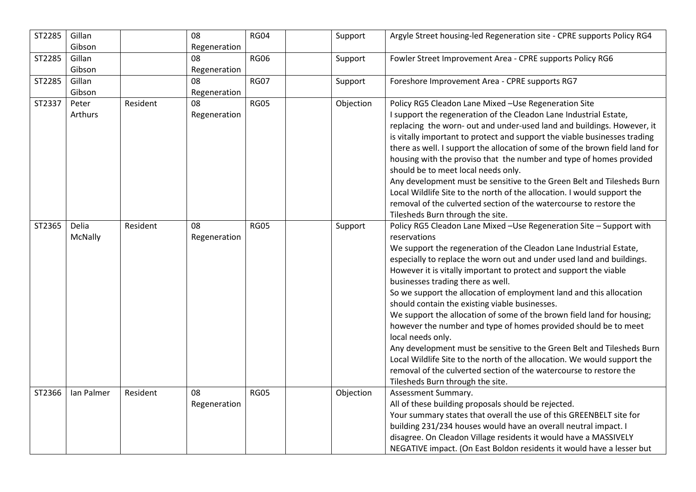| ST2285 | Gillan<br>Gibson |          | 08<br>Regeneration | <b>RG04</b> | Support   | Argyle Street housing-led Regeneration site - CPRE supports Policy RG4               |
|--------|------------------|----------|--------------------|-------------|-----------|--------------------------------------------------------------------------------------|
| ST2285 | Gillan           |          | 08                 | <b>RG06</b> | Support   | Fowler Street Improvement Area - CPRE supports Policy RG6                            |
|        | Gibson           |          | Regeneration       |             |           |                                                                                      |
| ST2285 | Gillan           |          | 08                 | <b>RG07</b> | Support   | Foreshore Improvement Area - CPRE supports RG7                                       |
|        | Gibson           |          | Regeneration       |             |           |                                                                                      |
| ST2337 | Peter            | Resident | 08                 | <b>RG05</b> | Objection | Policy RG5 Cleadon Lane Mixed - Use Regeneration Site                                |
|        | Arthurs          |          | Regeneration       |             |           | I support the regeneration of the Cleadon Lane Industrial Estate,                    |
|        |                  |          |                    |             |           | replacing the worn- out and under-used land and buildings. However, it               |
|        |                  |          |                    |             |           | is vitally important to protect and support the viable businesses trading            |
|        |                  |          |                    |             |           | there as well. I support the allocation of some of the brown field land for          |
|        |                  |          |                    |             |           | housing with the proviso that the number and type of homes provided                  |
|        |                  |          |                    |             |           | should be to meet local needs only.                                                  |
|        |                  |          |                    |             |           | Any development must be sensitive to the Green Belt and Tilesheds Burn               |
|        |                  |          |                    |             |           | Local Wildlife Site to the north of the allocation. I would support the              |
|        |                  |          |                    |             |           | removal of the culverted section of the watercourse to restore the                   |
|        |                  |          |                    |             |           | Tilesheds Burn through the site.                                                     |
| ST2365 | Delia            | Resident | 08                 | <b>RG05</b> | Support   | Policy RG5 Cleadon Lane Mixed -Use Regeneration Site - Support with                  |
|        | McNally          |          | Regeneration       |             |           | reservations                                                                         |
|        |                  |          |                    |             |           | We support the regeneration of the Cleadon Lane Industrial Estate,                   |
|        |                  |          |                    |             |           | especially to replace the worn out and under used land and buildings.                |
|        |                  |          |                    |             |           | However it is vitally important to protect and support the viable                    |
|        |                  |          |                    |             |           | businesses trading there as well.                                                    |
|        |                  |          |                    |             |           | So we support the allocation of employment land and this allocation                  |
|        |                  |          |                    |             |           | should contain the existing viable businesses.                                       |
|        |                  |          |                    |             |           | We support the allocation of some of the brown field land for housing;               |
|        |                  |          |                    |             |           | however the number and type of homes provided should be to meet<br>local needs only. |
|        |                  |          |                    |             |           | Any development must be sensitive to the Green Belt and Tilesheds Burn               |
|        |                  |          |                    |             |           | Local Wildlife Site to the north of the allocation. We would support the             |
|        |                  |          |                    |             |           | removal of the culverted section of the watercourse to restore the                   |
|        |                  |          |                    |             |           | Tilesheds Burn through the site.                                                     |
| ST2366 | Ian Palmer       | Resident | 08                 | <b>RG05</b> | Objection | Assessment Summary.                                                                  |
|        |                  |          | Regeneration       |             |           | All of these building proposals should be rejected.                                  |
|        |                  |          |                    |             |           | Your summary states that overall the use of this GREENBELT site for                  |
|        |                  |          |                    |             |           | building 231/234 houses would have an overall neutral impact. I                      |
|        |                  |          |                    |             |           | disagree. On Cleadon Village residents it would have a MASSIVELY                     |
|        |                  |          |                    |             |           | NEGATIVE impact. (On East Boldon residents it would have a lesser but                |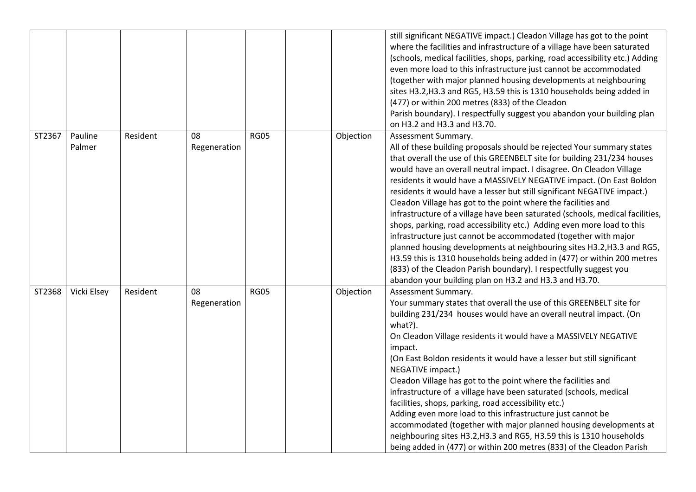|        |                   |          |                    |             |           | still significant NEGATIVE impact.) Cleadon Village has got to the point<br>where the facilities and infrastructure of a village have been saturated<br>(schools, medical facilities, shops, parking, road accessibility etc.) Adding<br>even more load to this infrastructure just cannot be accommodated<br>(together with major planned housing developments at neighbouring<br>sites H3.2, H3.3 and RG5, H3.59 this is 1310 households being added in<br>(477) or within 200 metres (833) of the Cleadon<br>Parish boundary). I respectfully suggest you abandon your building plan<br>on H3.2 and H3.3 and H3.70.                                                                                                                                                                                                                                                                                                                                                                  |
|--------|-------------------|----------|--------------------|-------------|-----------|-----------------------------------------------------------------------------------------------------------------------------------------------------------------------------------------------------------------------------------------------------------------------------------------------------------------------------------------------------------------------------------------------------------------------------------------------------------------------------------------------------------------------------------------------------------------------------------------------------------------------------------------------------------------------------------------------------------------------------------------------------------------------------------------------------------------------------------------------------------------------------------------------------------------------------------------------------------------------------------------|
| ST2367 | Pauline<br>Palmer | Resident | 08<br>Regeneration | <b>RG05</b> | Objection | Assessment Summary.<br>All of these building proposals should be rejected Your summary states<br>that overall the use of this GREENBELT site for building 231/234 houses<br>would have an overall neutral impact. I disagree. On Cleadon Village<br>residents it would have a MASSIVELY NEGATIVE impact. (On East Boldon<br>residents it would have a lesser but still significant NEGATIVE impact.)<br>Cleadon Village has got to the point where the facilities and<br>infrastructure of a village have been saturated (schools, medical facilities,<br>shops, parking, road accessibility etc.) Adding even more load to this<br>infrastructure just cannot be accommodated (together with major<br>planned housing developments at neighbouring sites H3.2, H3.3 and RG5,<br>H3.59 this is 1310 households being added in (477) or within 200 metres<br>(833) of the Cleadon Parish boundary). I respectfully suggest you<br>abandon your building plan on H3.2 and H3.3 and H3.70. |
| ST2368 | Vicki Elsey       | Resident | 08<br>Regeneration | <b>RG05</b> | Objection | Assessment Summary.<br>Your summary states that overall the use of this GREENBELT site for<br>building 231/234 houses would have an overall neutral impact. (On<br>what?).<br>On Cleadon Village residents it would have a MASSIVELY NEGATIVE<br>impact.<br>(On East Boldon residents it would have a lesser but still significant<br>NEGATIVE impact.)<br>Cleadon Village has got to the point where the facilities and<br>infrastructure of a village have been saturated (schools, medical<br>facilities, shops, parking, road accessibility etc.)<br>Adding even more load to this infrastructure just cannot be<br>accommodated (together with major planned housing developments at<br>neighbouring sites H3.2, H3.3 and RG5, H3.59 this is 1310 households<br>being added in (477) or within 200 metres (833) of the Cleadon Parish                                                                                                                                              |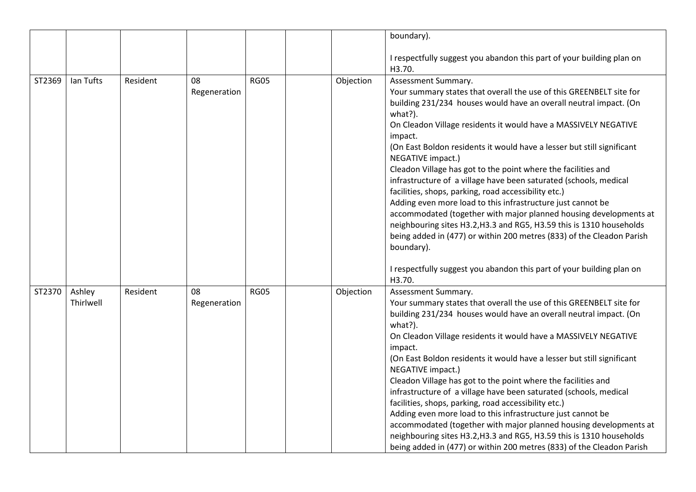|        |                     |          |                    |             |           | boundary).                                                                                                                                                                                                                                                                                                                                                                                                                                                                                                                                                                                                                                                                                                                                                                                                                                                                                                                                  |
|--------|---------------------|----------|--------------------|-------------|-----------|---------------------------------------------------------------------------------------------------------------------------------------------------------------------------------------------------------------------------------------------------------------------------------------------------------------------------------------------------------------------------------------------------------------------------------------------------------------------------------------------------------------------------------------------------------------------------------------------------------------------------------------------------------------------------------------------------------------------------------------------------------------------------------------------------------------------------------------------------------------------------------------------------------------------------------------------|
|        |                     |          |                    |             |           | I respectfully suggest you abandon this part of your building plan on<br>H3.70.                                                                                                                                                                                                                                                                                                                                                                                                                                                                                                                                                                                                                                                                                                                                                                                                                                                             |
| ST2369 | Ian Tufts           | Resident | 08<br>Regeneration | <b>RG05</b> | Objection | Assessment Summary.<br>Your summary states that overall the use of this GREENBELT site for<br>building 231/234 houses would have an overall neutral impact. (On<br>what?).<br>On Cleadon Village residents it would have a MASSIVELY NEGATIVE<br>impact.<br>(On East Boldon residents it would have a lesser but still significant<br>NEGATIVE impact.)<br>Cleadon Village has got to the point where the facilities and<br>infrastructure of a village have been saturated (schools, medical<br>facilities, shops, parking, road accessibility etc.)<br>Adding even more load to this infrastructure just cannot be<br>accommodated (together with major planned housing developments at<br>neighbouring sites H3.2, H3.3 and RG5, H3.59 this is 1310 households<br>being added in (477) or within 200 metres (833) of the Cleadon Parish<br>boundary).<br>I respectfully suggest you abandon this part of your building plan on<br>H3.70. |
| ST2370 | Ashley<br>Thirlwell | Resident | 08<br>Regeneration | <b>RG05</b> | Objection | Assessment Summary.<br>Your summary states that overall the use of this GREENBELT site for<br>building 231/234 houses would have an overall neutral impact. (On<br>what?).<br>On Cleadon Village residents it would have a MASSIVELY NEGATIVE<br>impact.<br>(On East Boldon residents it would have a lesser but still significant<br>NEGATIVE impact.)<br>Cleadon Village has got to the point where the facilities and<br>infrastructure of a village have been saturated (schools, medical<br>facilities, shops, parking, road accessibility etc.)<br>Adding even more load to this infrastructure just cannot be<br>accommodated (together with major planned housing developments at<br>neighbouring sites H3.2, H3.3 and RG5, H3.59 this is 1310 households<br>being added in (477) or within 200 metres (833) of the Cleadon Parish                                                                                                  |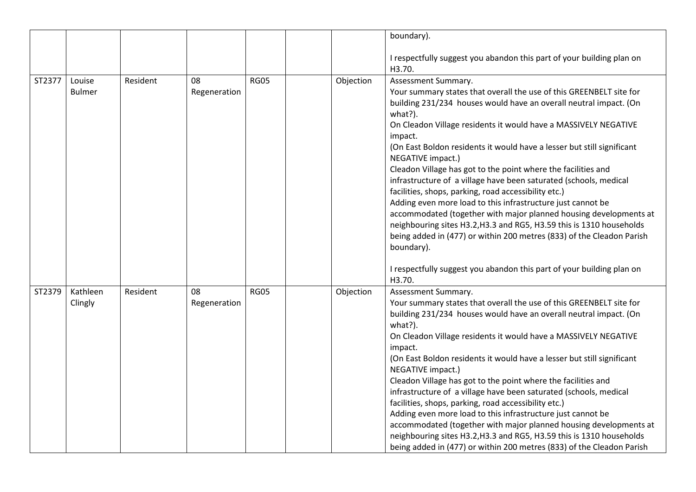|        |               |          |              |             |           | boundary).                                                                                  |
|--------|---------------|----------|--------------|-------------|-----------|---------------------------------------------------------------------------------------------|
|        |               |          |              |             |           | I respectfully suggest you abandon this part of your building plan on<br>H3.70.             |
| ST2377 | Louise        | Resident | 08           | <b>RG05</b> | Objection | Assessment Summary.                                                                         |
|        | <b>Bulmer</b> |          | Regeneration |             |           | Your summary states that overall the use of this GREENBELT site for                         |
|        |               |          |              |             |           | building 231/234 houses would have an overall neutral impact. (On<br>what?).                |
|        |               |          |              |             |           | On Cleadon Village residents it would have a MASSIVELY NEGATIVE<br>impact.                  |
|        |               |          |              |             |           | (On East Boldon residents it would have a lesser but still significant<br>NEGATIVE impact.) |
|        |               |          |              |             |           | Cleadon Village has got to the point where the facilities and                               |
|        |               |          |              |             |           | infrastructure of a village have been saturated (schools, medical                           |
|        |               |          |              |             |           | facilities, shops, parking, road accessibility etc.)                                        |
|        |               |          |              |             |           | Adding even more load to this infrastructure just cannot be                                 |
|        |               |          |              |             |           | accommodated (together with major planned housing developments at                           |
|        |               |          |              |             |           | neighbouring sites H3.2, H3.3 and RG5, H3.59 this is 1310 households                        |
|        |               |          |              |             |           | being added in (477) or within 200 metres (833) of the Cleadon Parish                       |
|        |               |          |              |             |           | boundary).                                                                                  |
|        |               |          |              |             |           | I respectfully suggest you abandon this part of your building plan on                       |
|        |               |          |              |             |           | H3.70.                                                                                      |
| ST2379 | Kathleen      | Resident | 08           | <b>RG05</b> | Objection | Assessment Summary.                                                                         |
|        | Clingly       |          | Regeneration |             |           | Your summary states that overall the use of this GREENBELT site for                         |
|        |               |          |              |             |           | building 231/234 houses would have an overall neutral impact. (On<br>what?).                |
|        |               |          |              |             |           | On Cleadon Village residents it would have a MASSIVELY NEGATIVE                             |
|        |               |          |              |             |           | impact.                                                                                     |
|        |               |          |              |             |           | (On East Boldon residents it would have a lesser but still significant<br>NEGATIVE impact.) |
|        |               |          |              |             |           | Cleadon Village has got to the point where the facilities and                               |
|        |               |          |              |             |           | infrastructure of a village have been saturated (schools, medical                           |
|        |               |          |              |             |           | facilities, shops, parking, road accessibility etc.)                                        |
|        |               |          |              |             |           | Adding even more load to this infrastructure just cannot be                                 |
|        |               |          |              |             |           | accommodated (together with major planned housing developments at                           |
|        |               |          |              |             |           | neighbouring sites H3.2, H3.3 and RG5, H3.59 this is 1310 households                        |
|        |               |          |              |             |           | being added in (477) or within 200 metres (833) of the Cleadon Parish                       |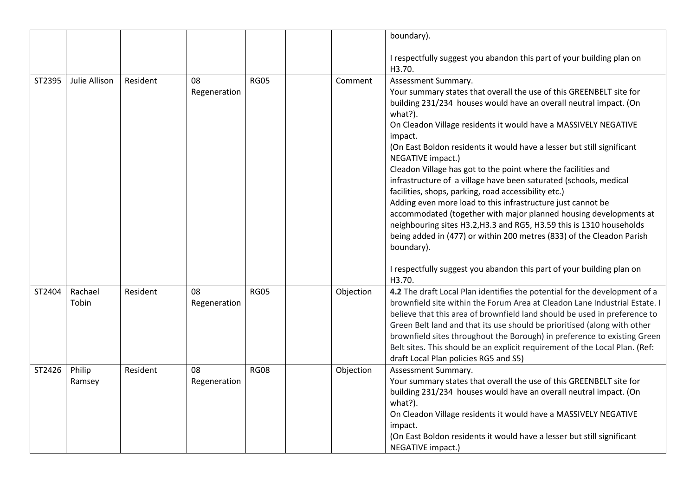|        |               |          |              |             |           | boundary).                                                                                                          |
|--------|---------------|----------|--------------|-------------|-----------|---------------------------------------------------------------------------------------------------------------------|
|        |               |          |              |             |           | I respectfully suggest you abandon this part of your building plan on<br>H3.70.                                     |
| ST2395 | Julie Allison | Resident | 08           | <b>RG05</b> | Comment   | Assessment Summary.                                                                                                 |
|        |               |          | Regeneration |             |           | Your summary states that overall the use of this GREENBELT site for                                                 |
|        |               |          |              |             |           | building 231/234 houses would have an overall neutral impact. (On<br>what?).                                        |
|        |               |          |              |             |           | On Cleadon Village residents it would have a MASSIVELY NEGATIVE<br>impact.                                          |
|        |               |          |              |             |           | (On East Boldon residents it would have a lesser but still significant<br>NEGATIVE impact.)                         |
|        |               |          |              |             |           | Cleadon Village has got to the point where the facilities and                                                       |
|        |               |          |              |             |           | infrastructure of a village have been saturated (schools, medical                                                   |
|        |               |          |              |             |           | facilities, shops, parking, road accessibility etc.)<br>Adding even more load to this infrastructure just cannot be |
|        |               |          |              |             |           | accommodated (together with major planned housing developments at                                                   |
|        |               |          |              |             |           | neighbouring sites H3.2, H3.3 and RG5, H3.59 this is 1310 households                                                |
|        |               |          |              |             |           | being added in (477) or within 200 metres (833) of the Cleadon Parish                                               |
|        |               |          |              |             |           | boundary).                                                                                                          |
|        |               |          |              |             |           | I respectfully suggest you abandon this part of your building plan on                                               |
|        |               |          |              |             |           | H3.70.                                                                                                              |
| ST2404 | Rachael       | Resident | 08           | <b>RG05</b> | Objection | 4.2 The draft Local Plan identifies the potential for the development of a                                          |
|        | Tobin         |          | Regeneration |             |           | brownfield site within the Forum Area at Cleadon Lane Industrial Estate. I                                          |
|        |               |          |              |             |           | believe that this area of brownfield land should be used in preference to                                           |
|        |               |          |              |             |           | Green Belt land and that its use should be prioritised (along with other                                            |
|        |               |          |              |             |           | brownfield sites throughout the Borough) in preference to existing Green                                            |
|        |               |          |              |             |           | Belt sites. This should be an explicit requirement of the Local Plan. (Ref:                                         |
|        |               |          |              |             |           | draft Local Plan policies RG5 and S5)                                                                               |
| ST2426 | Philip        | Resident | 08           | <b>RG08</b> | Objection | Assessment Summary.                                                                                                 |
|        | Ramsey        |          | Regeneration |             |           | Your summary states that overall the use of this GREENBELT site for                                                 |
|        |               |          |              |             |           | building 231/234 houses would have an overall neutral impact. (On<br>what?).                                        |
|        |               |          |              |             |           | On Cleadon Village residents it would have a MASSIVELY NEGATIVE                                                     |
|        |               |          |              |             |           | impact.                                                                                                             |
|        |               |          |              |             |           | (On East Boldon residents it would have a lesser but still significant                                              |
|        |               |          |              |             |           | NEGATIVE impact.)                                                                                                   |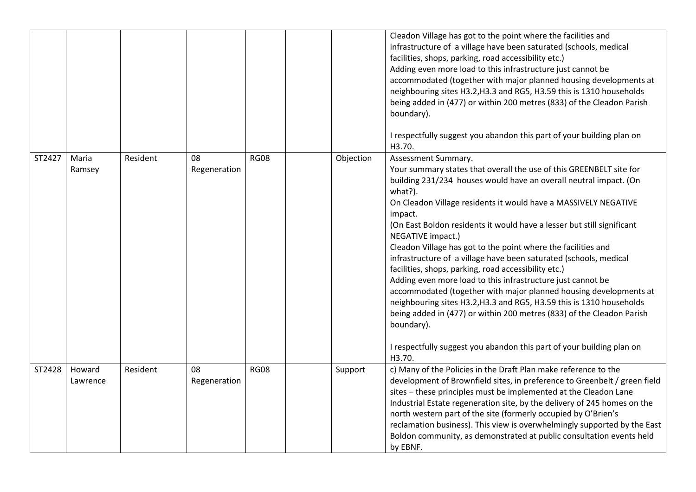|        |                    |          |                    |             |           | Cleadon Village has got to the point where the facilities and<br>infrastructure of a village have been saturated (schools, medical<br>facilities, shops, parking, road accessibility etc.)<br>Adding even more load to this infrastructure just cannot be<br>accommodated (together with major planned housing developments at<br>neighbouring sites H3.2, H3.3 and RG5, H3.59 this is 1310 households<br>being added in (477) or within 200 metres (833) of the Cleadon Parish<br>boundary).<br>I respectfully suggest you abandon this part of your building plan on<br>H3.70.                                                                                                                                                                                                                                                                                                                                                            |
|--------|--------------------|----------|--------------------|-------------|-----------|---------------------------------------------------------------------------------------------------------------------------------------------------------------------------------------------------------------------------------------------------------------------------------------------------------------------------------------------------------------------------------------------------------------------------------------------------------------------------------------------------------------------------------------------------------------------------------------------------------------------------------------------------------------------------------------------------------------------------------------------------------------------------------------------------------------------------------------------------------------------------------------------------------------------------------------------|
| ST2427 | Maria<br>Ramsey    | Resident | 08<br>Regeneration | <b>RG08</b> | Objection | Assessment Summary.<br>Your summary states that overall the use of this GREENBELT site for<br>building 231/234 houses would have an overall neutral impact. (On<br>what?).<br>On Cleadon Village residents it would have a MASSIVELY NEGATIVE<br>impact.<br>(On East Boldon residents it would have a lesser but still significant<br>NEGATIVE impact.)<br>Cleadon Village has got to the point where the facilities and<br>infrastructure of a village have been saturated (schools, medical<br>facilities, shops, parking, road accessibility etc.)<br>Adding even more load to this infrastructure just cannot be<br>accommodated (together with major planned housing developments at<br>neighbouring sites H3.2, H3.3 and RG5, H3.59 this is 1310 households<br>being added in (477) or within 200 metres (833) of the Cleadon Parish<br>boundary).<br>I respectfully suggest you abandon this part of your building plan on<br>H3.70. |
| ST2428 | Howard<br>Lawrence | Resident | 08<br>Regeneration | <b>RG08</b> | Support   | c) Many of the Policies in the Draft Plan make reference to the<br>development of Brownfield sites, in preference to Greenbelt / green field<br>sites - these principles must be implemented at the Cleadon Lane<br>Industrial Estate regeneration site, by the delivery of 245 homes on the<br>north western part of the site (formerly occupied by O'Brien's<br>reclamation business). This view is overwhelmingly supported by the East<br>Boldon community, as demonstrated at public consultation events held<br>by EBNF.                                                                                                                                                                                                                                                                                                                                                                                                              |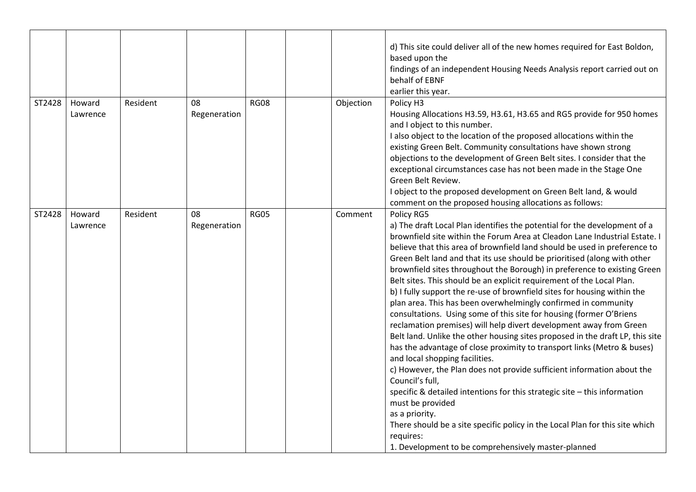|        |                    |          |                    |             |           | d) This site could deliver all of the new homes required for East Boldon,<br>based upon the<br>findings of an independent Housing Needs Analysis report carried out on<br>behalf of EBNF<br>earlier this year.                                                                                                                                                                                                                                                                                                                                                                                                                                                                                                                                                                                                                                                                                                                                                                                                                                                                                                                                                                                                                                                                                                                                   |
|--------|--------------------|----------|--------------------|-------------|-----------|--------------------------------------------------------------------------------------------------------------------------------------------------------------------------------------------------------------------------------------------------------------------------------------------------------------------------------------------------------------------------------------------------------------------------------------------------------------------------------------------------------------------------------------------------------------------------------------------------------------------------------------------------------------------------------------------------------------------------------------------------------------------------------------------------------------------------------------------------------------------------------------------------------------------------------------------------------------------------------------------------------------------------------------------------------------------------------------------------------------------------------------------------------------------------------------------------------------------------------------------------------------------------------------------------------------------------------------------------|
| ST2428 | Howard<br>Lawrence | Resident | 08<br>Regeneration | <b>RG08</b> | Objection | Policy H3<br>Housing Allocations H3.59, H3.61, H3.65 and RG5 provide for 950 homes<br>and I object to this number.<br>I also object to the location of the proposed allocations within the<br>existing Green Belt. Community consultations have shown strong<br>objections to the development of Green Belt sites. I consider that the<br>exceptional circumstances case has not been made in the Stage One<br>Green Belt Review.<br>I object to the proposed development on Green Belt land, & would<br>comment on the proposed housing allocations as follows:                                                                                                                                                                                                                                                                                                                                                                                                                                                                                                                                                                                                                                                                                                                                                                                 |
| ST2428 | Howard<br>Lawrence | Resident | 08<br>Regeneration | <b>RG05</b> | Comment   | Policy RG5<br>a) The draft Local Plan identifies the potential for the development of a<br>brownfield site within the Forum Area at Cleadon Lane Industrial Estate. I<br>believe that this area of brownfield land should be used in preference to<br>Green Belt land and that its use should be prioritised (along with other<br>brownfield sites throughout the Borough) in preference to existing Green<br>Belt sites. This should be an explicit requirement of the Local Plan.<br>b) I fully support the re-use of brownfield sites for housing within the<br>plan area. This has been overwhelmingly confirmed in community<br>consultations. Using some of this site for housing (former O'Briens<br>reclamation premises) will help divert development away from Green<br>Belt land. Unlike the other housing sites proposed in the draft LP, this site<br>has the advantage of close proximity to transport links (Metro & buses)<br>and local shopping facilities.<br>c) However, the Plan does not provide sufficient information about the<br>Council's full,<br>specific & detailed intentions for this strategic site - this information<br>must be provided<br>as a priority.<br>There should be a site specific policy in the Local Plan for this site which<br>requires:<br>1. Development to be comprehensively master-planned |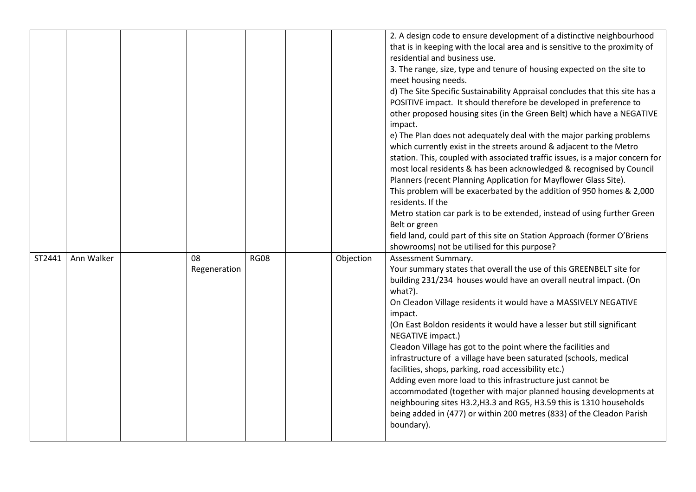|        |            |                    |             |           | 2. A design code to ensure development of a distinctive neighbourhood<br>that is in keeping with the local area and is sensitive to the proximity of<br>residential and business use.<br>3. The range, size, type and tenure of housing expected on the site to<br>meet housing needs.<br>d) The Site Specific Sustainability Appraisal concludes that this site has a<br>POSITIVE impact. It should therefore be developed in preference to<br>other proposed housing sites (in the Green Belt) which have a NEGATIVE<br>impact.<br>e) The Plan does not adequately deal with the major parking problems<br>which currently exist in the streets around & adjacent to the Metro<br>station. This, coupled with associated traffic issues, is a major concern for<br>most local residents & has been acknowledged & recognised by Council<br>Planners (recent Planning Application for Mayflower Glass Site).<br>This problem will be exacerbated by the addition of 950 homes & 2,000<br>residents. If the<br>Metro station car park is to be extended, instead of using further Green<br>Belt or green<br>field land, could part of this site on Station Approach (former O'Briens<br>showrooms) not be utilised for this purpose? |
|--------|------------|--------------------|-------------|-----------|--------------------------------------------------------------------------------------------------------------------------------------------------------------------------------------------------------------------------------------------------------------------------------------------------------------------------------------------------------------------------------------------------------------------------------------------------------------------------------------------------------------------------------------------------------------------------------------------------------------------------------------------------------------------------------------------------------------------------------------------------------------------------------------------------------------------------------------------------------------------------------------------------------------------------------------------------------------------------------------------------------------------------------------------------------------------------------------------------------------------------------------------------------------------------------------------------------------------------------------|
| ST2441 | Ann Walker | 08<br>Regeneration | <b>RG08</b> | Objection | Assessment Summary.<br>Your summary states that overall the use of this GREENBELT site for<br>building 231/234 houses would have an overall neutral impact. (On<br>what?).<br>On Cleadon Village residents it would have a MASSIVELY NEGATIVE<br>impact.<br>(On East Boldon residents it would have a lesser but still significant<br>NEGATIVE impact.)<br>Cleadon Village has got to the point where the facilities and<br>infrastructure of a village have been saturated (schools, medical<br>facilities, shops, parking, road accessibility etc.)<br>Adding even more load to this infrastructure just cannot be<br>accommodated (together with major planned housing developments at<br>neighbouring sites H3.2, H3.3 and RG5, H3.59 this is 1310 households<br>being added in (477) or within 200 metres (833) of the Cleadon Parish<br>boundary).                                                                                                                                                                                                                                                                                                                                                                             |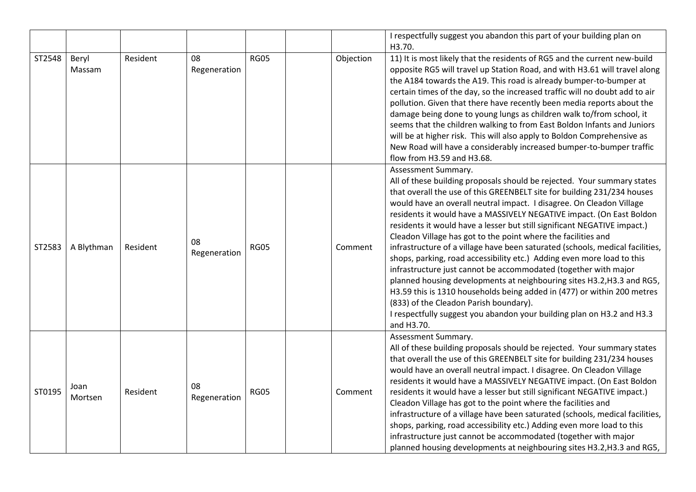|        |                 |          |                    |             |           | I respectfully suggest you abandon this part of your building plan on<br>H3.70.                                                                                                                                                                                                                                                                                                                                                                                                                                                                                                                                                                                                                                                                                                                                                                                                                                                                                                             |
|--------|-----------------|----------|--------------------|-------------|-----------|---------------------------------------------------------------------------------------------------------------------------------------------------------------------------------------------------------------------------------------------------------------------------------------------------------------------------------------------------------------------------------------------------------------------------------------------------------------------------------------------------------------------------------------------------------------------------------------------------------------------------------------------------------------------------------------------------------------------------------------------------------------------------------------------------------------------------------------------------------------------------------------------------------------------------------------------------------------------------------------------|
| ST2548 | Beryl<br>Massam | Resident | 08<br>Regeneration | <b>RG05</b> | Objection | 11) It is most likely that the residents of RG5 and the current new-build<br>opposite RG5 will travel up Station Road, and with H3.61 will travel along<br>the A184 towards the A19. This road is already bumper-to-bumper at<br>certain times of the day, so the increased traffic will no doubt add to air<br>pollution. Given that there have recently been media reports about the<br>damage being done to young lungs as children walk to/from school, it<br>seems that the children walking to from East Boldon Infants and Juniors<br>will be at higher risk. This will also apply to Boldon Comprehensive as<br>New Road will have a considerably increased bumper-to-bumper traffic<br>flow from H3.59 and H3.68.                                                                                                                                                                                                                                                                  |
| ST2583 | A Blythman      | Resident | 08<br>Regeneration | <b>RG05</b> | Comment   | Assessment Summary.<br>All of these building proposals should be rejected. Your summary states<br>that overall the use of this GREENBELT site for building 231/234 houses<br>would have an overall neutral impact. I disagree. On Cleadon Village<br>residents it would have a MASSIVELY NEGATIVE impact. (On East Boldon<br>residents it would have a lesser but still significant NEGATIVE impact.)<br>Cleadon Village has got to the point where the facilities and<br>infrastructure of a village have been saturated (schools, medical facilities,<br>shops, parking, road accessibility etc.) Adding even more load to this<br>infrastructure just cannot be accommodated (together with major<br>planned housing developments at neighbouring sites H3.2, H3.3 and RG5,<br>H3.59 this is 1310 households being added in (477) or within 200 metres<br>(833) of the Cleadon Parish boundary).<br>I respectfully suggest you abandon your building plan on H3.2 and H3.3<br>and H3.70. |
| ST0195 | Joan<br>Mortsen | Resident | 08<br>Regeneration | <b>RG05</b> | Comment   | Assessment Summary.<br>All of these building proposals should be rejected. Your summary states<br>that overall the use of this GREENBELT site for building 231/234 houses<br>would have an overall neutral impact. I disagree. On Cleadon Village<br>residents it would have a MASSIVELY NEGATIVE impact. (On East Boldon<br>residents it would have a lesser but still significant NEGATIVE impact.)<br>Cleadon Village has got to the point where the facilities and<br>infrastructure of a village have been saturated (schools, medical facilities,<br>shops, parking, road accessibility etc.) Adding even more load to this<br>infrastructure just cannot be accommodated (together with major<br>planned housing developments at neighbouring sites H3.2, H3.3 and RG5,                                                                                                                                                                                                              |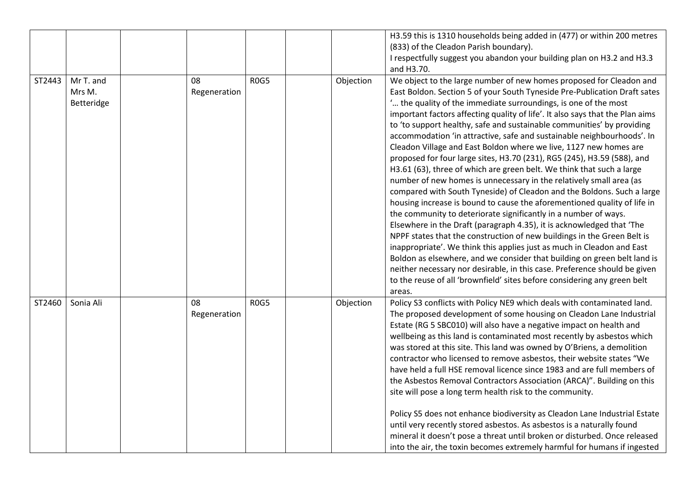|        |                                   |                    |      |           | H3.59 this is 1310 households being added in (477) or within 200 metres<br>(833) of the Cleadon Parish boundary).<br>I respectfully suggest you abandon your building plan on H3.2 and H3.3<br>and H3.70.                                                                                                                                                                                                                                                                                                                                                                                                                                                                                                                                                                                                                                                                                                                                                                                                                                                                                                                                                                                                                                                                                                                                                                                                                                                      |
|--------|-----------------------------------|--------------------|------|-----------|----------------------------------------------------------------------------------------------------------------------------------------------------------------------------------------------------------------------------------------------------------------------------------------------------------------------------------------------------------------------------------------------------------------------------------------------------------------------------------------------------------------------------------------------------------------------------------------------------------------------------------------------------------------------------------------------------------------------------------------------------------------------------------------------------------------------------------------------------------------------------------------------------------------------------------------------------------------------------------------------------------------------------------------------------------------------------------------------------------------------------------------------------------------------------------------------------------------------------------------------------------------------------------------------------------------------------------------------------------------------------------------------------------------------------------------------------------------|
| ST2443 | Mr T. and<br>Mrs M.<br>Betteridge | 08<br>Regeneration | ROG5 | Objection | We object to the large number of new homes proposed for Cleadon and<br>East Boldon. Section 5 of your South Tyneside Pre-Publication Draft sates<br>" the quality of the immediate surroundings, is one of the most<br>important factors affecting quality of life'. It also says that the Plan aims<br>to 'to support healthy, safe and sustainable communities' by providing<br>accommodation 'in attractive, safe and sustainable neighbourhoods'. In<br>Cleadon Village and East Boldon where we live, 1127 new homes are<br>proposed for four large sites, H3.70 (231), RG5 (245), H3.59 (588), and<br>H3.61 (63), three of which are green belt. We think that such a large<br>number of new homes is unnecessary in the relatively small area (as<br>compared with South Tyneside) of Cleadon and the Boldons. Such a large<br>housing increase is bound to cause the aforementioned quality of life in<br>the community to deteriorate significantly in a number of ways.<br>Elsewhere in the Draft (paragraph 4.35), it is acknowledged that 'The<br>NPPF states that the construction of new buildings in the Green Belt is<br>inappropriate'. We think this applies just as much in Cleadon and East<br>Boldon as elsewhere, and we consider that building on green belt land is<br>neither necessary nor desirable, in this case. Preference should be given<br>to the reuse of all 'brownfield' sites before considering any green belt<br>areas. |
| ST2460 | Sonia Ali                         | 08<br>Regeneration | ROG5 | Objection | Policy S3 conflicts with Policy NE9 which deals with contaminated land.<br>The proposed development of some housing on Cleadon Lane Industrial<br>Estate (RG 5 SBC010) will also have a negative impact on health and<br>wellbeing as this land is contaminated most recently by asbestos which<br>was stored at this site. This land was owned by O'Briens, a demolition<br>contractor who licensed to remove asbestos, their website states "We<br>have held a full HSE removal licence since 1983 and are full members of<br>the Asbestos Removal Contractors Association (ARCA)". Building on this<br>site will pose a long term health risk to the community.<br>Policy S5 does not enhance biodiversity as Cleadon Lane Industrial Estate<br>until very recently stored asbestos. As asbestos is a naturally found<br>mineral it doesn't pose a threat until broken or disturbed. Once released<br>into the air, the toxin becomes extremely harmful for humans if ingested                                                                                                                                                                                                                                                                                                                                                                                                                                                                              |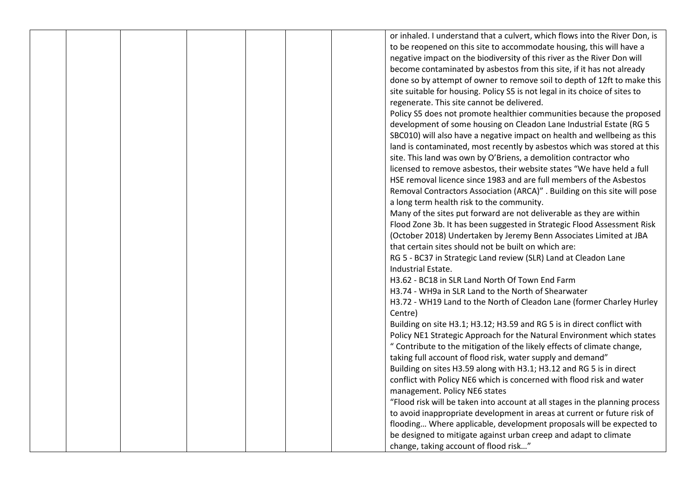|  |  |  | or inhaled. I understand that a culvert, which flows into the River Don, is  |
|--|--|--|------------------------------------------------------------------------------|
|  |  |  | to be reopened on this site to accommodate housing, this will have a         |
|  |  |  | negative impact on the biodiversity of this river as the River Don will      |
|  |  |  | become contaminated by asbestos from this site, if it has not already        |
|  |  |  | done so by attempt of owner to remove soil to depth of 12ft to make this     |
|  |  |  | site suitable for housing. Policy S5 is not legal in its choice of sites to  |
|  |  |  | regenerate. This site cannot be delivered.                                   |
|  |  |  | Policy S5 does not promote healthier communities because the proposed        |
|  |  |  | development of some housing on Cleadon Lane Industrial Estate (RG 5          |
|  |  |  |                                                                              |
|  |  |  | SBC010) will also have a negative impact on health and wellbeing as this     |
|  |  |  | land is contaminated, most recently by asbestos which was stored at this     |
|  |  |  | site. This land was own by O'Briens, a demolition contractor who             |
|  |  |  | licensed to remove asbestos, their website states "We have held a full       |
|  |  |  | HSE removal licence since 1983 and are full members of the Asbestos          |
|  |  |  | Removal Contractors Association (ARCA)" . Building on this site will pose    |
|  |  |  | a long term health risk to the community.                                    |
|  |  |  | Many of the sites put forward are not deliverable as they are within         |
|  |  |  | Flood Zone 3b. It has been suggested in Strategic Flood Assessment Risk      |
|  |  |  | (October 2018) Undertaken by Jeremy Benn Associates Limited at JBA           |
|  |  |  | that certain sites should not be built on which are:                         |
|  |  |  | RG 5 - BC37 in Strategic Land review (SLR) Land at Cleadon Lane              |
|  |  |  | Industrial Estate.                                                           |
|  |  |  | H3.62 - BC18 in SLR Land North Of Town End Farm                              |
|  |  |  | H3.74 - WH9a in SLR Land to the North of Shearwater                          |
|  |  |  | H3.72 - WH19 Land to the North of Cleadon Lane (former Charley Hurley        |
|  |  |  | Centre)                                                                      |
|  |  |  | Building on site H3.1; H3.12; H3.59 and RG 5 is in direct conflict with      |
|  |  |  | Policy NE1 Strategic Approach for the Natural Environment which states       |
|  |  |  | " Contribute to the mitigation of the likely effects of climate change,      |
|  |  |  | taking full account of flood risk, water supply and demand"                  |
|  |  |  | Building on sites H3.59 along with H3.1; H3.12 and RG 5 is in direct         |
|  |  |  | conflict with Policy NE6 which is concerned with flood risk and water        |
|  |  |  | management. Policy NE6 states                                                |
|  |  |  | "Flood risk will be taken into account at all stages in the planning process |
|  |  |  | to avoid inappropriate development in areas at current or future risk of     |
|  |  |  | flooding Where applicable, development proposals will be expected to         |
|  |  |  | be designed to mitigate against urban creep and adapt to climate             |
|  |  |  | change, taking account of flood risk"                                        |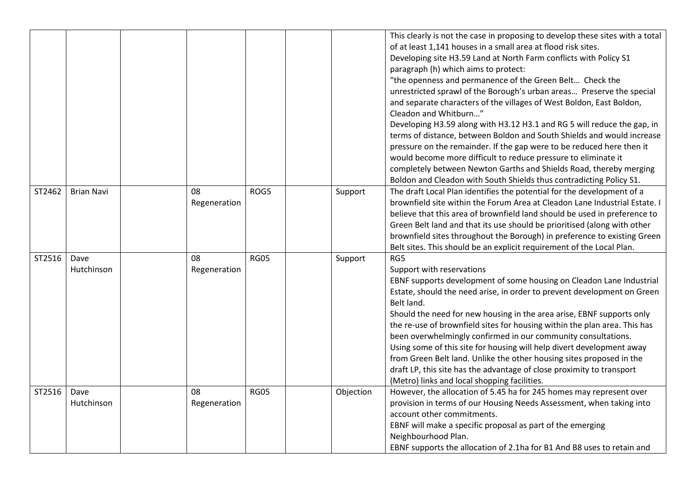|        |                    |    |              |             |           | This clearly is not the case in proposing to develop these sites with a total<br>of at least 1,141 houses in a small area at flood risk sites.<br>Developing site H3.59 Land at North Farm conflicts with Policy S1<br>paragraph (h) which aims to protect:<br>"the openness and permanence of the Green Belt Check the<br>unrestricted sprawl of the Borough's urban areas Preserve the special<br>and separate characters of the villages of West Boldon, East Boldon,<br>Cleadon and Whitburn"<br>Developing H3.59 along with H3.12 H3.1 and RG 5 will reduce the gap, in<br>terms of distance, between Boldon and South Shields and would increase<br>pressure on the remainder. If the gap were to be reduced here then it<br>would become more difficult to reduce pressure to eliminate it<br>completely between Newton Garths and Shields Road, thereby merging<br>Boldon and Cleadon with South Shields thus contradicting Policy S1. |
|--------|--------------------|----|--------------|-------------|-----------|------------------------------------------------------------------------------------------------------------------------------------------------------------------------------------------------------------------------------------------------------------------------------------------------------------------------------------------------------------------------------------------------------------------------------------------------------------------------------------------------------------------------------------------------------------------------------------------------------------------------------------------------------------------------------------------------------------------------------------------------------------------------------------------------------------------------------------------------------------------------------------------------------------------------------------------------|
| ST2462 | <b>Brian Navi</b>  | 08 | Regeneration | ROG5        | Support   | The draft Local Plan identifies the potential for the development of a<br>brownfield site within the Forum Area at Cleadon Lane Industrial Estate. I<br>believe that this area of brownfield land should be used in preference to<br>Green Belt land and that its use should be prioritised (along with other<br>brownfield sites throughout the Borough) in preference to existing Green<br>Belt sites. This should be an explicit requirement of the Local Plan.                                                                                                                                                                                                                                                                                                                                                                                                                                                                             |
| ST2516 | Dave<br>Hutchinson | 08 | Regeneration | <b>RG05</b> | Support   | RG5<br>Support with reservations<br>EBNF supports development of some housing on Cleadon Lane Industrial<br>Estate, should the need arise, in order to prevent development on Green<br>Belt land.<br>Should the need for new housing in the area arise, EBNF supports only<br>the re-use of brownfield sites for housing within the plan area. This has<br>been overwhelmingly confirmed in our community consultations.<br>Using some of this site for housing will help divert development away<br>from Green Belt land. Unlike the other housing sites proposed in the<br>draft LP, this site has the advantage of close proximity to transport<br>(Metro) links and local shopping facilities.                                                                                                                                                                                                                                             |
| ST2516 | Dave<br>Hutchinson | 08 | Regeneration | <b>RG05</b> | Objection | However, the allocation of 5.45 ha for 245 homes may represent over<br>provision in terms of our Housing Needs Assessment, when taking into<br>account other commitments.<br>EBNF will make a specific proposal as part of the emerging<br>Neighbourhood Plan.<br>EBNF supports the allocation of 2.1ha for B1 And B8 uses to retain and                                                                                                                                                                                                                                                                                                                                                                                                                                                                                                                                                                                                       |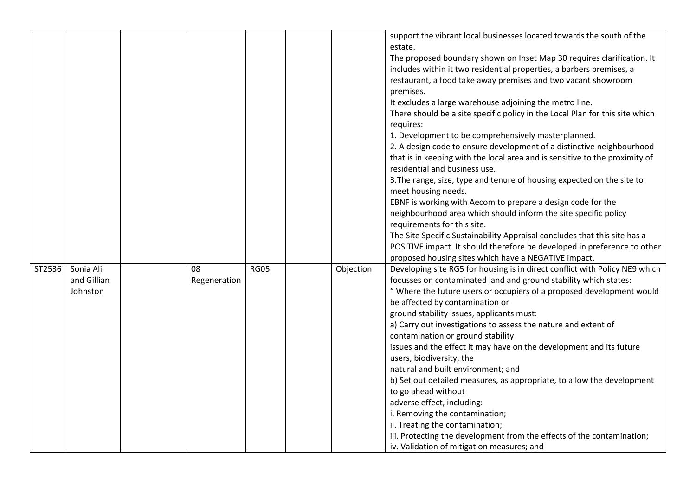|        |             |              |             |           | support the vibrant local businesses located towards the south of the<br>estate. |
|--------|-------------|--------------|-------------|-----------|----------------------------------------------------------------------------------|
|        |             |              |             |           | The proposed boundary shown on Inset Map 30 requires clarification. It           |
|        |             |              |             |           | includes within it two residential properties, a barbers premises, a             |
|        |             |              |             |           | restaurant, a food take away premises and two vacant showroom                    |
|        |             |              |             |           | premises.                                                                        |
|        |             |              |             |           | It excludes a large warehouse adjoining the metro line.                          |
|        |             |              |             |           | There should be a site specific policy in the Local Plan for this site which     |
|        |             |              |             |           | requires:                                                                        |
|        |             |              |             |           | 1. Development to be comprehensively masterplanned.                              |
|        |             |              |             |           | 2. A design code to ensure development of a distinctive neighbourhood            |
|        |             |              |             |           | that is in keeping with the local area and is sensitive to the proximity of      |
|        |             |              |             |           | residential and business use.                                                    |
|        |             |              |             |           | 3. The range, size, type and tenure of housing expected on the site to           |
|        |             |              |             |           | meet housing needs.                                                              |
|        |             |              |             |           | EBNF is working with Aecom to prepare a design code for the                      |
|        |             |              |             |           | neighbourhood area which should inform the site specific policy                  |
|        |             |              |             |           | requirements for this site.                                                      |
|        |             |              |             |           | The Site Specific Sustainability Appraisal concludes that this site has a        |
|        |             |              |             |           | POSITIVE impact. It should therefore be developed in preference to other         |
|        |             |              |             |           | proposed housing sites which have a NEGATIVE impact.                             |
| ST2536 | Sonia Ali   | 08           | <b>RG05</b> | Objection | Developing site RG5 for housing is in direct conflict with Policy NE9 which      |
|        | and Gillian | Regeneration |             |           | focusses on contaminated land and ground stability which states:                 |
|        | Johnston    |              |             |           | " Where the future users or occupiers of a proposed development would            |
|        |             |              |             |           | be affected by contamination or                                                  |
|        |             |              |             |           | ground stability issues, applicants must:                                        |
|        |             |              |             |           | a) Carry out investigations to assess the nature and extent of                   |
|        |             |              |             |           | contamination or ground stability                                                |
|        |             |              |             |           | issues and the effect it may have on the development and its future              |
|        |             |              |             |           | users, biodiversity, the                                                         |
|        |             |              |             |           | natural and built environment; and                                               |
|        |             |              |             |           | b) Set out detailed measures, as appropriate, to allow the development           |
|        |             |              |             |           | to go ahead without                                                              |
|        |             |              |             |           | adverse effect, including:                                                       |
|        |             |              |             |           | i. Removing the contamination;                                                   |
|        |             |              |             |           | ii. Treating the contamination;                                                  |
|        |             |              |             |           | iii. Protecting the development from the effects of the contamination;           |
|        |             |              |             |           | iv. Validation of mitigation measures; and                                       |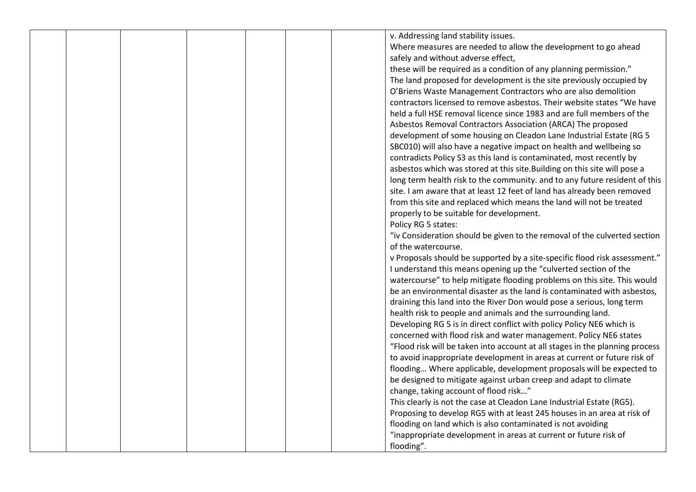|  |  |  | v. Addressing land stability issues.                                         |
|--|--|--|------------------------------------------------------------------------------|
|  |  |  | Where measures are needed to allow the development to go ahead               |
|  |  |  | safely and without adverse effect,                                           |
|  |  |  | these will be required as a condition of any planning permission."           |
|  |  |  | The land proposed for development is the site previously occupied by         |
|  |  |  |                                                                              |
|  |  |  | O'Briens Waste Management Contractors who are also demolition                |
|  |  |  | contractors licensed to remove asbestos. Their website states "We have       |
|  |  |  | held a full HSE removal licence since 1983 and are full members of the       |
|  |  |  | Asbestos Removal Contractors Association (ARCA) The proposed                 |
|  |  |  | development of some housing on Cleadon Lane Industrial Estate (RG 5          |
|  |  |  | SBC010) will also have a negative impact on health and wellbeing so          |
|  |  |  | contradicts Policy S3 as this land is contaminated, most recently by         |
|  |  |  | asbestos which was stored at this site. Building on this site will pose a    |
|  |  |  | long term health risk to the community. and to any future resident of this   |
|  |  |  | site. I am aware that at least 12 feet of land has already been removed      |
|  |  |  | from this site and replaced which means the land will not be treated         |
|  |  |  | properly to be suitable for development.                                     |
|  |  |  | Policy RG 5 states:                                                          |
|  |  |  | "iv Consideration should be given to the removal of the culverted section    |
|  |  |  | of the watercourse.                                                          |
|  |  |  | v Proposals should be supported by a site-specific flood risk assessment."   |
|  |  |  | I understand this means opening up the "culverted section of the             |
|  |  |  | watercourse" to help mitigate flooding problems on this site. This would     |
|  |  |  | be an environmental disaster as the land is contaminated with asbestos,      |
|  |  |  | draining this land into the River Don would pose a serious, long term        |
|  |  |  | health risk to people and animals and the surrounding land.                  |
|  |  |  | Developing RG 5 is in direct conflict with policy Policy NE6 which is        |
|  |  |  | concerned with flood risk and water management. Policy NE6 states            |
|  |  |  | "Flood risk will be taken into account at all stages in the planning process |
|  |  |  | to avoid inappropriate development in areas at current or future risk of     |
|  |  |  | flooding Where applicable, development proposals will be expected to         |
|  |  |  | be designed to mitigate against urban creep and adapt to climate             |
|  |  |  | change, taking account of flood risk"                                        |
|  |  |  | This clearly is not the case at Cleadon Lane Industrial Estate (RG5).        |
|  |  |  | Proposing to develop RG5 with at least 245 houses in an area at risk of      |
|  |  |  | flooding on land which is also contaminated is not avoiding                  |
|  |  |  | "inappropriate development in areas at current or future risk of             |
|  |  |  | flooding".                                                                   |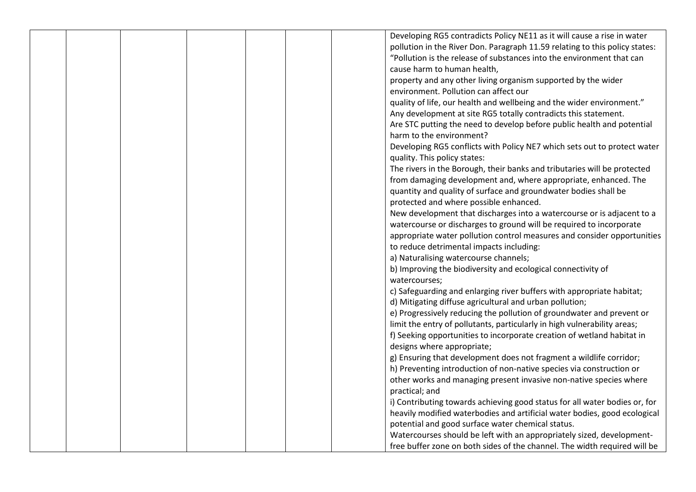|  |  |  | Developing RG5 contradicts Policy NE11 as it will cause a rise in water     |
|--|--|--|-----------------------------------------------------------------------------|
|  |  |  | pollution in the River Don. Paragraph 11.59 relating to this policy states: |
|  |  |  | "Pollution is the release of substances into the environment that can       |
|  |  |  | cause harm to human health,                                                 |
|  |  |  | property and any other living organism supported by the wider               |
|  |  |  | environment. Pollution can affect our                                       |
|  |  |  | quality of life, our health and wellbeing and the wider environment."       |
|  |  |  | Any development at site RG5 totally contradicts this statement.             |
|  |  |  | Are STC putting the need to develop before public health and potential      |
|  |  |  | harm to the environment?                                                    |
|  |  |  | Developing RG5 conflicts with Policy NE7 which sets out to protect water    |
|  |  |  | quality. This policy states:                                                |
|  |  |  | The rivers in the Borough, their banks and tributaries will be protected    |
|  |  |  | from damaging development and, where appropriate, enhanced. The             |
|  |  |  | quantity and quality of surface and groundwater bodies shall be             |
|  |  |  | protected and where possible enhanced.                                      |
|  |  |  | New development that discharges into a watercourse or is adjacent to a      |
|  |  |  | watercourse or discharges to ground will be required to incorporate         |
|  |  |  | appropriate water pollution control measures and consider opportunities     |
|  |  |  | to reduce detrimental impacts including:                                    |
|  |  |  | a) Naturalising watercourse channels;                                       |
|  |  |  | b) Improving the biodiversity and ecological connectivity of                |
|  |  |  | watercourses;                                                               |
|  |  |  | c) Safeguarding and enlarging river buffers with appropriate habitat;       |
|  |  |  | d) Mitigating diffuse agricultural and urban pollution;                     |
|  |  |  | e) Progressively reducing the pollution of groundwater and prevent or       |
|  |  |  | limit the entry of pollutants, particularly in high vulnerability areas;    |
|  |  |  | f) Seeking opportunities to incorporate creation of wetland habitat in      |
|  |  |  | designs where appropriate;                                                  |
|  |  |  | g) Ensuring that development does not fragment a wildlife corridor;         |
|  |  |  | h) Preventing introduction of non-native species via construction or        |
|  |  |  | other works and managing present invasive non-native species where          |
|  |  |  | practical; and                                                              |
|  |  |  | i) Contributing towards achieving good status for all water bodies or, for  |
|  |  |  | heavily modified waterbodies and artificial water bodies, good ecological   |
|  |  |  | potential and good surface water chemical status.                           |
|  |  |  | Watercourses should be left with an appropriately sized, development-       |
|  |  |  | free buffer zone on both sides of the channel. The width required will be   |
|  |  |  |                                                                             |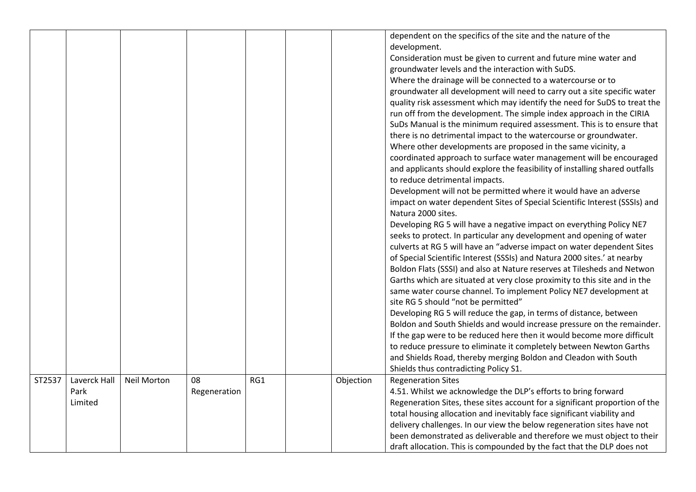|        |                                 |                    |                    |     |           | dependent on the specifics of the site and the nature of the<br>development.<br>Consideration must be given to current and future mine water and<br>groundwater levels and the interaction with SuDS.<br>Where the drainage will be connected to a watercourse or to<br>groundwater all development will need to carry out a site specific water<br>quality risk assessment which may identify the need for SuDS to treat the<br>run off from the development. The simple index approach in the CIRIA<br>SuDs Manual is the minimum required assessment. This is to ensure that<br>there is no detrimental impact to the watercourse or groundwater.<br>Where other developments are proposed in the same vicinity, a<br>coordinated approach to surface water management will be encouraged<br>and applicants should explore the feasibility of installing shared outfalls<br>to reduce detrimental impacts.<br>Development will not be permitted where it would have an adverse<br>impact on water dependent Sites of Special Scientific Interest (SSSIs) and<br>Natura 2000 sites.<br>Developing RG 5 will have a negative impact on everything Policy NE7<br>seeks to protect. In particular any development and opening of water<br>culverts at RG 5 will have an "adverse impact on water dependent Sites<br>of Special Scientific Interest (SSSIs) and Natura 2000 sites.' at nearby<br>Boldon Flats (SSSI) and also at Nature reserves at Tilesheds and Netwon<br>Garths which are situated at very close proximity to this site and in the<br>same water course channel. To implement Policy NE7 development at<br>site RG 5 should "not be permitted"<br>Developing RG 5 will reduce the gap, in terms of distance, between<br>Boldon and South Shields and would increase pressure on the remainder.<br>If the gap were to be reduced here then it would become more difficult<br>to reduce pressure to eliminate it completely between Newton Garths<br>and Shields Road, thereby merging Boldon and Cleadon with South |
|--------|---------------------------------|--------------------|--------------------|-----|-----------|-------------------------------------------------------------------------------------------------------------------------------------------------------------------------------------------------------------------------------------------------------------------------------------------------------------------------------------------------------------------------------------------------------------------------------------------------------------------------------------------------------------------------------------------------------------------------------------------------------------------------------------------------------------------------------------------------------------------------------------------------------------------------------------------------------------------------------------------------------------------------------------------------------------------------------------------------------------------------------------------------------------------------------------------------------------------------------------------------------------------------------------------------------------------------------------------------------------------------------------------------------------------------------------------------------------------------------------------------------------------------------------------------------------------------------------------------------------------------------------------------------------------------------------------------------------------------------------------------------------------------------------------------------------------------------------------------------------------------------------------------------------------------------------------------------------------------------------------------------------------------------------------------------------------------------------------------------------------------------------------------------------------------------------|
|        |                                 |                    |                    |     |           | Shields thus contradicting Policy S1.                                                                                                                                                                                                                                                                                                                                                                                                                                                                                                                                                                                                                                                                                                                                                                                                                                                                                                                                                                                                                                                                                                                                                                                                                                                                                                                                                                                                                                                                                                                                                                                                                                                                                                                                                                                                                                                                                                                                                                                               |
| ST2537 | Laverck Hall<br>Park<br>Limited | <b>Neil Morton</b> | 08<br>Regeneration | RG1 | Objection | <b>Regeneration Sites</b><br>4.51. Whilst we acknowledge the DLP's efforts to bring forward<br>Regeneration Sites, these sites account for a significant proportion of the<br>total housing allocation and inevitably face significant viability and<br>delivery challenges. In our view the below regeneration sites have not<br>been demonstrated as deliverable and therefore we must object to their<br>draft allocation. This is compounded by the fact that the DLP does not                                                                                                                                                                                                                                                                                                                                                                                                                                                                                                                                                                                                                                                                                                                                                                                                                                                                                                                                                                                                                                                                                                                                                                                                                                                                                                                                                                                                                                                                                                                                                  |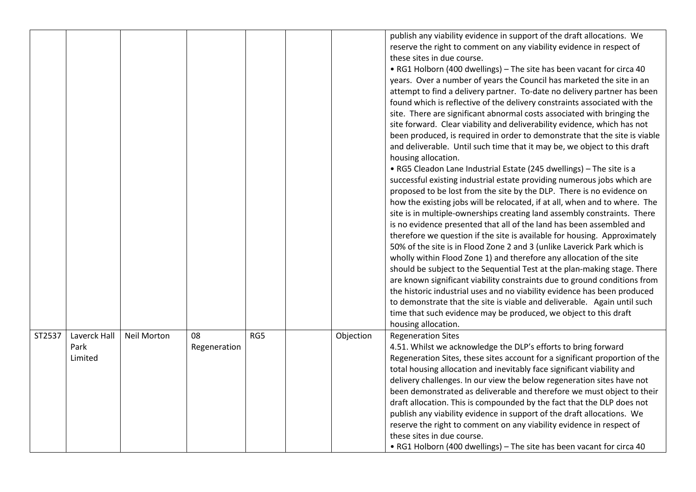|        |                                 |                    |                    |     |           | publish any viability evidence in support of the draft allocations. We<br>reserve the right to comment on any viability evidence in respect of<br>these sites in due course.<br>• RG1 Holborn (400 dwellings) - The site has been vacant for circa 40<br>years. Over a number of years the Council has marketed the site in an<br>attempt to find a delivery partner. To-date no delivery partner has been<br>found which is reflective of the delivery constraints associated with the<br>site. There are significant abnormal costs associated with bringing the<br>site forward. Clear viability and deliverability evidence, which has not<br>been produced, is required in order to demonstrate that the site is viable<br>and deliverable. Until such time that it may be, we object to this draft<br>housing allocation.<br>• RG5 Cleadon Lane Industrial Estate (245 dwellings) - The site is a<br>successful existing industrial estate providing numerous jobs which are<br>proposed to be lost from the site by the DLP. There is no evidence on<br>how the existing jobs will be relocated, if at all, when and to where. The<br>site is in multiple-ownerships creating land assembly constraints. There<br>is no evidence presented that all of the land has been assembled and<br>therefore we question if the site is available for housing. Approximately<br>50% of the site is in Flood Zone 2 and 3 (unlike Laverick Park which is<br>wholly within Flood Zone 1) and therefore any allocation of the site<br>should be subject to the Sequential Test at the plan-making stage. There<br>are known significant viability constraints due to ground conditions from<br>the historic industrial uses and no viability evidence has been produced<br>to demonstrate that the site is viable and deliverable. Again until such<br>time that such evidence may be produced, we object to this draft<br>housing allocation. |
|--------|---------------------------------|--------------------|--------------------|-----|-----------|-------------------------------------------------------------------------------------------------------------------------------------------------------------------------------------------------------------------------------------------------------------------------------------------------------------------------------------------------------------------------------------------------------------------------------------------------------------------------------------------------------------------------------------------------------------------------------------------------------------------------------------------------------------------------------------------------------------------------------------------------------------------------------------------------------------------------------------------------------------------------------------------------------------------------------------------------------------------------------------------------------------------------------------------------------------------------------------------------------------------------------------------------------------------------------------------------------------------------------------------------------------------------------------------------------------------------------------------------------------------------------------------------------------------------------------------------------------------------------------------------------------------------------------------------------------------------------------------------------------------------------------------------------------------------------------------------------------------------------------------------------------------------------------------------------------------------------------------------------------------------------------------------------------------------------------------|
| ST2537 | Laverck Hall<br>Park<br>Limited | <b>Neil Morton</b> | 08<br>Regeneration | RG5 | Objection | <b>Regeneration Sites</b><br>4.51. Whilst we acknowledge the DLP's efforts to bring forward<br>Regeneration Sites, these sites account for a significant proportion of the<br>total housing allocation and inevitably face significant viability and<br>delivery challenges. In our view the below regeneration sites have not<br>been demonstrated as deliverable and therefore we must object to their<br>draft allocation. This is compounded by the fact that the DLP does not<br>publish any viability evidence in support of the draft allocations. We<br>reserve the right to comment on any viability evidence in respect of<br>these sites in due course.<br>• RG1 Holborn (400 dwellings) - The site has been vacant for circa 40                                                                                                                                                                                                                                                                                                                                                                                                                                                                                                                                                                                                                                                                                                                                                                                                                                                                                                                                                                                                                                                                                                                                                                                               |